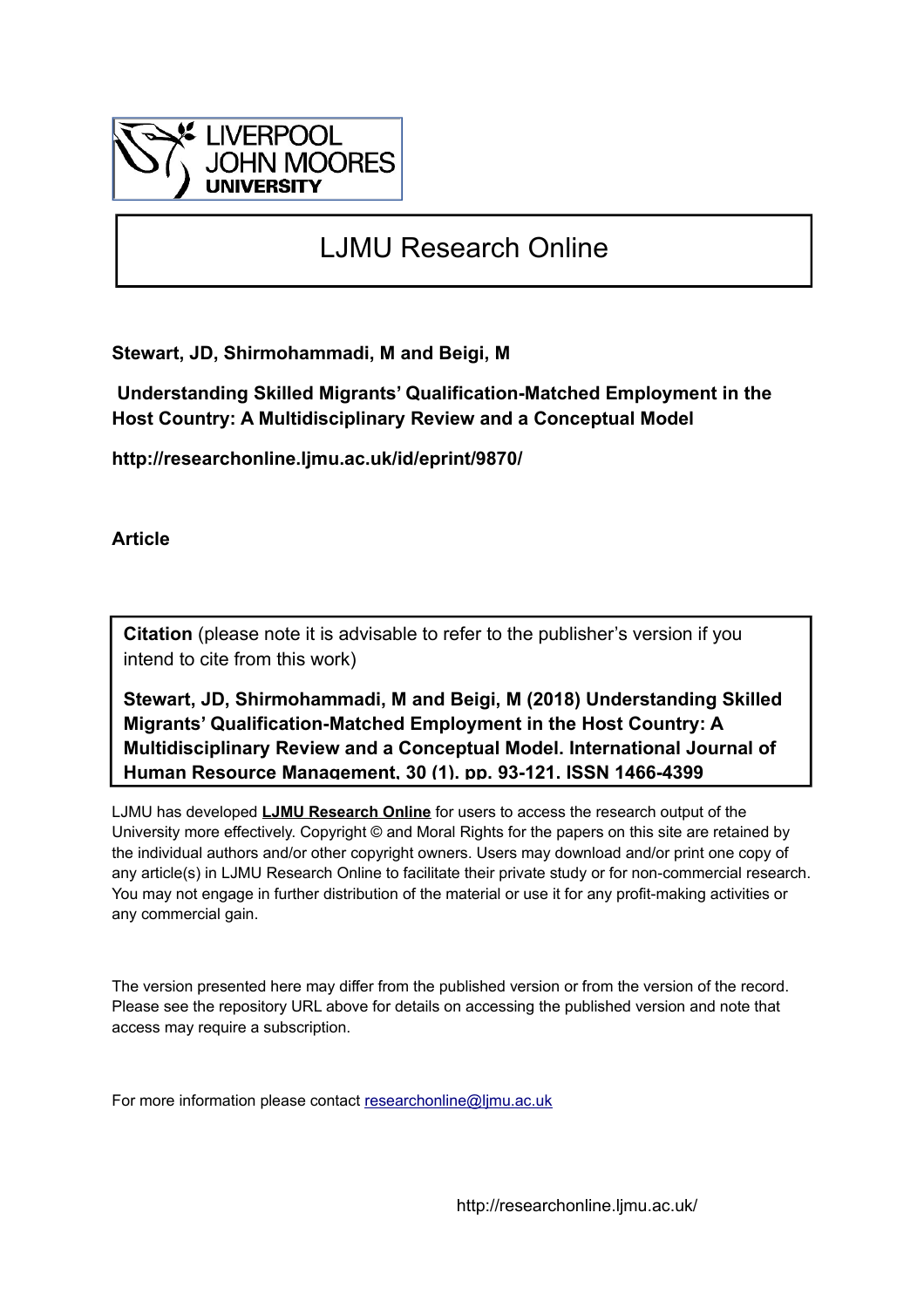

# LJMU Research Online

**Stewart, JD, Shirmohammadi, M and Beigi, M**

 **Understanding Skilled Migrants' Qualification-Matched Employment in the Host Country: A Multidisciplinary Review and a Conceptual Model**

**http://researchonline.ljmu.ac.uk/id/eprint/9870/**

**Article**

**Citation** (please note it is advisable to refer to the publisher's version if you intend to cite from this work)

**Stewart, JD, Shirmohammadi, M and Beigi, M (2018) Understanding Skilled Migrants' Qualification-Matched Employment in the Host Country: A Multidisciplinary Review and a Conceptual Model. International Journal of Human Resource Management, 30 (1). pp. 93-121. ISSN 1466-4399** 

LJMU has developed **[LJMU Research Online](http://researchonline.ljmu.ac.uk/)** for users to access the research output of the University more effectively. Copyright © and Moral Rights for the papers on this site are retained by the individual authors and/or other copyright owners. Users may download and/or print one copy of any article(s) in LJMU Research Online to facilitate their private study or for non-commercial research. You may not engage in further distribution of the material or use it for any profit-making activities or any commercial gain.

The version presented here may differ from the published version or from the version of the record. Please see the repository URL above for details on accessing the published version and note that access may require a subscription.

For more information please contact [researchonline@ljmu.ac.uk](mailto:researchonline@ljmu.ac.uk)

http://researchonline.ljmu.ac.uk/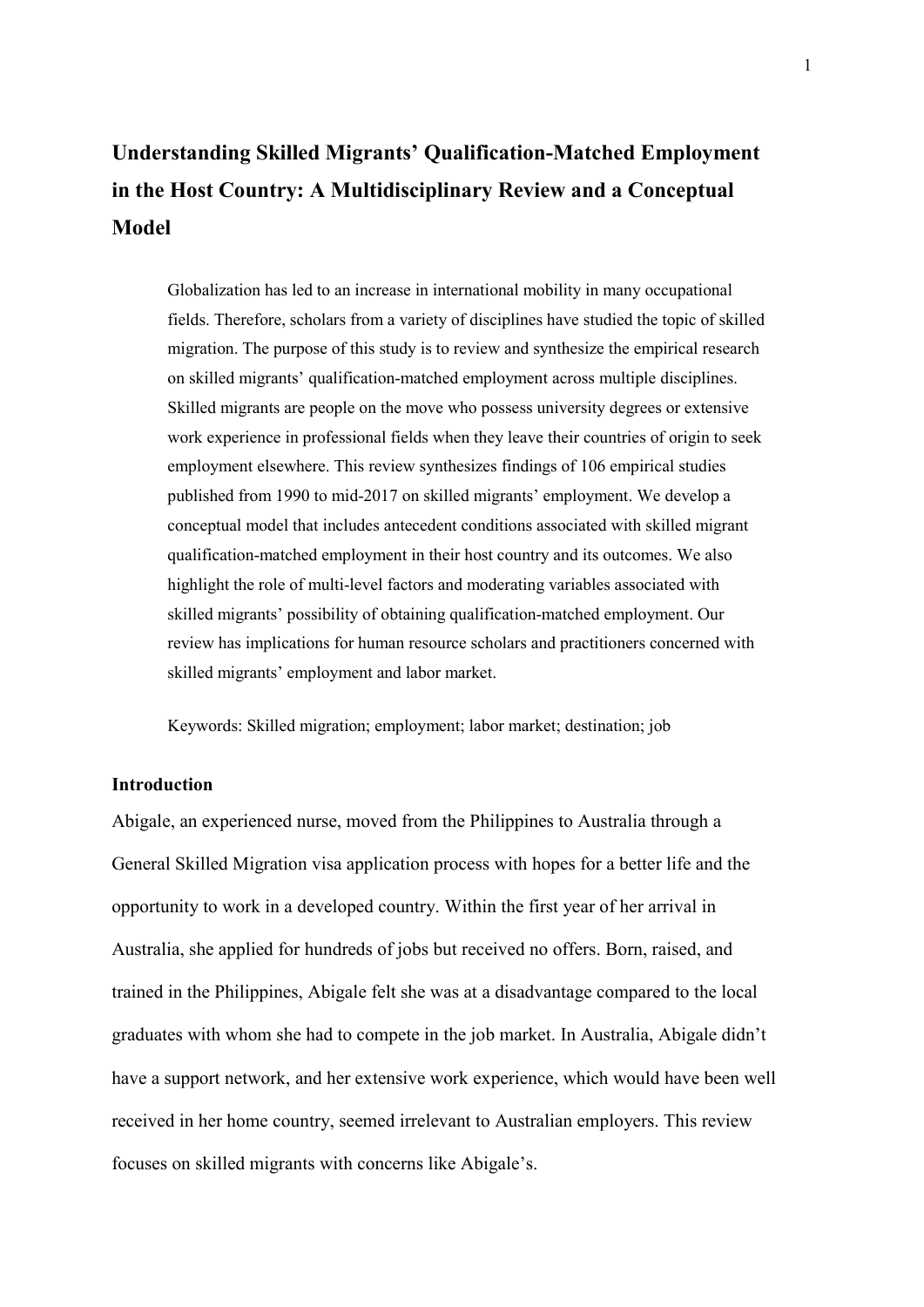# **Understanding Skilled Migrants' Qualification-Matched Employment in the Host Country: A Multidisciplinary Review and a Conceptual Model**

Globalization has led to an increase in international mobility in many occupational fields. Therefore, scholars from a variety of disciplines have studied the topic of skilled migration. The purpose of this study is to review and synthesize the empirical research on skilled migrants' qualification-matched employment across multiple disciplines. Skilled migrants are people on the move who possess university degrees or extensive work experience in professional fields when they leave their countries of origin to seek employment elsewhere. This review synthesizes findings of 106 empirical studies published from 1990 to mid-2017 on skilled migrants' employment. We develop a conceptual model that includes antecedent conditions associated with skilled migrant qualification-matched employment in their host country and its outcomes. We also highlight the role of multi-level factors and moderating variables associated with skilled migrants' possibility of obtaining qualification-matched employment. Our review has implications for human resource scholars and practitioners concerned with skilled migrants' employment and labor market.

Keywords: Skilled migration; employment; labor market; destination; job

# **Introduction**

Abigale, an experienced nurse, moved from the Philippines to Australia through a General Skilled Migration visa application process with hopes for a better life and the opportunity to work in a developed country. Within the first year of her arrival in Australia, she applied for hundreds of jobs but received no offers. Born, raised, and trained in the Philippines, Abigale felt she was at a disadvantage compared to the local graduates with whom she had to compete in the job market. In Australia, Abigale didn't have a support network, and her extensive work experience, which would have been well received in her home country, seemed irrelevant to Australian employers. This review focuses on skilled migrants with concerns like Abigale's.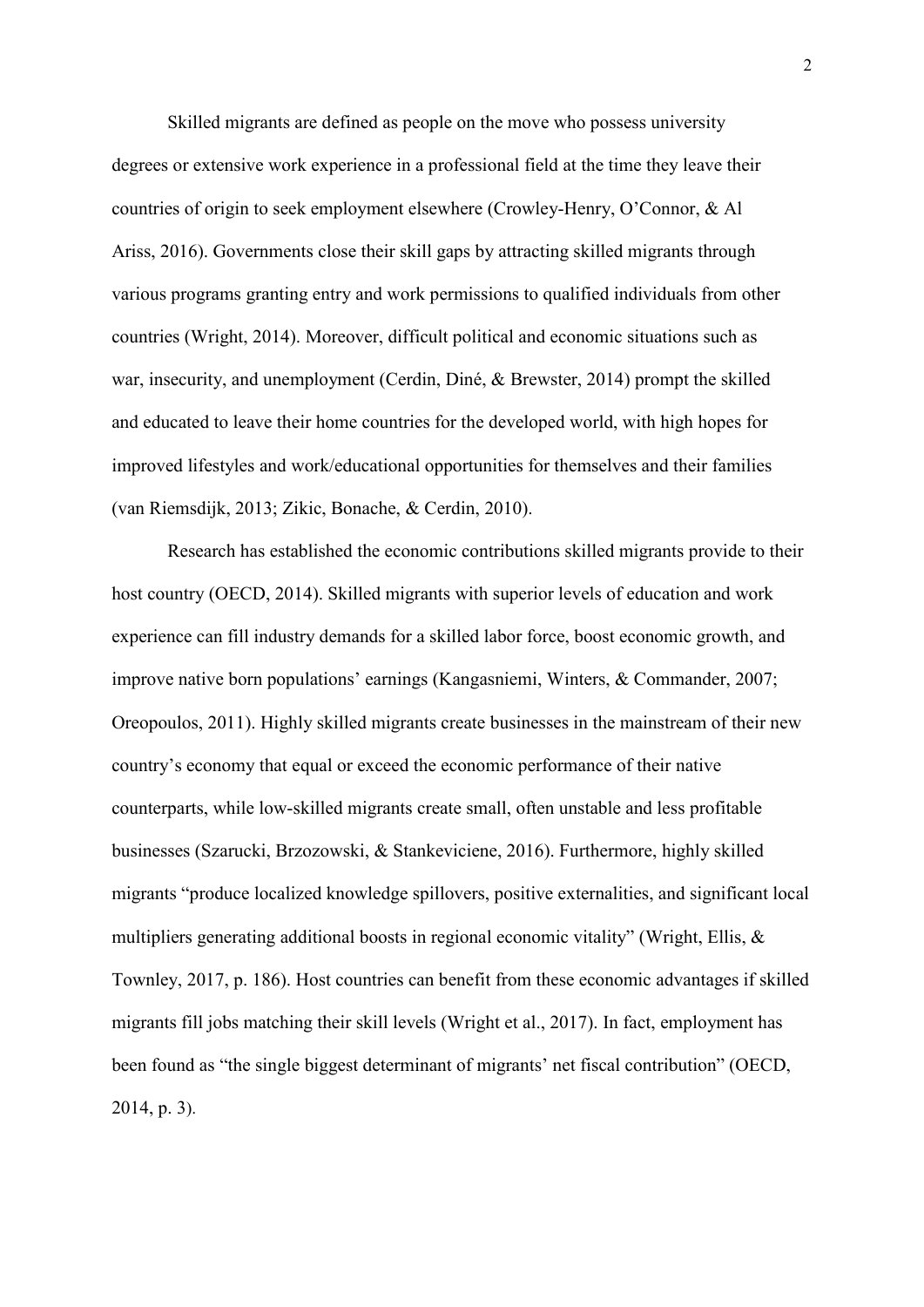Skilled migrants are defined as people on the move who possess university degrees or extensive work experience in a professional field at the time they leave their countries of origin to seek employment elsewhere (Crowley-Henry, O'Connor, & Al Ariss, 2016). Governments close their skill gaps by attracting skilled migrants through various programs granting entry and work permissions to qualified individuals from other countries (Wright, 2014). Moreover, difficult political and economic situations such as war, insecurity, and unemployment (Cerdin, Diné, & Brewster, 2014) prompt the skilled and educated to leave their home countries for the developed world, with high hopes for improved lifestyles and work/educational opportunities for themselves and their families (van Riemsdijk, 2013; Zikic, Bonache, & Cerdin, 2010).

Research has established the economic contributions skilled migrants provide to their host country (OECD, 2014). Skilled migrants with superior levels of education and work experience can fill industry demands for a skilled labor force, boost economic growth, and improve native born populations' earnings (Kangasniemi, Winters, & Commander, 2007; Oreopoulos, 2011). Highly skilled migrants create businesses in the mainstream of their new country's economy that equal or exceed the economic performance of their native counterparts, while low-skilled migrants create small, often unstable and less profitable businesses (Szarucki, Brzozowski, & Stankeviciene, 2016). Furthermore, highly skilled migrants "produce localized knowledge spillovers, positive externalities, and significant local multipliers generating additional boosts in regional economic vitality" (Wright, Ellis, & Townley, 2017, p. 186). Host countries can benefit from these economic advantages if skilled migrants fill jobs matching their skill levels (Wright et al., 2017). In fact, employment has been found as "the single biggest determinant of migrants' net fiscal contribution" (OECD, 2014, p. 3).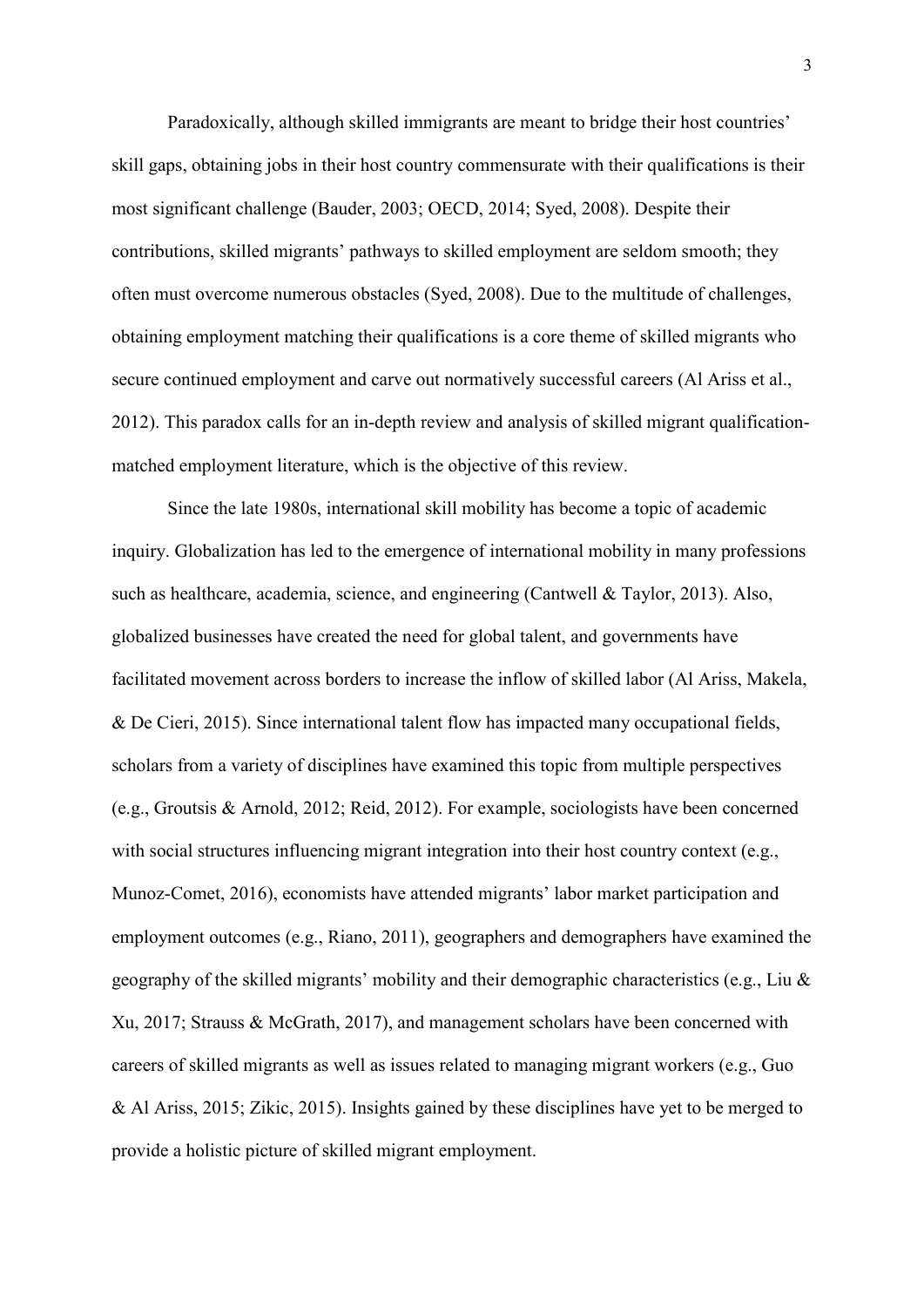Paradoxically, although skilled immigrants are meant to bridge their host countries' skill gaps, obtaining jobs in their host country commensurate with their qualifications is their most significant challenge (Bauder, 2003; OECD, 2014; Syed, 2008). Despite their contributions, skilled migrants' pathways to skilled employment are seldom smooth; they often must overcome numerous obstacles (Syed, 2008). Due to the multitude of challenges, obtaining employment matching their qualifications is a core theme of skilled migrants who secure continued employment and carve out normatively successful careers (Al Ariss et al., 2012). This paradox calls for an in-depth review and analysis of skilled migrant qualificationmatched employment literature, which is the objective of this review.

Since the late 1980s, international skill mobility has become a topic of academic inquiry. Globalization has led to the emergence of international mobility in many professions such as healthcare, academia, science, and engineering (Cantwell & Taylor, 2013). Also, globalized businesses have created the need for global talent, and governments have facilitated movement across borders to increase the inflow of skilled labor (Al Ariss, Makela, & De Cieri, 2015). Since international talent flow has impacted many occupational fields, scholars from a variety of disciplines have examined this topic from multiple perspectives (e.g., Groutsis & Arnold, 2012; Reid, 2012). For example, sociologists have been concerned with social structures influencing migrant integration into their host country context (e.g., Munoz-Comet, 2016), economists have attended migrants' labor market participation and employment outcomes (e.g., Riano, 2011), geographers and demographers have examined the geography of the skilled migrants' mobility and their demographic characteristics (e.g., Liu  $\&$ Xu, 2017; Strauss & McGrath, 2017), and management scholars have been concerned with careers of skilled migrants as well as issues related to managing migrant workers (e.g., Guo & Al Ariss, 2015; Zikic, 2015). Insights gained by these disciplines have yet to be merged to provide a holistic picture of skilled migrant employment.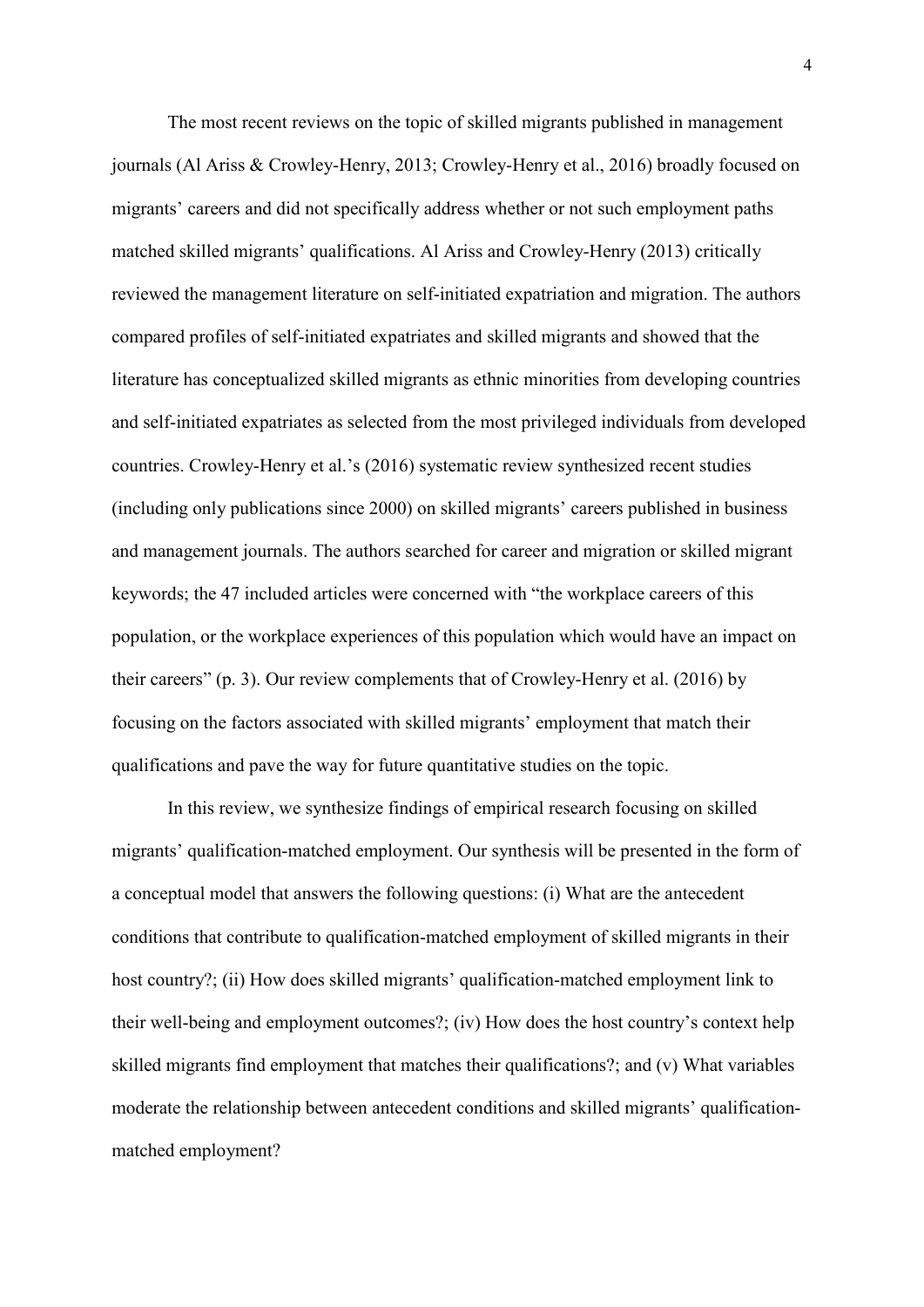The most recent reviews on the topic of skilled migrants published in management journals (Al Ariss & Crowley-Henry, 2013; Crowley-Henry et al., 2016) broadly focused on migrants' careers and did not specifically address whether or not such employment paths matched skilled migrants' qualifications. Al Ariss and Crowley-Henry (2013) critically reviewed the management literature on self-initiated expatriation and migration. The authors compared profiles of self-initiated expatriates and skilled migrants and showed that the literature has conceptualized skilled migrants as ethnic minorities from developing countries and self-initiated expatriates as selected from the most privileged individuals from developed countries. Crowley-Henry et al.'s (2016) systematic review synthesized recent studies (including only publications since 2000) on skilled migrants' careers published in business and management journals. The authors searched for career and migration or skilled migrant keywords; the 47 included articles were concerned with "the workplace careers of this population, or the workplace experiences of this population which would have an impact on their careers" (p. 3). Our review complements that of Crowley-Henry et al. (2016) by focusing on the factors associated with skilled migrants' employment that match their qualifications and pave the way for future quantitative studies on the topic.

In this review, we synthesize findings of empirical research focusing on skilled migrants' qualification-matched employment. Our synthesis will be presented in the form of a conceptual model that answers the following questions: (i) What are the antecedent conditions that contribute to qualification-matched employment of skilled migrants in their host country?; (ii) How does skilled migrants' qualification-matched employment link to their well-being and employment outcomes?; (iv) How does the host country's context help skilled migrants find employment that matches their qualifications?; and (v) What variables moderate the relationship between antecedent conditions and skilled migrants' qualificationmatched employment?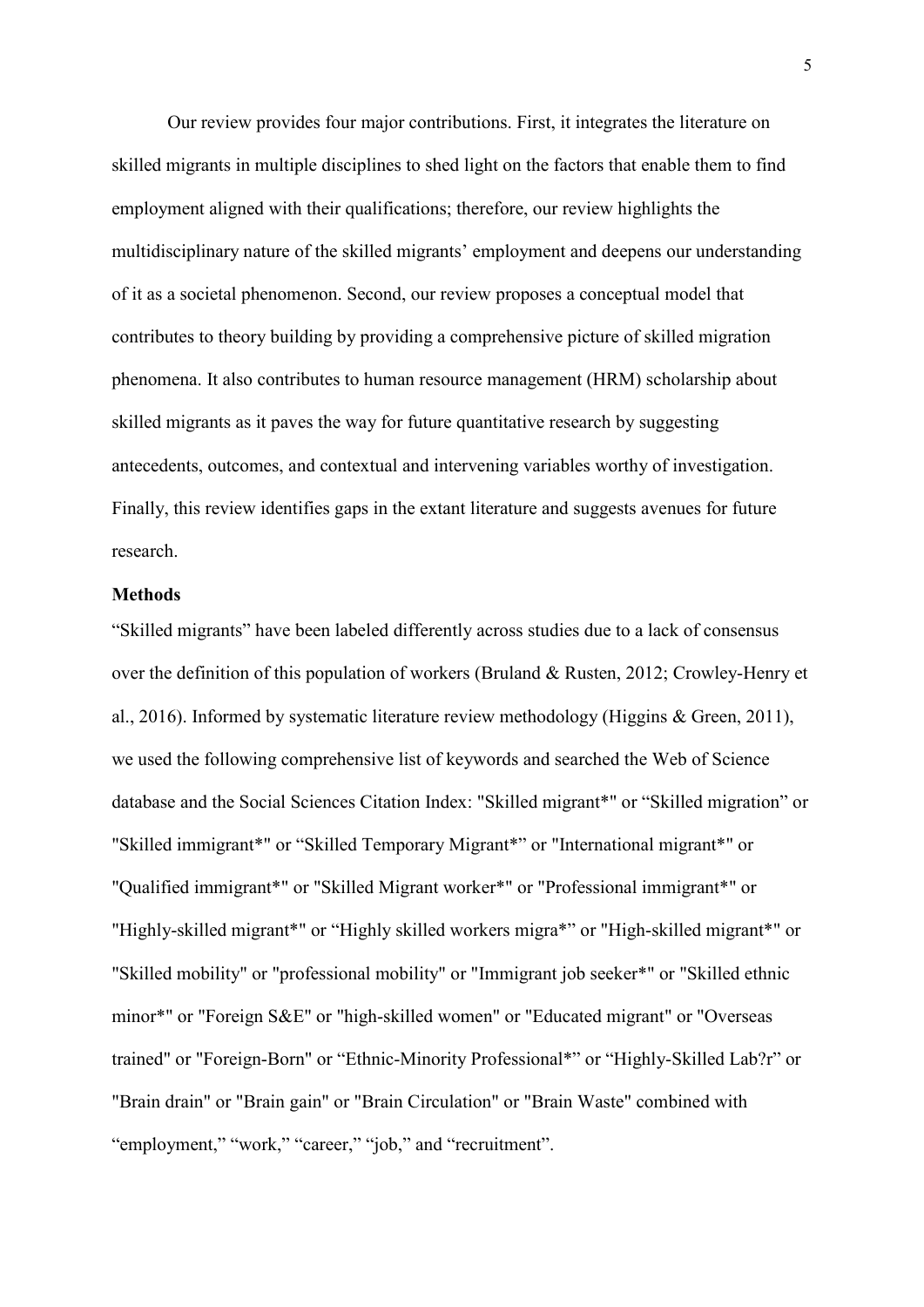Our review provides four major contributions. First, it integrates the literature on skilled migrants in multiple disciplines to shed light on the factors that enable them to find employment aligned with their qualifications; therefore, our review highlights the multidisciplinary nature of the skilled migrants' employment and deepens our understanding of it as a societal phenomenon. Second, our review proposes a conceptual model that contributes to theory building by providing a comprehensive picture of skilled migration phenomena. It also contributes to human resource management (HRM) scholarship about skilled migrants as it paves the way for future quantitative research by suggesting antecedents, outcomes, and contextual and intervening variables worthy of investigation. Finally, this review identifies gaps in the extant literature and suggests avenues for future research.

### **Methods**

"Skilled migrants" have been labeled differently across studies due to a lack of consensus over the definition of this population of workers (Bruland & Rusten, 2012; Crowley-Henry et al., 2016). Informed by systematic literature review methodology (Higgins & Green, 2011), we used the following comprehensive list of keywords and searched the Web of Science database and the Social Sciences Citation Index: "Skilled migrant\*" or "Skilled migration" or "Skilled immigrant\*" or "Skilled Temporary Migrant\*" or "International migrant\*" or "Qualified immigrant\*" or "Skilled Migrant worker\*" or "Professional immigrant\*" or "Highly-skilled migrant\*" or "Highly skilled workers migra\*" or "High-skilled migrant\*" or "Skilled mobility" or "professional mobility" or "Immigrant job seeker\*" or "Skilled ethnic minor\*" or "Foreign S&E" or "high-skilled women" or "Educated migrant" or "Overseas trained" or "Foreign-Born" or "Ethnic-Minority Professional\*" or "Highly-Skilled Lab?r" or "Brain drain" or "Brain gain" or "Brain Circulation" or "Brain Waste" combined with "employment," "work," "career," "job," and "recruitment".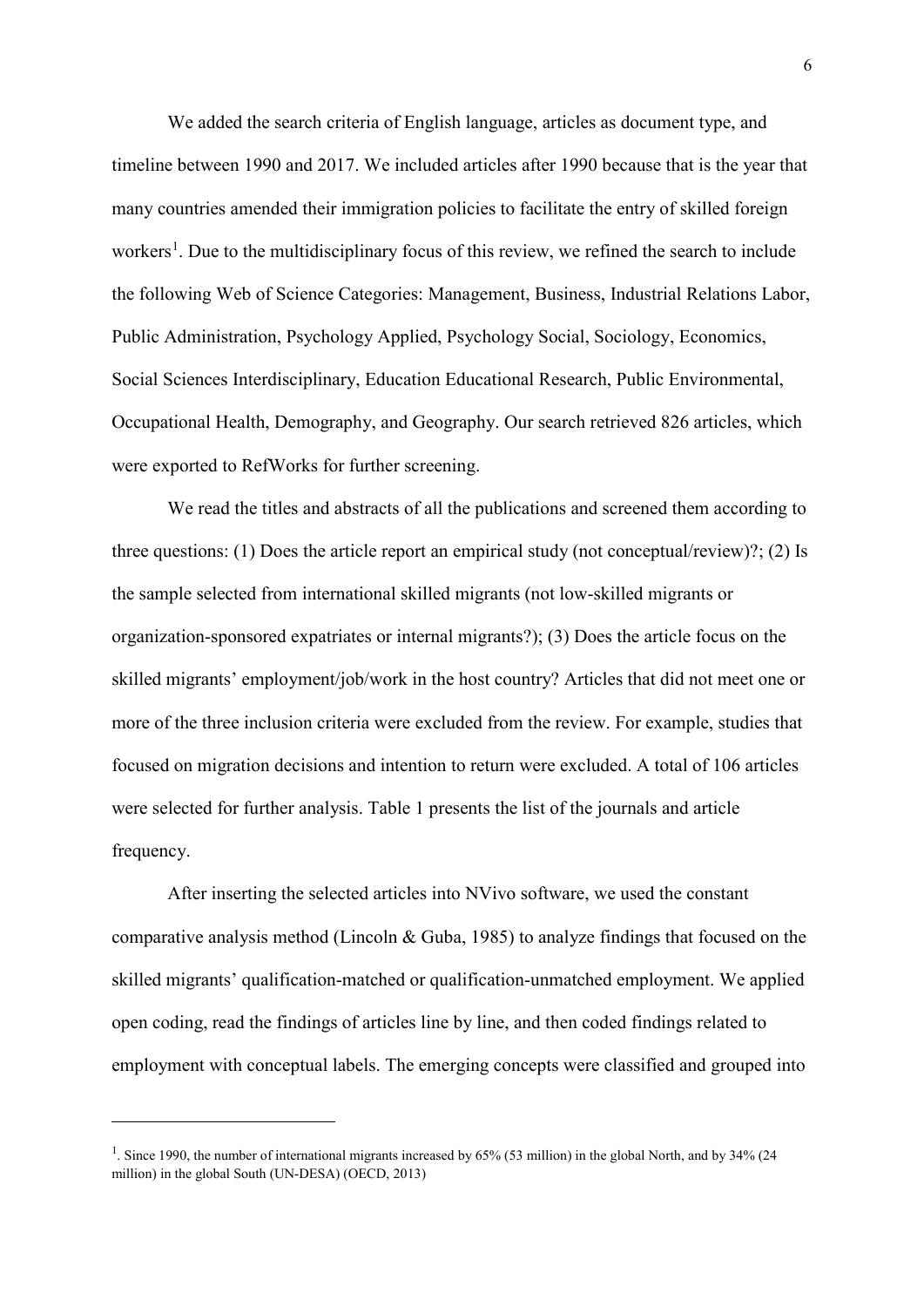We added the search criteria of English language, articles as document type, and timeline between 1990 and 2017. We included articles after 1990 because that is the year that many countries amended their immigration policies to facilitate the entry of skilled foreign workers<sup>[1](#page-6-0)</sup>. Due to the multidisciplinary focus of this review, we refined the search to include the following Web of Science Categories: Management, Business, Industrial Relations Labor, Public Administration, Psychology Applied, Psychology Social, Sociology, Economics, Social Sciences Interdisciplinary, Education Educational Research, Public Environmental, Occupational Health, Demography, and Geography. Our search retrieved 826 articles, which were exported to RefWorks for further screening.

We read the titles and abstracts of all the publications and screened them according to three questions: (1) Does the article report an empirical study (not conceptual/review)?; (2) Is the sample selected from international skilled migrants (not low-skilled migrants or organization-sponsored expatriates or internal migrants?); (3) Does the article focus on the skilled migrants' employment/job/work in the host country? Articles that did not meet one or more of the three inclusion criteria were excluded from the review. For example, studies that focused on migration decisions and intention to return were excluded. A total of 106 articles were selected for further analysis. Table 1 presents the list of the journals and article frequency.

After inserting the selected articles into NVivo software, we used the constant comparative analysis method (Lincoln & Guba, 1985) to analyze findings that focused on the skilled migrants' qualification-matched or qualification-unmatched employment. We applied open coding, read the findings of articles line by line, and then coded findings related to employment with conceptual labels. The emerging concepts were classified and grouped into

**.** 

<span id="page-6-0"></span><sup>&</sup>lt;sup>1</sup>. Since 1990, the number of international migrants increased by 65% (53 million) in the global North, and by 34% (24 million) in the global South (UN-DESA) (OECD, 2013)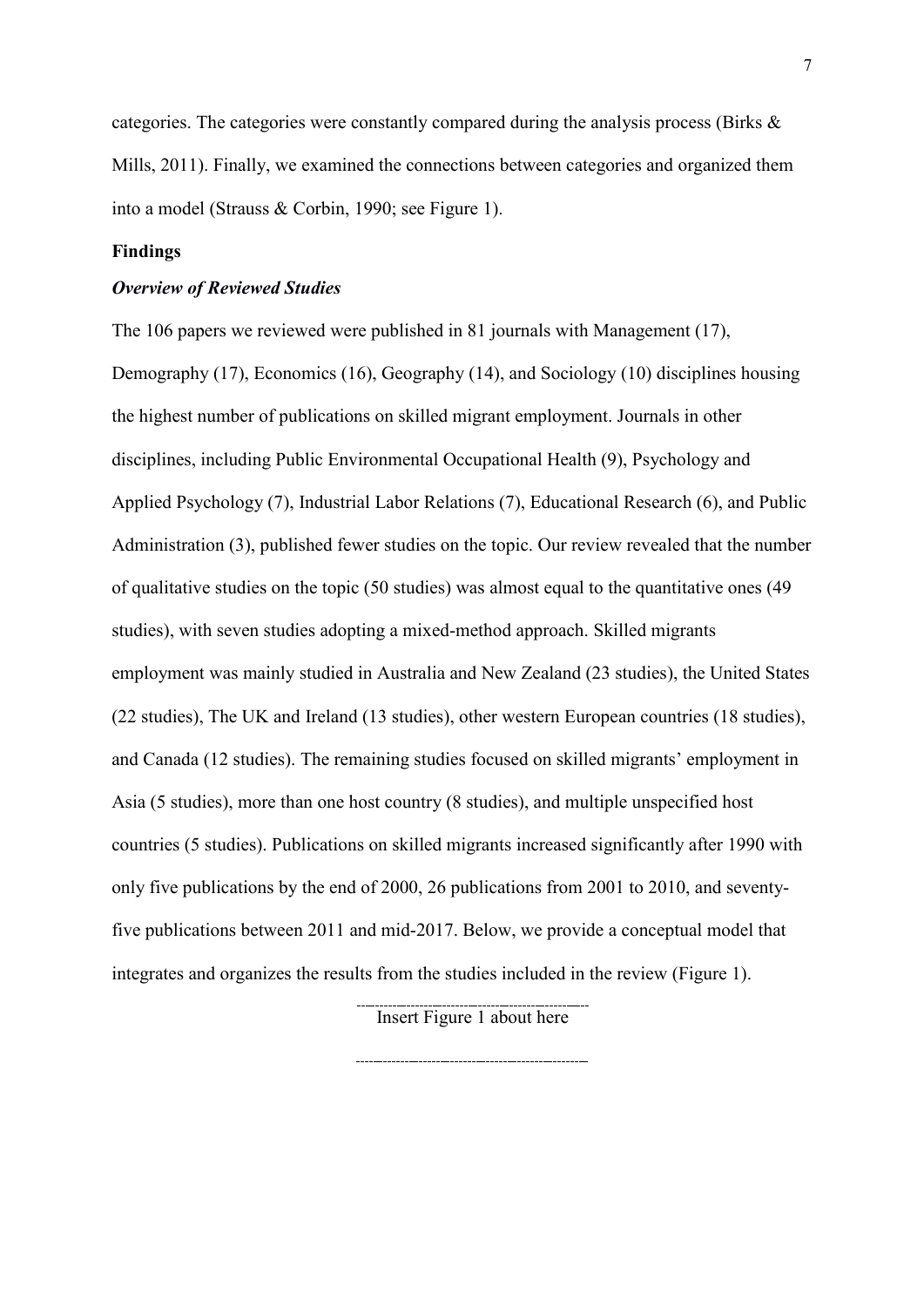categories. The categories were constantly compared during the analysis process (Birks & Mills, 2011). Finally, we examined the connections between categories and organized them into a model (Strauss & Corbin, 1990; see Figure 1).

### **Findings**

#### *Overview of Reviewed Studies*

The 106 papers we reviewed were published in 81 journals with Management (17), Demography (17), Economics (16), Geography (14), and Sociology (10) disciplines housing the highest number of publications on skilled migrant employment. Journals in other disciplines, including Public Environmental Occupational Health (9), Psychology and Applied Psychology (7), Industrial Labor Relations (7), Educational Research (6), and Public Administration (3), published fewer studies on the topic. Our review revealed that the number of qualitative studies on the topic (50 studies) was almost equal to the quantitative ones (49 studies), with seven studies adopting a mixed-method approach. Skilled migrants employment was mainly studied in Australia and New Zealand (23 studies), the United States (22 studies), The UK and Ireland (13 studies), other western European countries (18 studies), and Canada (12 studies). The remaining studies focused on skilled migrants' employment in Asia (5 studies), more than one host country (8 studies), and multiple unspecified host countries (5 studies). Publications on skilled migrants increased significantly after 1990 with only five publications by the end of 2000, 26 publications from 2001 to 2010, and seventyfive publications between 2011 and mid-2017. Below, we provide a conceptual model that integrates and organizes the results from the studies included in the review (Figure 1).

Insert Figure 1 about here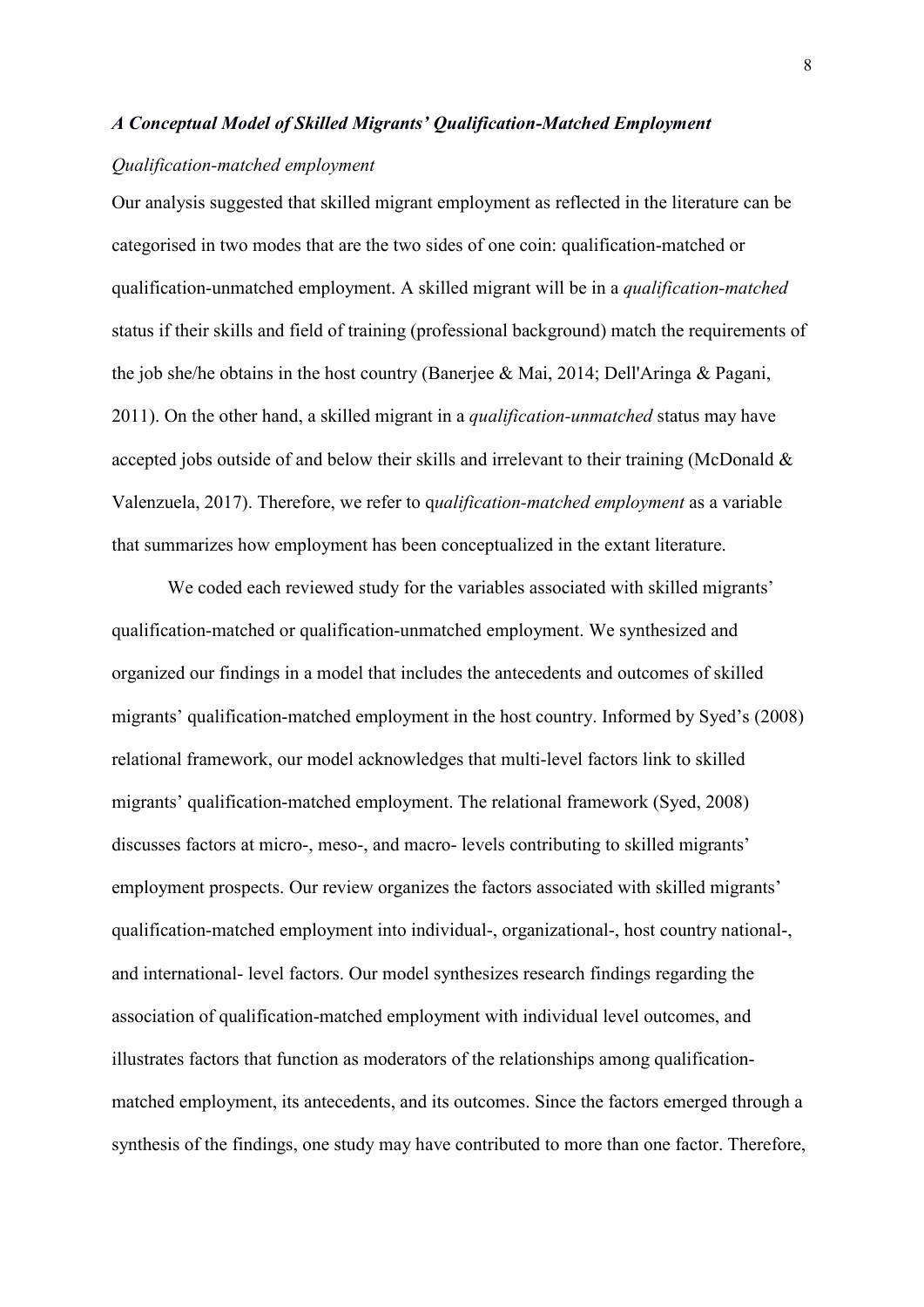#### *A Conceptual Model of Skilled Migrants' Qualification-Matched Employment*

#### *Qualification-matched employment*

Our analysis suggested that skilled migrant employment as reflected in the literature can be categorised in two modes that are the two sides of one coin: qualification-matched or qualification-unmatched employment. A skilled migrant will be in a *qualification-matched*  status if their skills and field of training (professional background) match the requirements of the job she/he obtains in the host country (Banerjee & Mai, 2014; Dell'Aringa & Pagani, 2011). On the other hand, a skilled migrant in a *qualification-unmatched* status may have accepted jobs outside of and below their skills and irrelevant to their training (McDonald & Valenzuela, 2017). Therefore, we refer to q*ualification-matched employment* as a variable that summarizes how employment has been conceptualized in the extant literature.

We coded each reviewed study for the variables associated with skilled migrants' qualification-matched or qualification-unmatched employment. We synthesized and organized our findings in a model that includes the antecedents and outcomes of skilled migrants' qualification-matched employment in the host country. Informed by Syed's (2008) relational framework, our model acknowledges that multi-level factors link to skilled migrants' qualification-matched employment. The relational framework (Syed, 2008) discusses factors at micro-, meso-, and macro- levels contributing to skilled migrants' employment prospects. Our review organizes the factors associated with skilled migrants' qualification-matched employment into individual-, organizational-, host country national-, and international- level factors. Our model synthesizes research findings regarding the association of qualification-matched employment with individual level outcomes, and illustrates factors that function as moderators of the relationships among qualificationmatched employment, its antecedents, and its outcomes. Since the factors emerged through a synthesis of the findings, one study may have contributed to more than one factor. Therefore,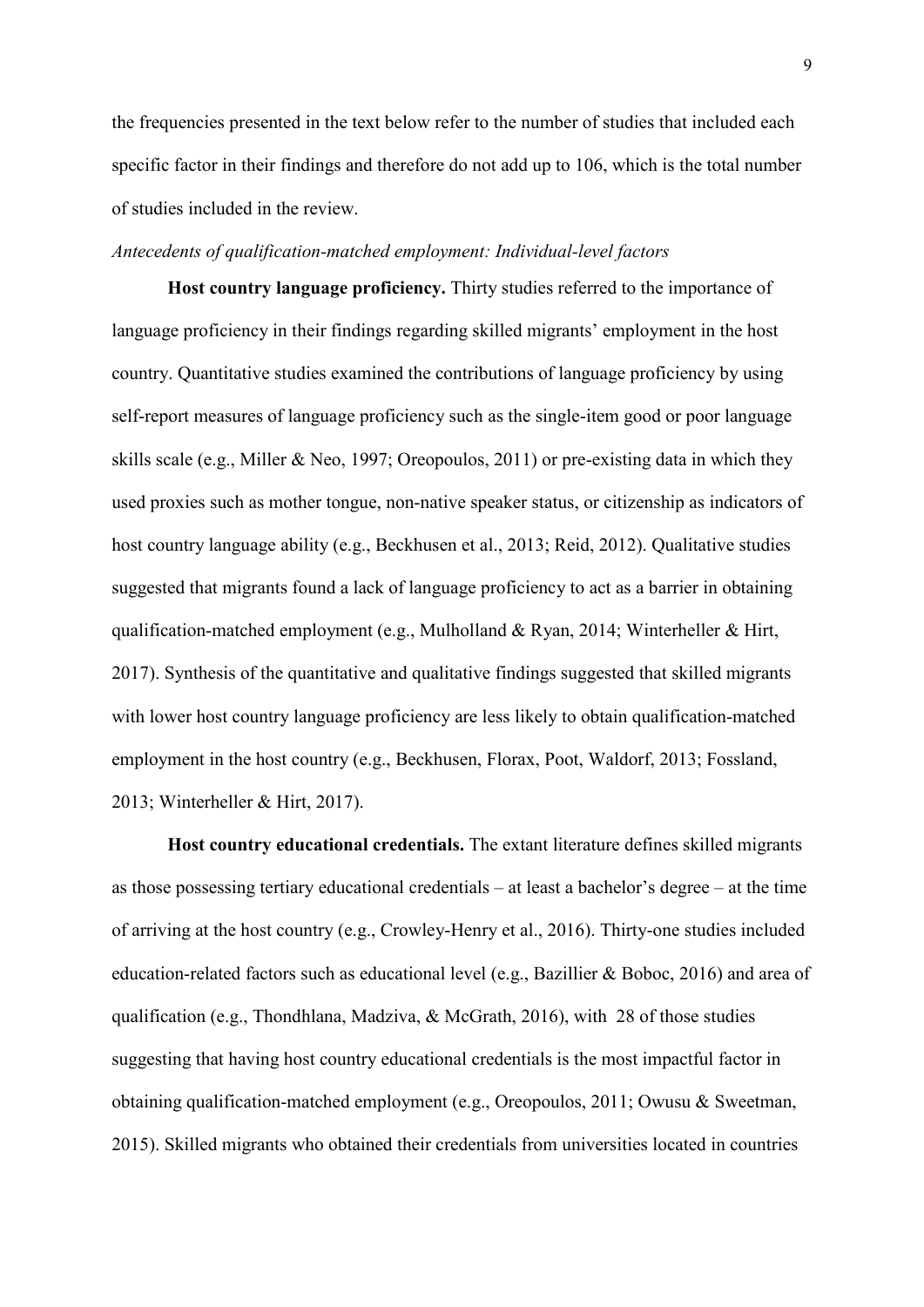the frequencies presented in the text below refer to the number of studies that included each specific factor in their findings and therefore do not add up to 106, which is the total number of studies included in the review.

### *Antecedents of qualification-matched employment: Individual-level factors*

**Host country language proficiency.** Thirty studies referred to the importance of language proficiency in their findings regarding skilled migrants' employment in the host country. Quantitative studies examined the contributions of language proficiency by using self-report measures of language proficiency such as the single-item good or poor language skills scale (e.g., Miller & Neo, 1997; Oreopoulos, 2011) or pre-existing data in which they used proxies such as mother tongue, non-native speaker status, or citizenship as indicators of host country language ability (e.g., Beckhusen et al., 2013; Reid, 2012). Qualitative studies suggested that migrants found a lack of language proficiency to act as a barrier in obtaining qualification-matched employment (e.g., Mulholland & Ryan, 2014; Winterheller & Hirt, 2017). Synthesis of the quantitative and qualitative findings suggested that skilled migrants with lower host country language proficiency are less likely to obtain qualification-matched employment in the host country (e.g., Beckhusen, Florax, Poot, Waldorf, 2013; Fossland, 2013; Winterheller & Hirt, 2017).

**Host country educational credentials.** The extant literature defines skilled migrants as those possessing tertiary educational credentials – at least a bachelor's degree – at the time of arriving at the host country (e.g., Crowley-Henry et al., 2016). Thirty-one studies included education-related factors such as educational level (e.g., Bazillier & Boboc, 2016) and area of qualification (e.g., Thondhlana, Madziva, & McGrath, 2016), with 28 of those studies suggesting that having host country educational credentials is the most impactful factor in obtaining qualification-matched employment (e.g., Oreopoulos, 2011; Owusu & Sweetman, 2015). Skilled migrants who obtained their credentials from universities located in countries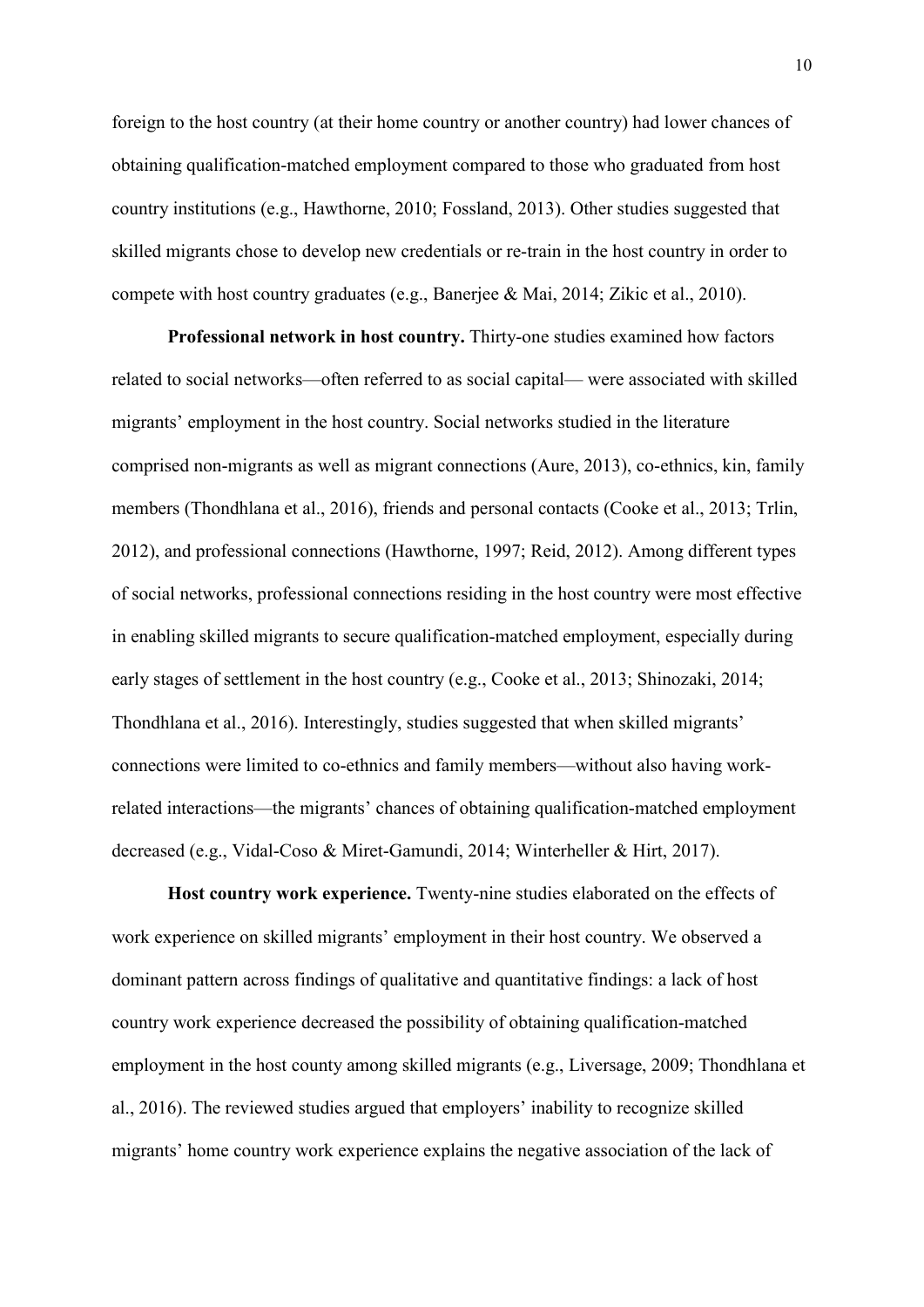foreign to the host country (at their home country or another country) had lower chances of obtaining qualification-matched employment compared to those who graduated from host country institutions (e.g., Hawthorne, 2010; Fossland, 2013). Other studies suggested that skilled migrants chose to develop new credentials or re-train in the host country in order to compete with host country graduates (e.g., Banerjee & Mai, 2014; Zikic et al., 2010).

**Professional network in host country.** Thirty-one studies examined how factors related to social networks—often referred to as social capital— were associated with skilled migrants' employment in the host country. Social networks studied in the literature comprised non-migrants as well as migrant connections (Aure, 2013), co-ethnics, kin, family members (Thondhlana et al., 2016), friends and personal contacts (Cooke et al., 2013; Trlin, 2012), and professional connections (Hawthorne, 1997; Reid, 2012). Among different types of social networks, professional connections residing in the host country were most effective in enabling skilled migrants to secure qualification-matched employment, especially during early stages of settlement in the host country (e.g., Cooke et al., 2013; Shinozaki, 2014; Thondhlana et al., 2016). Interestingly, studies suggested that when skilled migrants' connections were limited to co-ethnics and family members—without also having workrelated interactions—the migrants' chances of obtaining qualification-matched employment decreased (e.g., Vidal-Coso & Miret-Gamundi, 2014; Winterheller & Hirt, 2017).

**Host country work experience.** Twenty-nine studies elaborated on the effects of work experience on skilled migrants' employment in their host country. We observed a dominant pattern across findings of qualitative and quantitative findings: a lack of host country work experience decreased the possibility of obtaining qualification-matched employment in the host county among skilled migrants (e.g., Liversage, 2009; Thondhlana et al., 2016). The reviewed studies argued that employers' inability to recognize skilled migrants' home country work experience explains the negative association of the lack of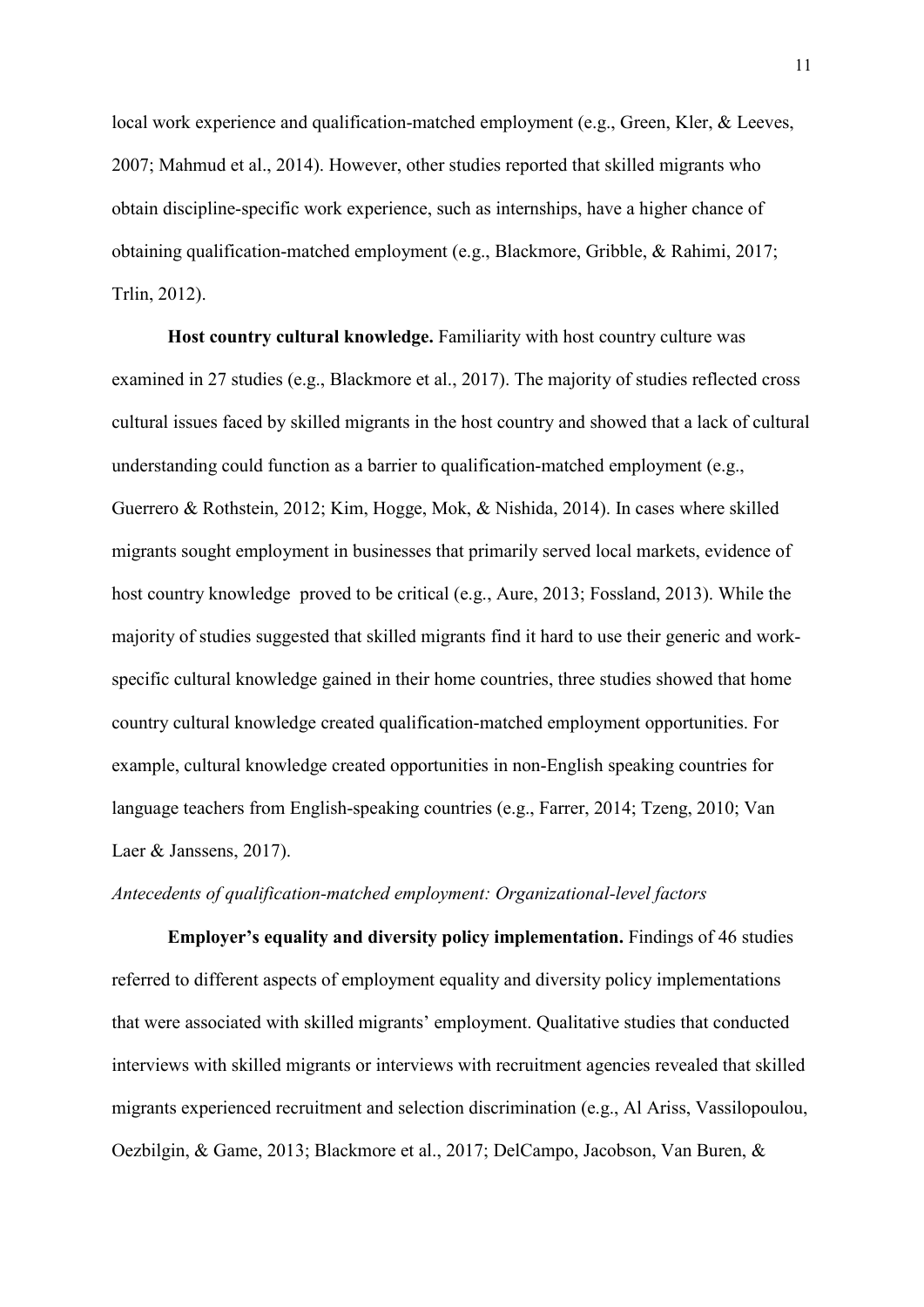local work experience and qualification-matched employment (e.g., Green, Kler, & Leeves, 2007; Mahmud et al., 2014). However, other studies reported that skilled migrants who obtain discipline-specific work experience, such as internships, have a higher chance of obtaining qualification-matched employment (e.g., Blackmore, Gribble, & Rahimi, 2017; Trlin, 2012).

**Host country cultural knowledge.** Familiarity with host country culture was examined in 27 studies (e.g., Blackmore et al., 2017). The majority of studies reflected cross cultural issues faced by skilled migrants in the host country and showed that a lack of cultural understanding could function as a barrier to qualification-matched employment (e.g., Guerrero & Rothstein, 2012; Kim, Hogge, Mok, & Nishida, 2014). In cases where skilled migrants sought employment in businesses that primarily served local markets, evidence of host country knowledge proved to be critical (e.g., Aure, 2013; Fossland, 2013). While the majority of studies suggested that skilled migrants find it hard to use their generic and workspecific cultural knowledge gained in their home countries, three studies showed that home country cultural knowledge created qualification-matched employment opportunities. For example, cultural knowledge created opportunities in non-English speaking countries for language teachers from English-speaking countries (e.g., Farrer, 2014; Tzeng, 2010; Van Laer & Janssens, 2017).

# *Antecedents of qualification-matched employment: Organizational-level factors*

**Employer's equality and diversity policy implementation.** Findings of 46 studies referred to different aspects of employment equality and diversity policy implementations that were associated with skilled migrants' employment. Qualitative studies that conducted interviews with skilled migrants or interviews with recruitment agencies revealed that skilled migrants experienced recruitment and selection discrimination (e.g., Al Ariss, Vassilopoulou, Oezbilgin, & Game, 2013; Blackmore et al., 2017; DelCampo, Jacobson, Van Buren, &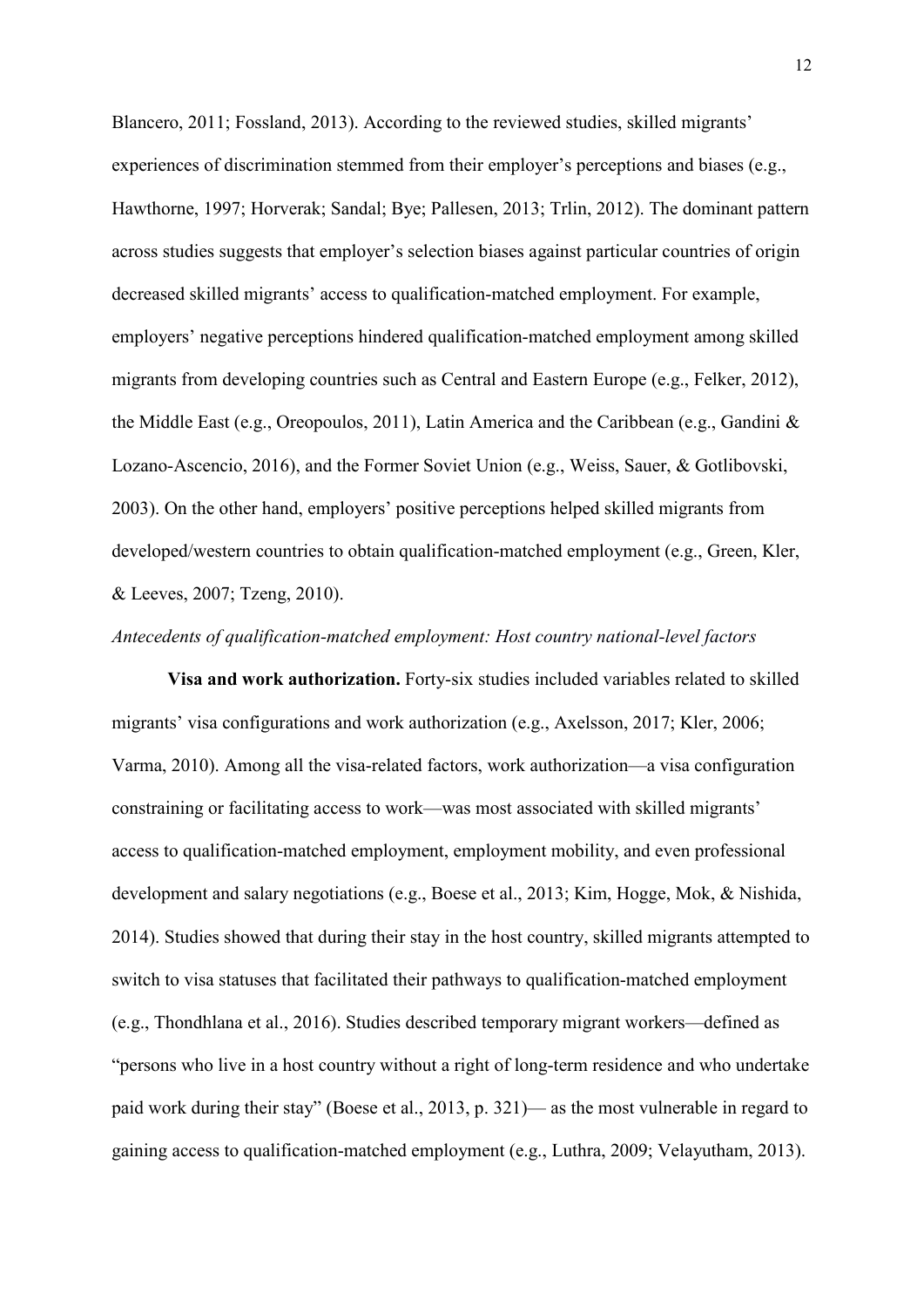Blancero, 2011; Fossland, 2013). According to the reviewed studies, skilled migrants' experiences of discrimination stemmed from their employer's perceptions and biases (e.g., Hawthorne, 1997; Horverak; Sandal; Bye; Pallesen, 2013; Trlin, 2012). The dominant pattern across studies suggests that employer's selection biases against particular countries of origin decreased skilled migrants' access to qualification-matched employment. For example, employers' negative perceptions hindered qualification-matched employment among skilled migrants from developing countries such as Central and Eastern Europe (e.g., Felker, 2012), the Middle East (e.g., Oreopoulos, 2011), Latin America and the Caribbean (e.g., Gandini & Lozano-Ascencio, 2016), and the Former Soviet Union (e.g., Weiss, Sauer, & Gotlibovski, 2003). On the other hand, employers' positive perceptions helped skilled migrants from developed/western countries to obtain qualification-matched employment (e.g., Green, Kler, & Leeves, 2007; Tzeng, 2010).

### *Antecedents of qualification-matched employment: Host country national-level factors*

**Visa and work authorization.** Forty-six studies included variables related to skilled migrants' visa configurations and work authorization (e.g., Axelsson, 2017; Kler, 2006; Varma, 2010). Among all the visa-related factors, work authorization—a visa configuration constraining or facilitating access to work—was most associated with skilled migrants' access to qualification-matched employment, employment mobility, and even professional development and salary negotiations (e.g., Boese et al., 2013; Kim, Hogge, Mok, & Nishida, 2014). Studies showed that during their stay in the host country, skilled migrants attempted to switch to visa statuses that facilitated their pathways to qualification-matched employment (e.g., Thondhlana et al., 2016). Studies described temporary migrant workers—defined as "persons who live in a host country without a right of long-term residence and who undertake paid work during their stay" (Boese et al., 2013, p. 321)— as the most vulnerable in regard to gaining access to qualification-matched employment (e.g., Luthra, 2009; Velayutham, 2013).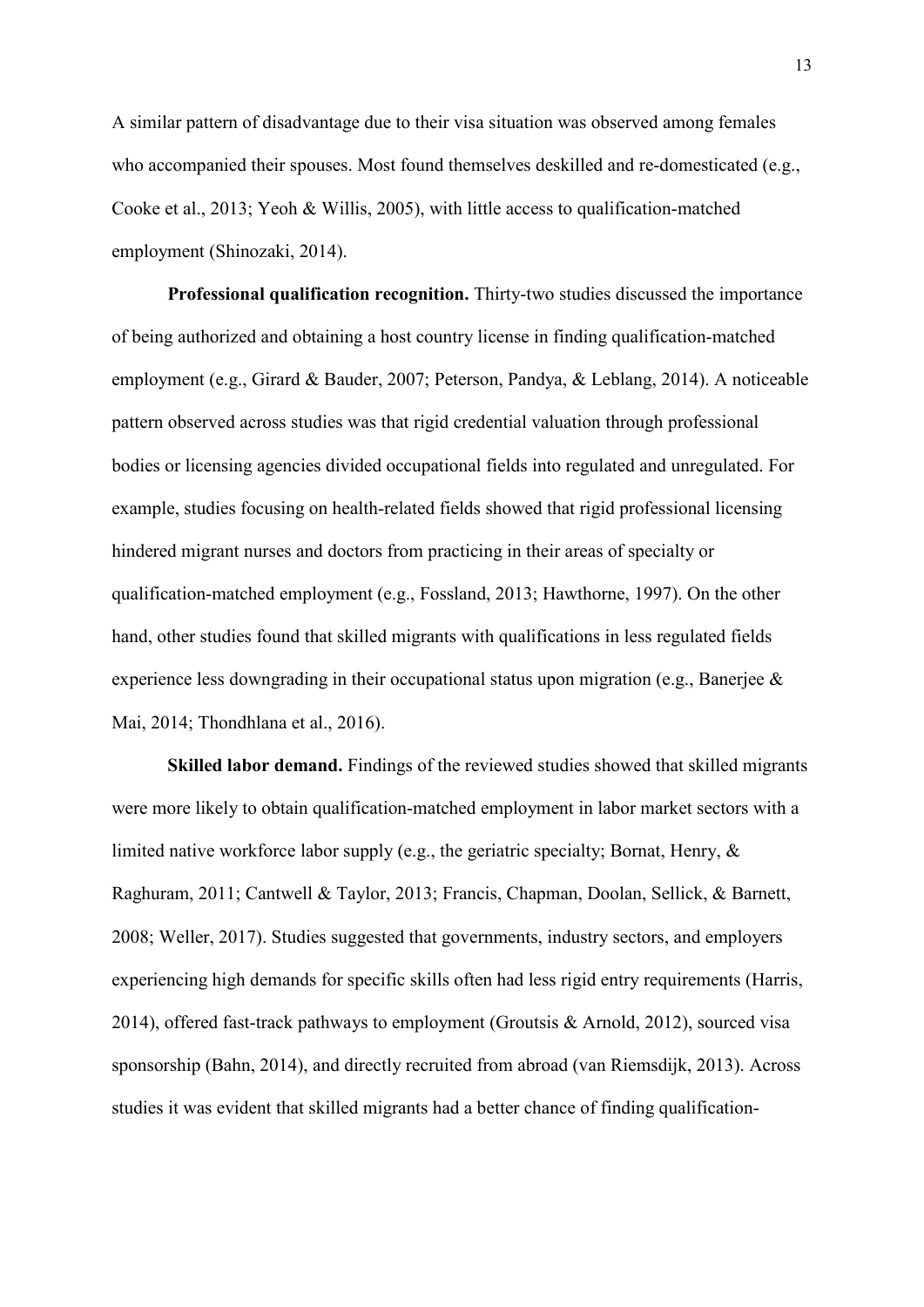A similar pattern of disadvantage due to their visa situation was observed among females who accompanied their spouses. Most found themselves deskilled and re-domesticated (e.g., Cooke et al., 2013; Yeoh & Willis, 2005), with little access to qualification-matched employment (Shinozaki, 2014).

**Professional qualification recognition.** Thirty-two studies discussed the importance of being authorized and obtaining a host country license in finding qualification-matched employment (e.g., Girard & Bauder, 2007; Peterson, Pandya, & Leblang, 2014). A noticeable pattern observed across studies was that rigid credential valuation through professional bodies or licensing agencies divided occupational fields into regulated and unregulated. For example, studies focusing on health-related fields showed that rigid professional licensing hindered migrant nurses and doctors from practicing in their areas of specialty or qualification-matched employment (e.g., Fossland, 2013; Hawthorne, 1997). On the other hand, other studies found that skilled migrants with qualifications in less regulated fields experience less downgrading in their occupational status upon migration (e.g., Banerjee & Mai, 2014; Thondhlana et al., 2016).

**Skilled labor demand.** Findings of the reviewed studies showed that skilled migrants were more likely to obtain qualification-matched employment in labor market sectors with a limited native workforce labor supply (e.g., the geriatric specialty; Bornat, Henry, & Raghuram, 2011; Cantwell & Taylor, 2013; Francis, Chapman, Doolan, Sellick, & Barnett, 2008; Weller, 2017). Studies suggested that governments, industry sectors, and employers experiencing high demands for specific skills often had less rigid entry requirements (Harris, 2014), offered fast-track pathways to employment (Groutsis & Arnold, 2012), sourced visa sponsorship (Bahn, 2014), and directly recruited from abroad (van Riemsdijk, 2013). Across studies it was evident that skilled migrants had a better chance of finding qualification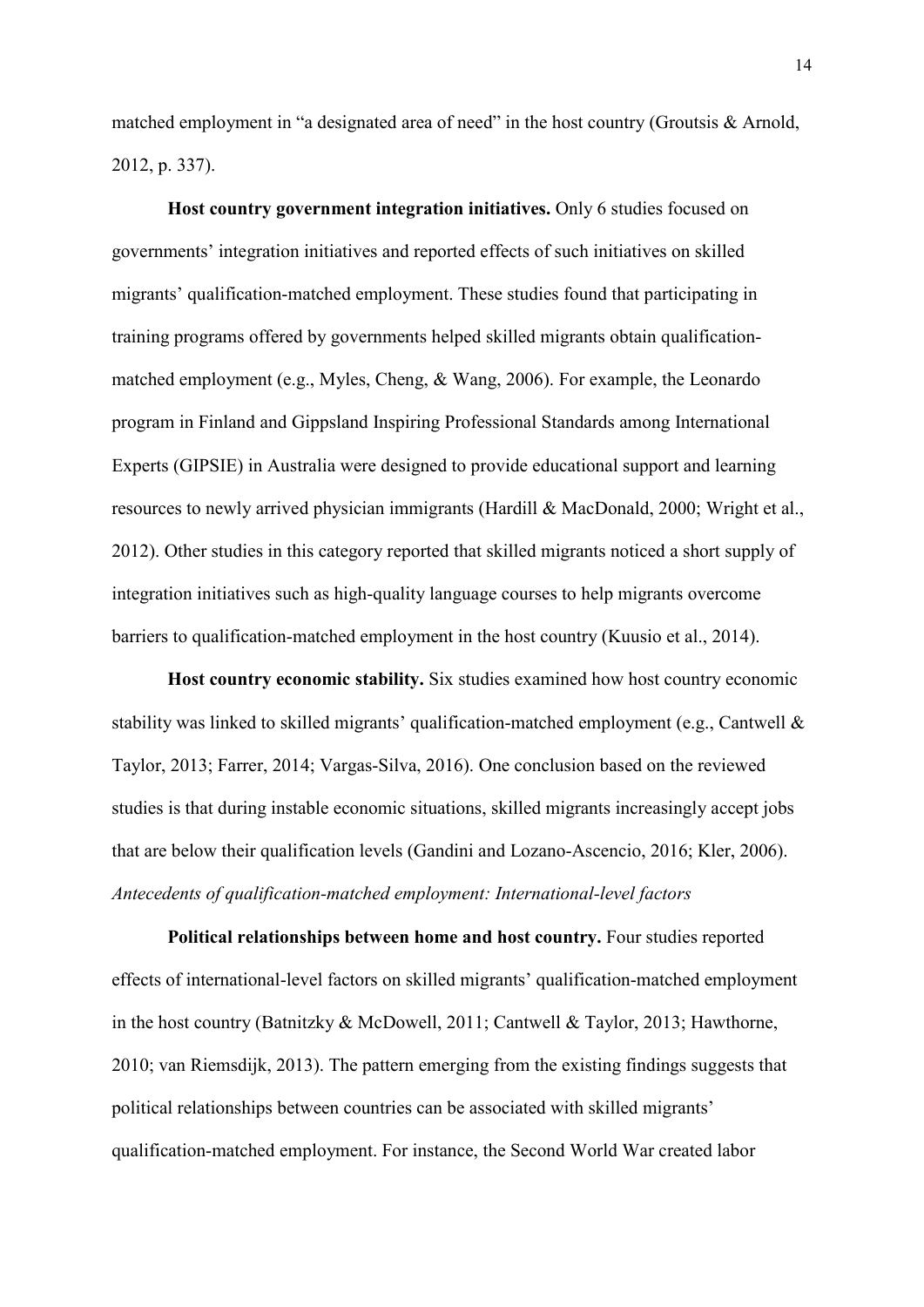matched employment in "a designated area of need" in the host country (Groutsis & Arnold, 2012, p. 337).

**Host country government integration initiatives.** Only 6 studies focused on governments' integration initiatives and reported effects of such initiatives on skilled migrants' qualification-matched employment. These studies found that participating in training programs offered by governments helped skilled migrants obtain qualificationmatched employment (e.g., Myles, Cheng, & Wang, 2006). For example, the Leonardo program in Finland and Gippsland Inspiring Professional Standards among International Experts (GIPSIE) in Australia were designed to provide educational support and learning resources to newly arrived physician immigrants (Hardill & MacDonald, 2000; Wright et al., 2012). Other studies in this category reported that skilled migrants noticed a short supply of integration initiatives such as high-quality language courses to help migrants overcome barriers to qualification-matched employment in the host country (Kuusio et al., 2014).

**Host country economic stability.** Six studies examined how host country economic stability was linked to skilled migrants' qualification-matched employment (e.g., Cantwell & Taylor, 2013; Farrer, 2014; Vargas-Silva, 2016). One conclusion based on the reviewed studies is that during instable economic situations, skilled migrants increasingly accept jobs that are below their qualification levels (Gandini and Lozano-Ascencio, 2016; Kler, 2006). *Antecedents of qualification-matched employment: International-level factors*

Political relationships between home and host country. Four studies reported effects of international-level factors on skilled migrants' qualification-matched employment in the host country (Batnitzky & McDowell, 2011; Cantwell & Taylor, 2013; Hawthorne, 2010; van Riemsdijk, 2013). The pattern emerging from the existing findings suggests that political relationships between countries can be associated with skilled migrants' qualification-matched employment. For instance, the Second World War created labor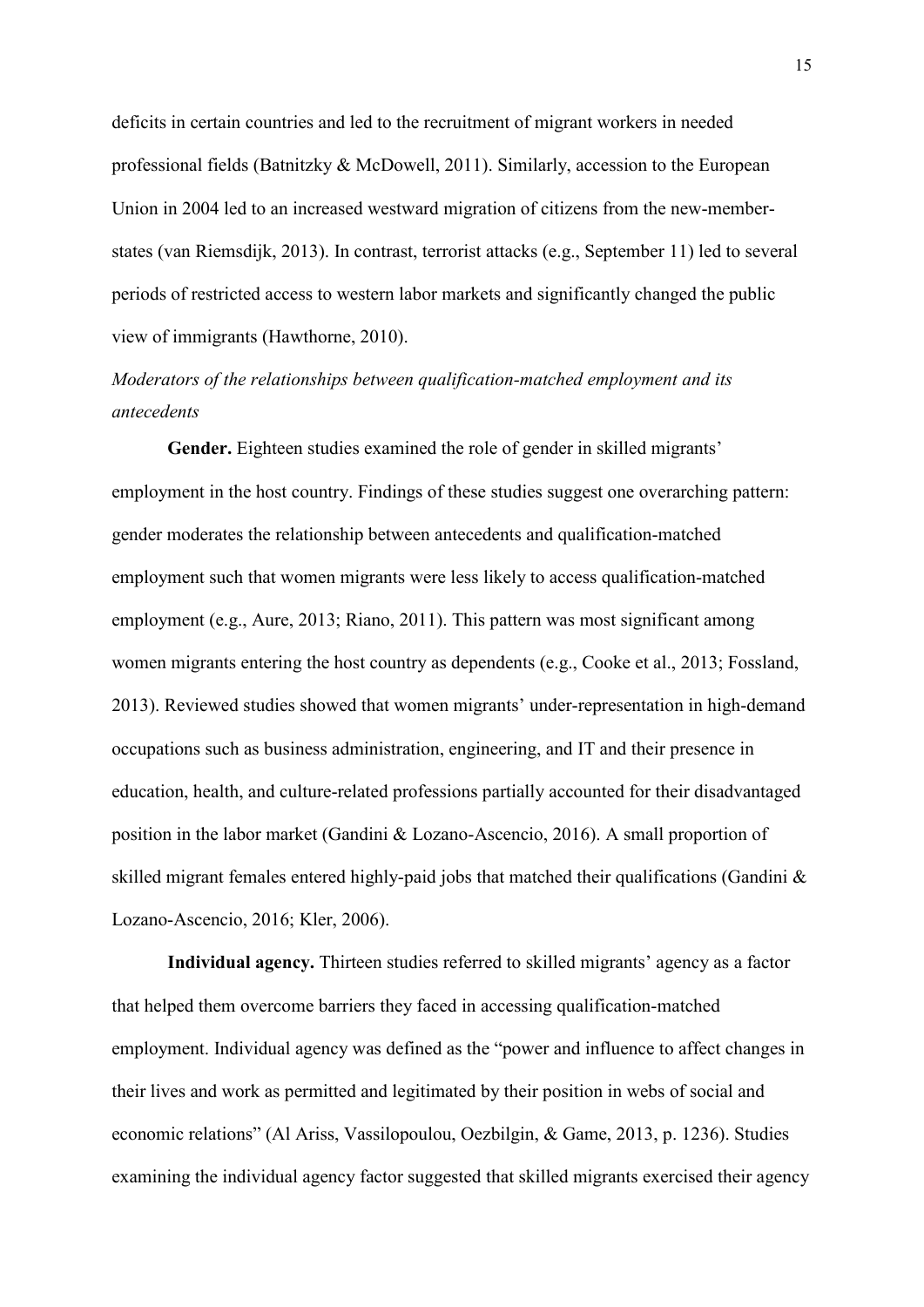deficits in certain countries and led to the recruitment of migrant workers in needed professional fields (Batnitzky & McDowell, 2011). Similarly, accession to the European Union in 2004 led to an increased westward migration of citizens from the new-memberstates (van Riemsdijk, 2013). In contrast, terrorist attacks (e.g., September 11) led to several periods of restricted access to western labor markets and significantly changed the public view of immigrants (Hawthorne, 2010).

# *Moderators of the relationships between qualification-matched employment and its antecedents*

Gender. Eighteen studies examined the role of gender in skilled migrants' employment in the host country. Findings of these studies suggest one overarching pattern: gender moderates the relationship between antecedents and qualification-matched employment such that women migrants were less likely to access qualification-matched employment (e.g., Aure, 2013; Riano, 2011). This pattern was most significant among women migrants entering the host country as dependents (e.g., Cooke et al., 2013; Fossland, 2013). Reviewed studies showed that women migrants' under-representation in high-demand occupations such as business administration, engineering, and IT and their presence in education, health, and culture-related professions partially accounted for their disadvantaged position in the labor market (Gandini & Lozano-Ascencio, 2016). A small proportion of skilled migrant females entered highly-paid jobs that matched their qualifications (Gandini & Lozano-Ascencio, 2016; Kler, 2006).

**Individual agency.** Thirteen studies referred to skilled migrants' agency as a factor that helped them overcome barriers they faced in accessing qualification-matched employment. Individual agency was defined as the "power and influence to affect changes in their lives and work as permitted and legitimated by their position in webs of social and economic relations" (Al Ariss, Vassilopoulou, Oezbilgin, & Game, 2013, p. 1236). Studies examining the individual agency factor suggested that skilled migrants exercised their agency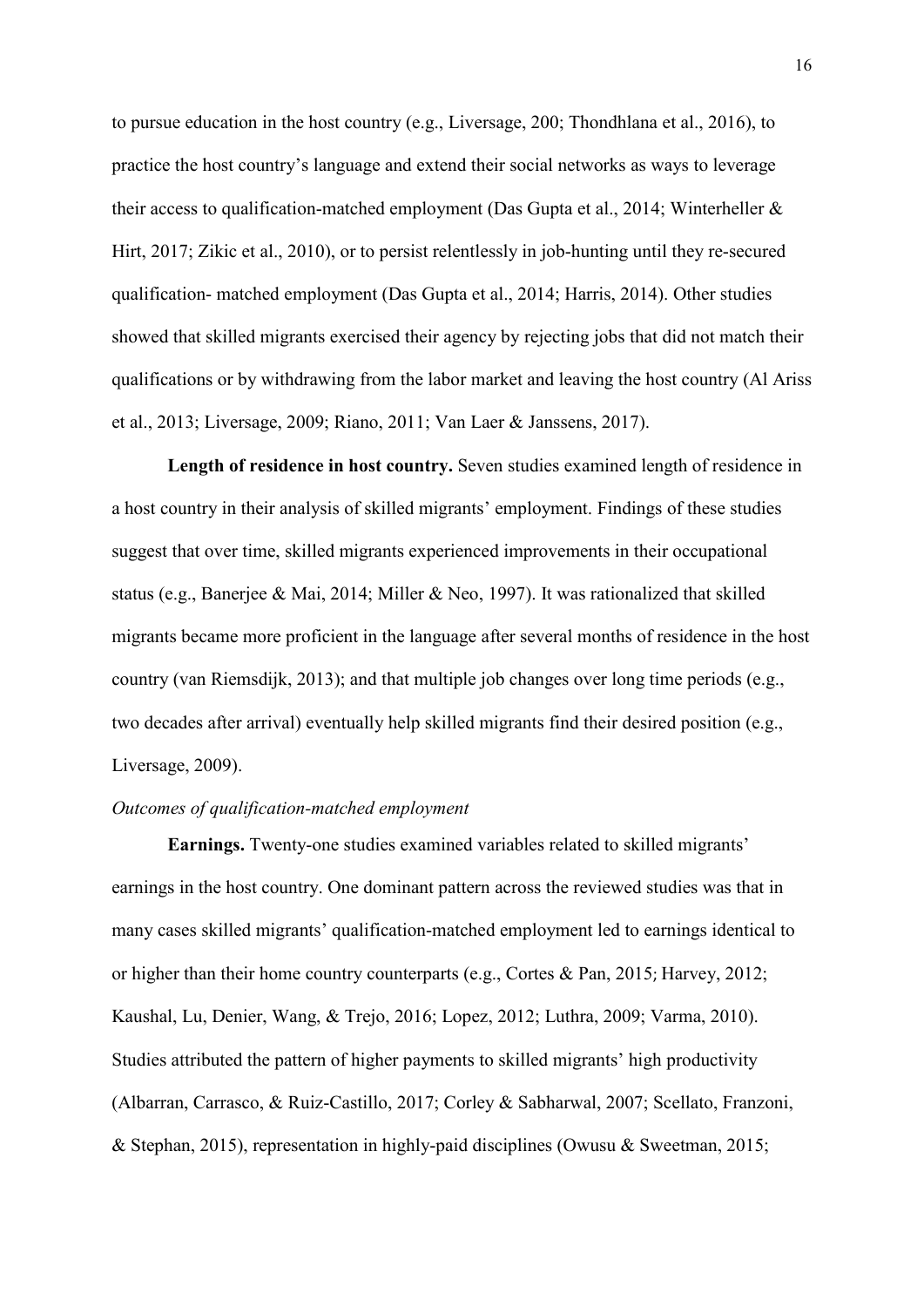to pursue education in the host country (e.g., Liversage, 200; Thondhlana et al., 2016), to practice the host country's language and extend their social networks as ways to leverage their access to qualification-matched employment (Das Gupta et al., 2014; Winterheller & Hirt, 2017; Zikic et al., 2010), or to persist relentlessly in job-hunting until they re-secured qualification- matched employment (Das Gupta et al., 2014; Harris, 2014). Other studies showed that skilled migrants exercised their agency by rejecting jobs that did not match their qualifications or by withdrawing from the labor market and leaving the host country (Al Ariss et al., 2013; Liversage, 2009; Riano, 2011; Van Laer & Janssens, 2017).

**Length of residence in host country.** Seven studies examined length of residence in a host country in their analysis of skilled migrants' employment. Findings of these studies suggest that over time, skilled migrants experienced improvements in their occupational status (e.g., Banerjee & Mai, 2014; Miller & Neo, 1997). It was rationalized that skilled migrants became more proficient in the language after several months of residence in the host country (van Riemsdijk, 2013); and that multiple job changes over long time periods (e.g., two decades after arrival) eventually help skilled migrants find their desired position (e.g., Liversage, 2009).

# *Outcomes of qualification-matched employment*

**Earnings.** Twenty-one studies examined variables related to skilled migrants' earnings in the host country. One dominant pattern across the reviewed studies was that in many cases skilled migrants' qualification-matched employment led to earnings identical to or higher than their home country counterparts (e.g., Cortes & Pan, 2015; Harvey, 2012; Kaushal, Lu, Denier, Wang, & Trejo, 2016; Lopez, 2012; Luthra, 2009; Varma, 2010). Studies attributed the pattern of higher payments to skilled migrants' high productivity (Albarran, Carrasco, & Ruiz-Castillo, 2017; Corley & Sabharwal, 2007; Scellato, Franzoni, & Stephan, 2015), representation in highly-paid disciplines (Owusu & Sweetman, 2015;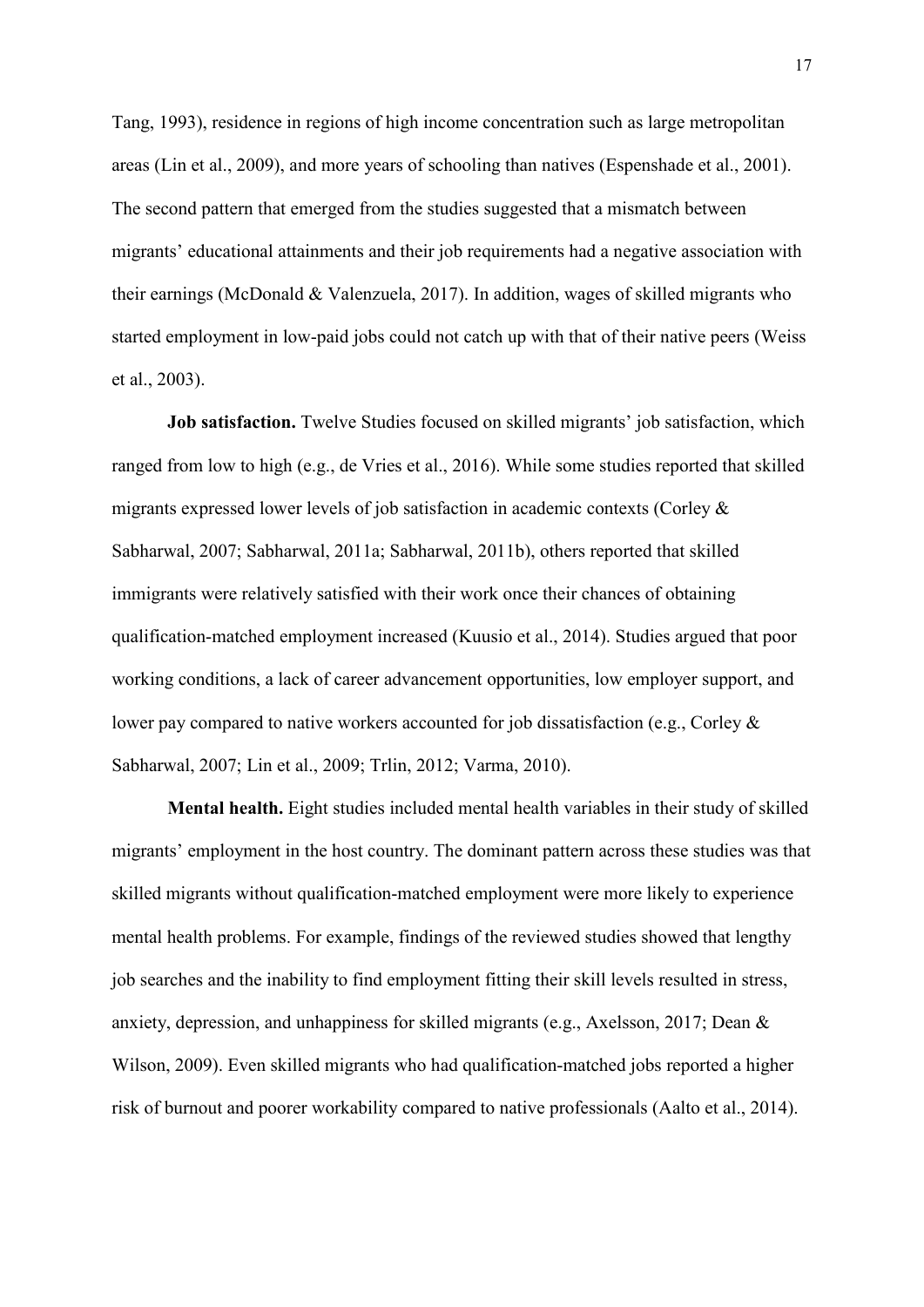Tang, 1993), residence in regions of high income concentration such as large metropolitan areas (Lin et al., 2009), and more years of schooling than natives (Espenshade et al., 2001). The second pattern that emerged from the studies suggested that a mismatch between migrants' educational attainments and their job requirements had a negative association with their earnings (McDonald & Valenzuela, 2017). In addition, wages of skilled migrants who started employment in low-paid jobs could not catch up with that of their native peers (Weiss et al., 2003).

**Job satisfaction.** Twelve Studies focused on skilled migrants' job satisfaction, which ranged from low to high (e.g., de Vries et al., 2016). While some studies reported that skilled migrants expressed lower levels of job satisfaction in academic contexts (Corley & Sabharwal, 2007; Sabharwal, 2011a; Sabharwal, 2011b), others reported that skilled immigrants were relatively satisfied with their work once their chances of obtaining qualification-matched employment increased (Kuusio et al., 2014). Studies argued that poor working conditions, a lack of career advancement opportunities, low employer support, and lower pay compared to native workers accounted for job dissatisfaction (e.g., Corley & Sabharwal, 2007; Lin et al., 2009; Trlin, 2012; Varma, 2010).

**Mental health.** Eight studies included mental health variables in their study of skilled migrants' employment in the host country. The dominant pattern across these studies was that skilled migrants without qualification-matched employment were more likely to experience mental health problems. For example, findings of the reviewed studies showed that lengthy job searches and the inability to find employment fitting their skill levels resulted in stress, anxiety, depression, and unhappiness for skilled migrants (e.g., Axelsson, 2017; Dean & Wilson, 2009). Even skilled migrants who had qualification-matched jobs reported a higher risk of burnout and poorer workability compared to native professionals (Aalto et al., 2014).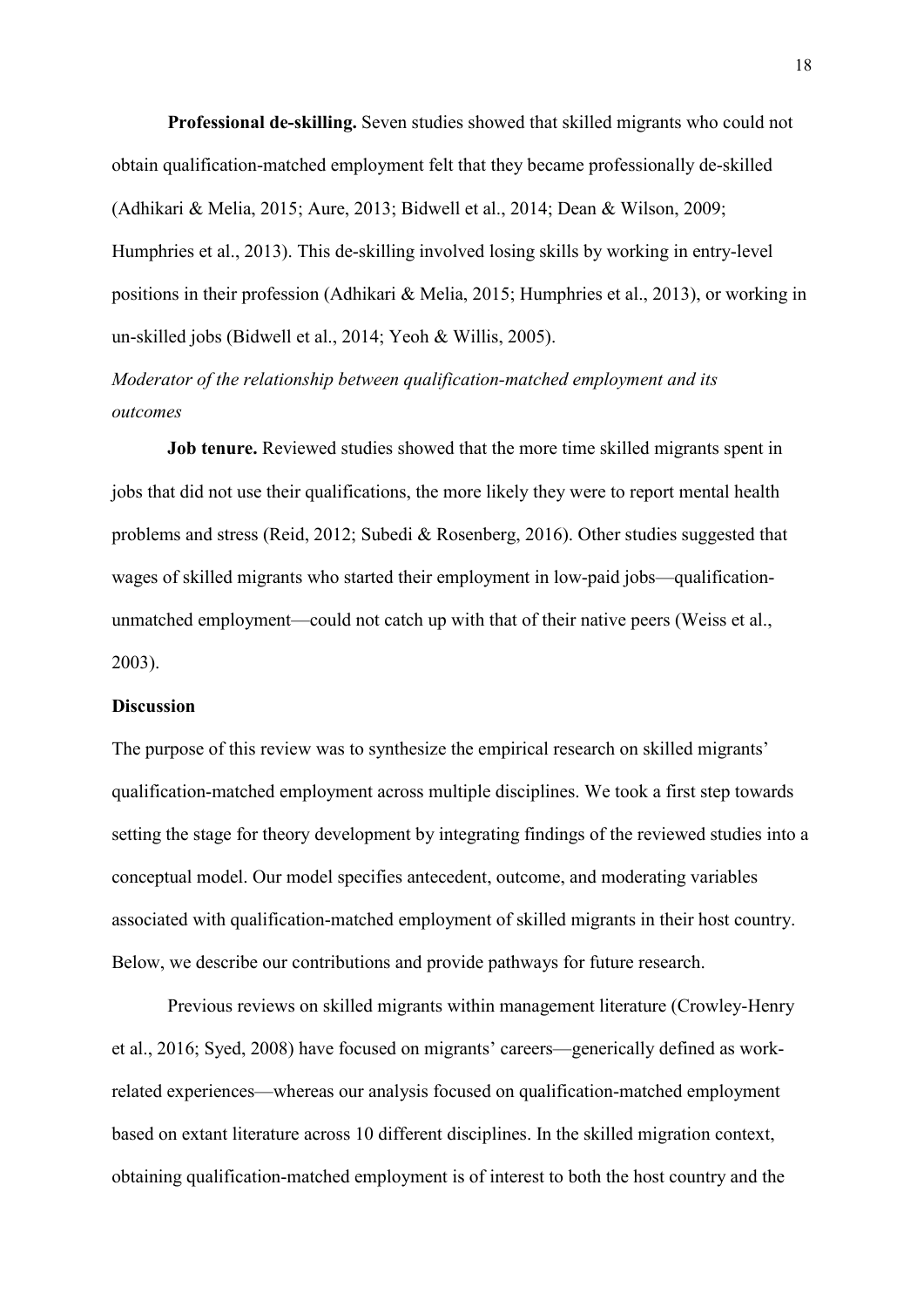**Professional de-skilling.** Seven studies showed that skilled migrants who could not obtain qualification-matched employment felt that they became professionally de-skilled (Adhikari & Melia, 2015; Aure, 2013; Bidwell et al., 2014; Dean & Wilson, 2009; Humphries et al., 2013). This de-skilling involved losing skills by working in entry-level positions in their profession (Adhikari & Melia, 2015; Humphries et al., 2013), or working in un-skilled jobs (Bidwell et al., 2014; Yeoh & Willis, 2005).

*Moderator of the relationship between qualification-matched employment and its outcomes* 

**Job tenure.** Reviewed studies showed that the more time skilled migrants spent in jobs that did not use their qualifications, the more likely they were to report mental health problems and stress (Reid, 2012; Subedi & Rosenberg, 2016). Other studies suggested that wages of skilled migrants who started their employment in low-paid jobs—qualificationunmatched employment—could not catch up with that of their native peers (Weiss et al., 2003).

### **Discussion**

The purpose of this review was to synthesize the empirical research on skilled migrants' qualification-matched employment across multiple disciplines. We took a first step towards setting the stage for theory development by integrating findings of the reviewed studies into a conceptual model. Our model specifies antecedent, outcome, and moderating variables associated with qualification-matched employment of skilled migrants in their host country. Below, we describe our contributions and provide pathways for future research.

Previous reviews on skilled migrants within management literature (Crowley-Henry et al., 2016; Syed, 2008) have focused on migrants' careers—generically defined as workrelated experiences—whereas our analysis focused on qualification-matched employment based on extant literature across 10 different disciplines. In the skilled migration context, obtaining qualification-matched employment is of interest to both the host country and the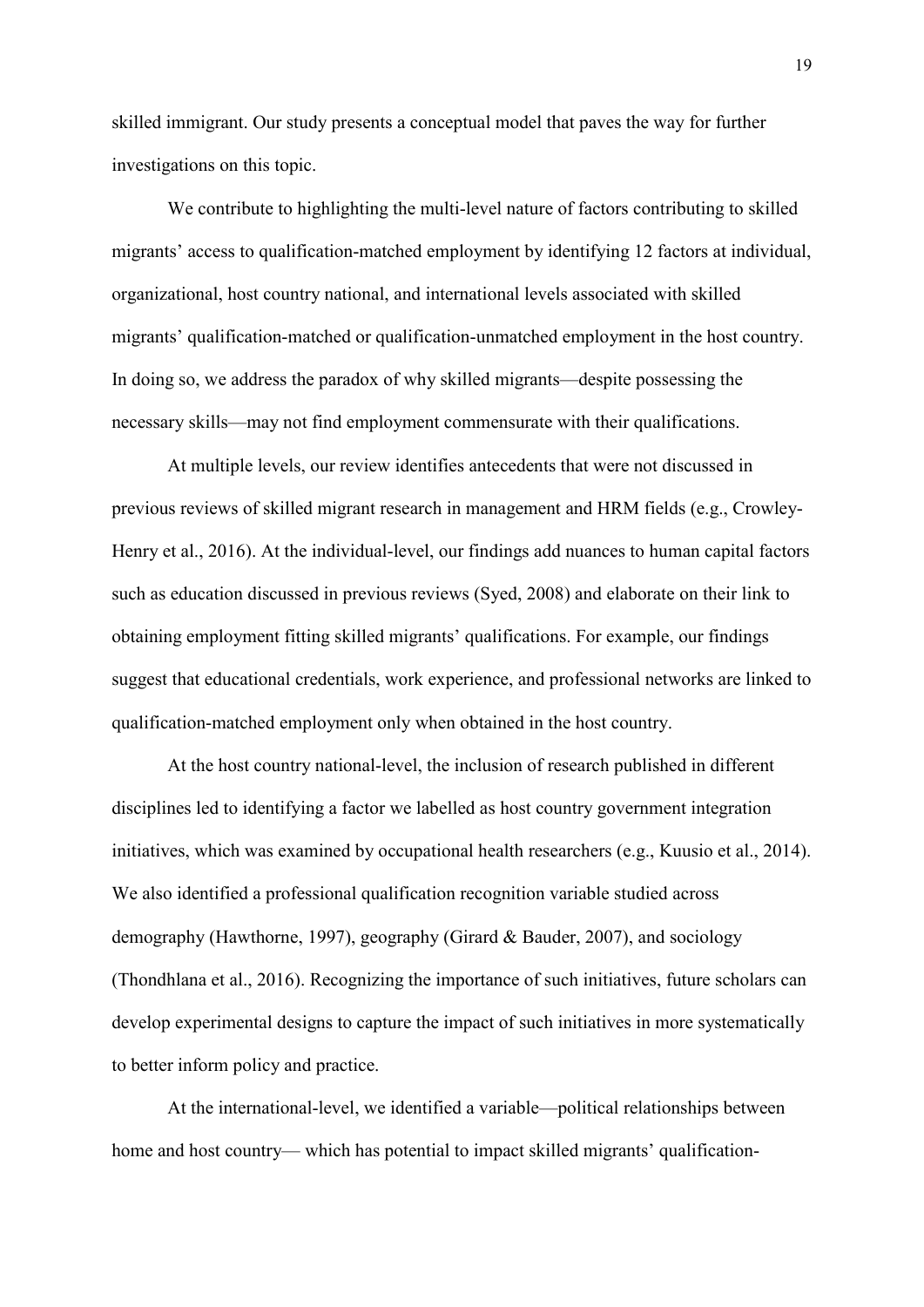skilled immigrant. Our study presents a conceptual model that paves the way for further investigations on this topic.

We contribute to highlighting the multi-level nature of factors contributing to skilled migrants' access to qualification-matched employment by identifying 12 factors at individual, organizational, host country national, and international levels associated with skilled migrants' qualification-matched or qualification-unmatched employment in the host country. In doing so, we address the paradox of why skilled migrants—despite possessing the necessary skills—may not find employment commensurate with their qualifications.

At multiple levels, our review identifies antecedents that were not discussed in previous reviews of skilled migrant research in management and HRM fields (e.g., Crowley-Henry et al., 2016). At the individual-level, our findings add nuances to human capital factors such as education discussed in previous reviews (Syed, 2008) and elaborate on their link to obtaining employment fitting skilled migrants' qualifications. For example, our findings suggest that educational credentials, work experience, and professional networks are linked to qualification-matched employment only when obtained in the host country.

At the host country national-level, the inclusion of research published in different disciplines led to identifying a factor we labelled as host country government integration initiatives, which was examined by occupational health researchers (e.g., Kuusio et al., 2014). We also identified a professional qualification recognition variable studied across demography (Hawthorne, 1997), geography (Girard & Bauder, 2007), and sociology (Thondhlana et al., 2016). Recognizing the importance of such initiatives, future scholars can develop experimental designs to capture the impact of such initiatives in more systematically to better inform policy and practice.

At the international-level, we identified a variable—political relationships between home and host country— which has potential to impact skilled migrants' qualification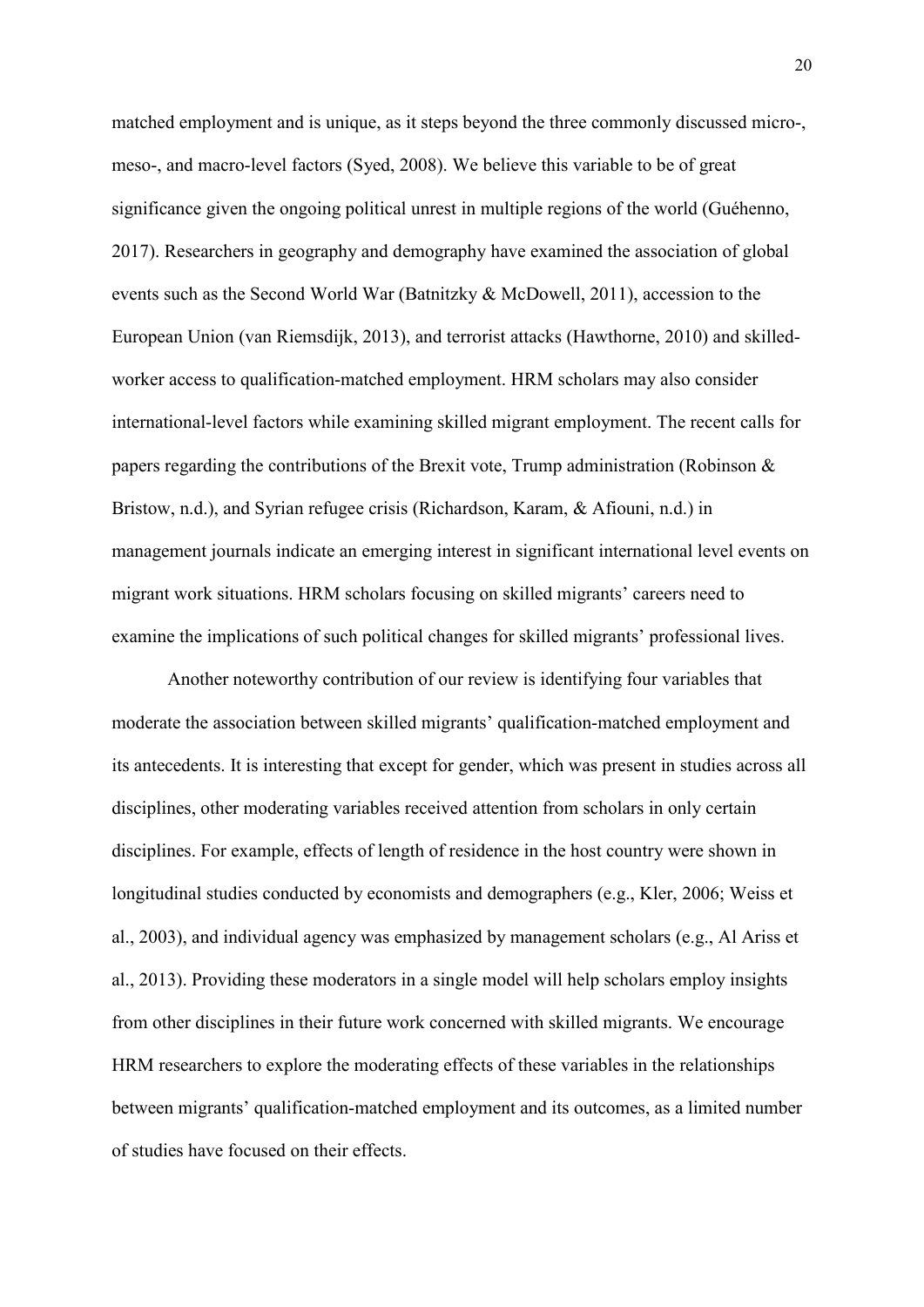matched employment and is unique, as it steps beyond the three commonly discussed micro-, meso-, and macro-level factors (Syed, 2008). We believe this variable to be of great significance given the ongoing political unrest in multiple regions of the world (Guéhenno, 2017). Researchers in geography and demography have examined the association of global events such as the Second World War (Batnitzky & McDowell, 2011), accession to the European Union (van Riemsdijk, 2013), and terrorist attacks (Hawthorne, 2010) and skilledworker access to qualification-matched employment. HRM scholars may also consider international-level factors while examining skilled migrant employment. The recent calls for papers regarding the contributions of the Brexit vote, Trump administration (Robinson & Bristow, n.d.), and Syrian refugee crisis (Richardson, Karam, & Afiouni, n.d.) in management journals indicate an emerging interest in significant international level events on migrant work situations. HRM scholars focusing on skilled migrants' careers need to examine the implications of such political changes for skilled migrants' professional lives.

Another noteworthy contribution of our review is identifying four variables that moderate the association between skilled migrants' qualification-matched employment and its antecedents. It is interesting that except for gender, which was present in studies across all disciplines, other moderating variables received attention from scholars in only certain disciplines. For example, effects of length of residence in the host country were shown in longitudinal studies conducted by economists and demographers (e.g., Kler, 2006; Weiss et al., 2003), and individual agency was emphasized by management scholars (e.g., Al Ariss et al., 2013). Providing these moderators in a single model will help scholars employ insights from other disciplines in their future work concerned with skilled migrants. We encourage HRM researchers to explore the moderating effects of these variables in the relationships between migrants' qualification-matched employment and its outcomes, as a limited number of studies have focused on their effects.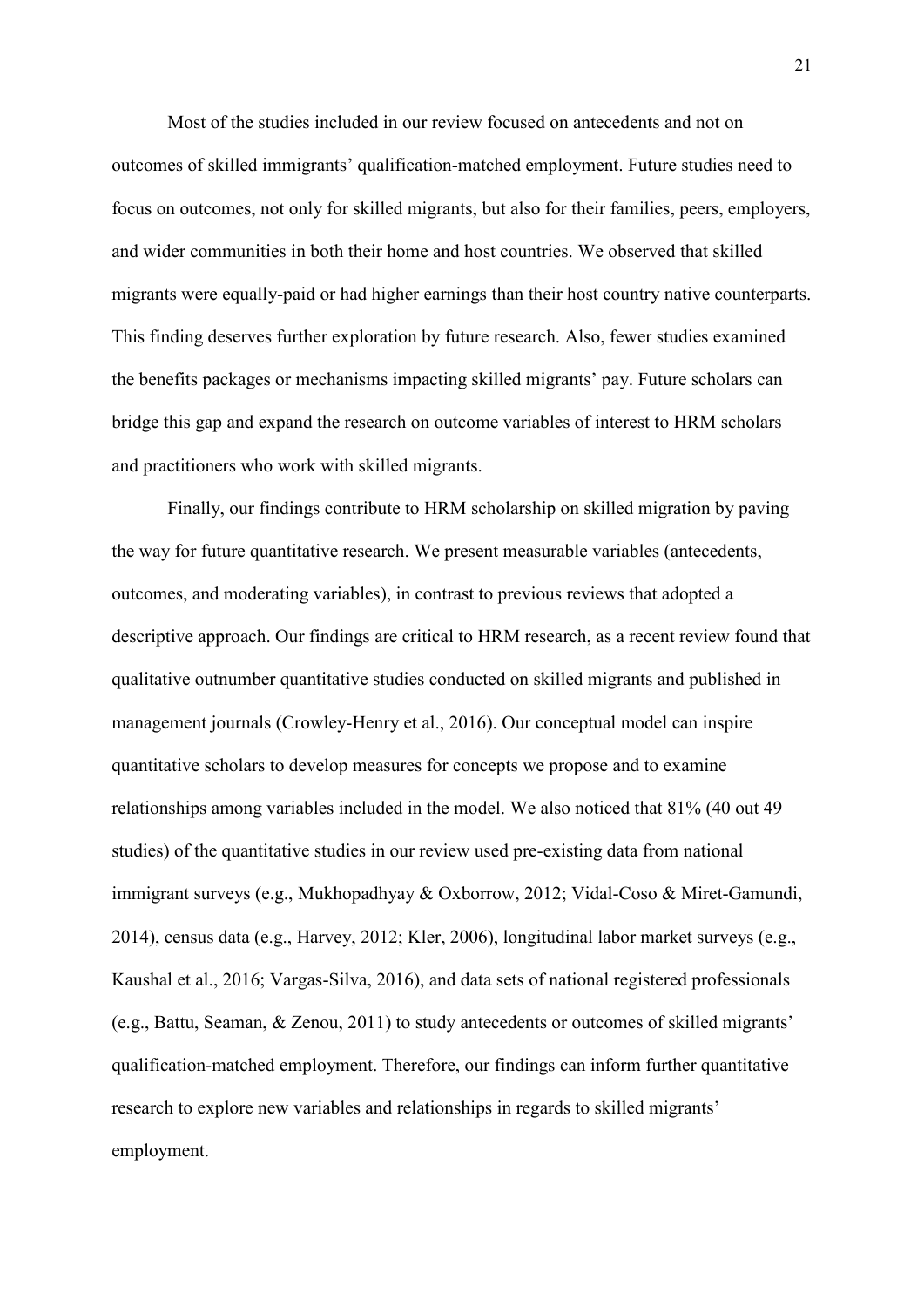Most of the studies included in our review focused on antecedents and not on outcomes of skilled immigrants' qualification-matched employment. Future studies need to focus on outcomes, not only for skilled migrants, but also for their families, peers, employers, and wider communities in both their home and host countries. We observed that skilled migrants were equally-paid or had higher earnings than their host country native counterparts. This finding deserves further exploration by future research. Also, fewer studies examined the benefits packages or mechanisms impacting skilled migrants' pay. Future scholars can bridge this gap and expand the research on outcome variables of interest to HRM scholars and practitioners who work with skilled migrants.

Finally, our findings contribute to HRM scholarship on skilled migration by paving the way for future quantitative research. We present measurable variables (antecedents, outcomes, and moderating variables), in contrast to previous reviews that adopted a descriptive approach. Our findings are critical to HRM research, as a recent review found that qualitative outnumber quantitative studies conducted on skilled migrants and published in management journals (Crowley-Henry et al., 2016). Our conceptual model can inspire quantitative scholars to develop measures for concepts we propose and to examine relationships among variables included in the model. We also noticed that 81% (40 out 49 studies) of the quantitative studies in our review used pre-existing data from national immigrant surveys (e.g., Mukhopadhyay & Oxborrow, 2012; Vidal-Coso & Miret-Gamundi, 2014), census data (e.g., Harvey, 2012; Kler, 2006), longitudinal labor market surveys (e.g., Kaushal et al., 2016; Vargas-Silva, 2016), and data sets of national registered professionals (e.g., Battu, Seaman, & Zenou, 2011) to study antecedents or outcomes of skilled migrants' qualification-matched employment. Therefore, our findings can inform further quantitative research to explore new variables and relationships in regards to skilled migrants' employment.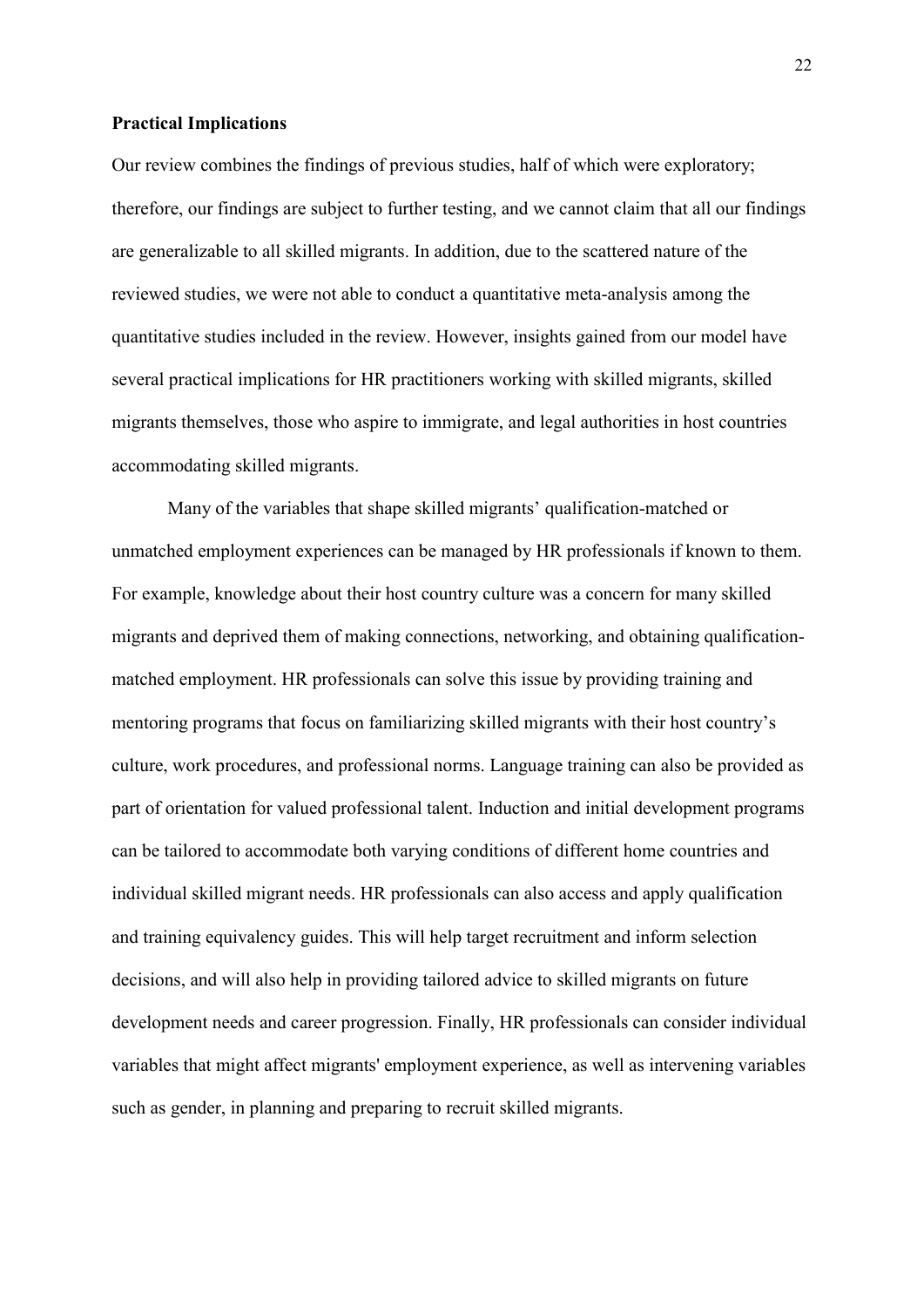#### **Practical Implications**

Our review combines the findings of previous studies, half of which were exploratory; therefore, our findings are subject to further testing, and we cannot claim that all our findings are generalizable to all skilled migrants. In addition, due to the scattered nature of the reviewed studies, we were not able to conduct a quantitative meta-analysis among the quantitative studies included in the review. However, insights gained from our model have several practical implications for HR practitioners working with skilled migrants, skilled migrants themselves, those who aspire to immigrate, and legal authorities in host countries accommodating skilled migrants.

Many of the variables that shape skilled migrants' qualification-matched or unmatched employment experiences can be managed by HR professionals if known to them. For example, knowledge about their host country culture was a concern for many skilled migrants and deprived them of making connections, networking, and obtaining qualificationmatched employment. HR professionals can solve this issue by providing training and mentoring programs that focus on familiarizing skilled migrants with their host country's culture, work procedures, and professional norms. Language training can also be provided as part of orientation for valued professional talent. Induction and initial development programs can be tailored to accommodate both varying conditions of different home countries and individual skilled migrant needs. HR professionals can also access and apply qualification and training equivalency guides. This will help target recruitment and inform selection decisions, and will also help in providing tailored advice to skilled migrants on future development needs and career progression. Finally, HR professionals can consider individual variables that might affect migrants' employment experience, as well as intervening variables such as gender, in planning and preparing to recruit skilled migrants.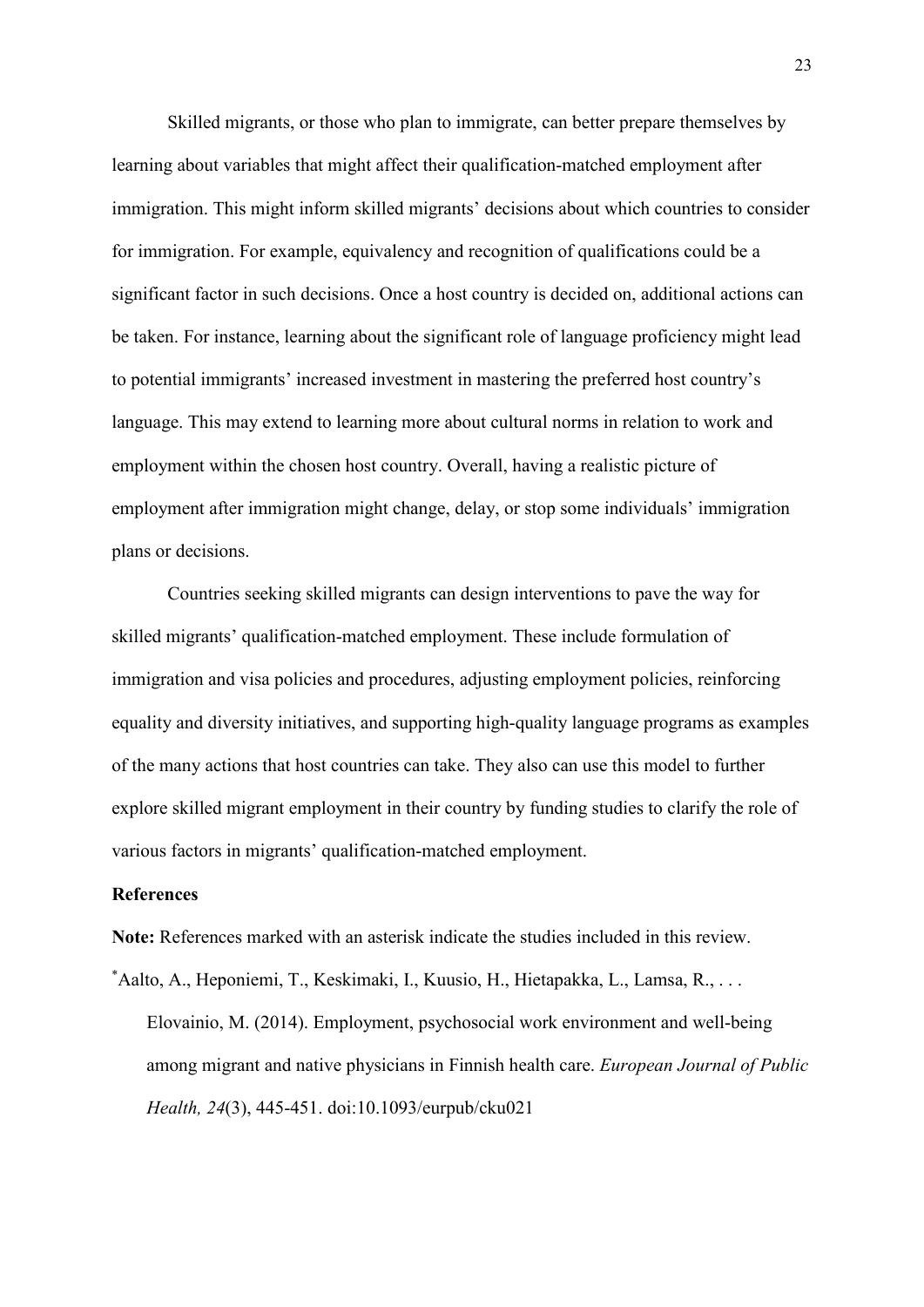Skilled migrants, or those who plan to immigrate, can better prepare themselves by learning about variables that might affect their qualification-matched employment after immigration. This might inform skilled migrants' decisions about which countries to consider for immigration. For example, equivalency and recognition of qualifications could be a significant factor in such decisions. Once a host country is decided on, additional actions can be taken. For instance, learning about the significant role of language proficiency might lead to potential immigrants' increased investment in mastering the preferred host country's language. This may extend to learning more about cultural norms in relation to work and employment within the chosen host country. Overall, having a realistic picture of employment after immigration might change, delay, or stop some individuals' immigration plans or decisions.

Countries seeking skilled migrants can design interventions to pave the way for skilled migrants' qualification-matched employment. These include formulation of immigration and visa policies and procedures, adjusting employment policies, reinforcing equality and diversity initiatives, and supporting high-quality language programs as examples of the many actions that host countries can take. They also can use this model to further explore skilled migrant employment in their country by funding studies to clarify the role of various factors in migrants' qualification-matched employment.

#### **References**

**Note:** References marked with an asterisk indicate the studies included in this review.

\* Aalto, A., Heponiemi, T., Keskimaki, I., Kuusio, H., Hietapakka, L., Lamsa, R., . . . Elovainio, M. (2014). Employment, psychosocial work environment and well-being among migrant and native physicians in Finnish health care. *European Journal of Public Health, 24*(3), 445-451. doi:10.1093/eurpub/cku021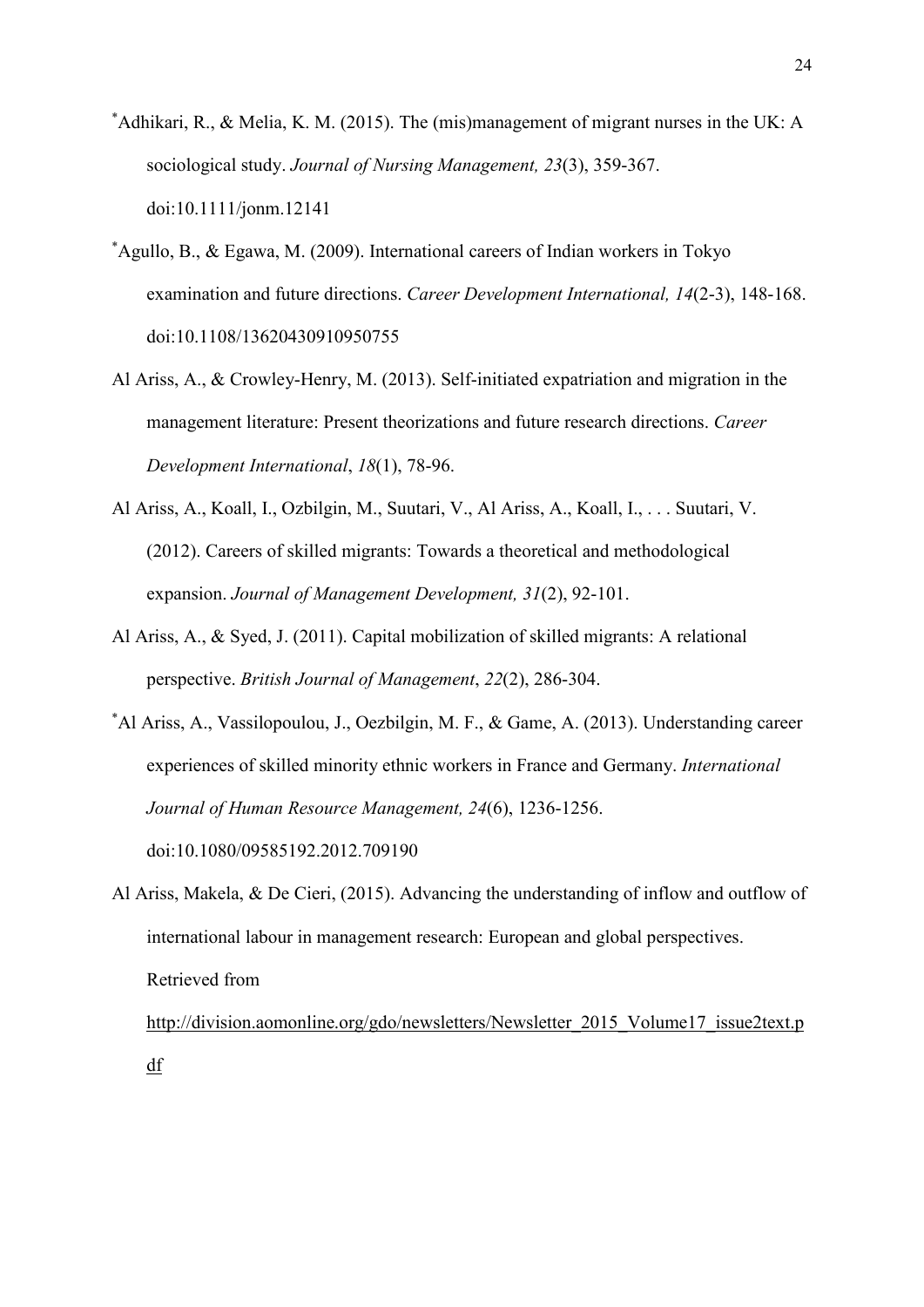- \* Adhikari, R., & Melia, K. M. (2015). The (mis)management of migrant nurses in the UK: A sociological study. *Journal of Nursing Management, 23*(3), 359-367. doi:10.1111/jonm.12141
- \* Agullo, B., & Egawa, M. (2009). International careers of Indian workers in Tokyo examination and future directions. *Career Development International, 14*(2-3), 148-168. doi:10.1108/13620430910950755
- Al Ariss, A., & Crowley-Henry, M. (2013). Self-initiated expatriation and migration in the management literature: Present theorizations and future research directions. *Career Development International*, *18*(1), 78-96.
- Al Ariss, A., Koall, I., Ozbilgin, M., Suutari, V., Al Ariss, A., Koall, I., . . . Suutari, V. (2012). Careers of skilled migrants: Towards a theoretical and methodological expansion. *Journal of Management Development, 31*(2), 92-101.
- Al Ariss, A., & Syed, J. (2011). Capital mobilization of skilled migrants: A relational perspective. *British Journal of Management*, *22*(2), 286-304.
- \* Al Ariss, A., Vassilopoulou, J., Oezbilgin, M. F., & Game, A. (2013). Understanding career experiences of skilled minority ethnic workers in France and Germany. *International Journal of Human Resource Management, 24*(6), 1236-1256. doi:10.1080/09585192.2012.709190
- Al Ariss, Makela, & De Cieri, (2015). Advancing the understanding of inflow and outflow of international labour in management research: European and global perspectives. Retrieved from

http://division.aomonline.org/gdo/newsletters/Newsletter 2015 Volume17 issue2text.p [df](http://division.aomonline.org/gdo/newsletters/Newsletter_2015_Volume17_issue2text.pdf)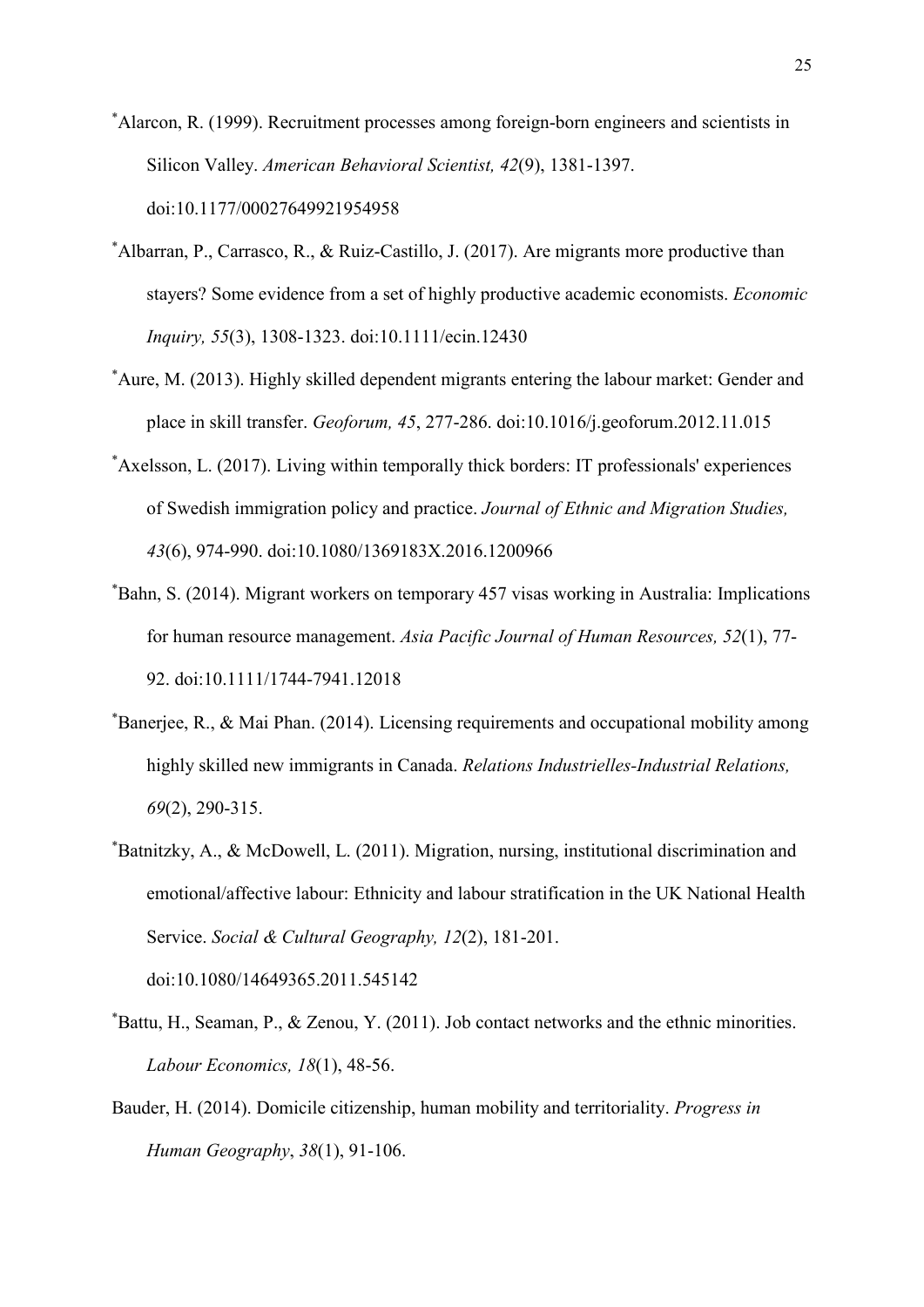\* Alarcon, R. (1999). Recruitment processes among foreign-born engineers and scientists in Silicon Valley. *American Behavioral Scientist, 42*(9), 1381-1397. doi:10.1177/00027649921954958

- \* Albarran, P., Carrasco, R., & Ruiz-Castillo, J. (2017). Are migrants more productive than stayers? Some evidence from a set of highly productive academic economists. *Economic Inquiry, 55*(3), 1308-1323. doi:10.1111/ecin.12430
- \* Aure, M. (2013). Highly skilled dependent migrants entering the labour market: Gender and place in skill transfer. *Geoforum, 45*, 277-286. doi:10.1016/j.geoforum.2012.11.015
- \* Axelsson, L. (2017). Living within temporally thick borders: IT professionals' experiences of Swedish immigration policy and practice. *Journal of Ethnic and Migration Studies, 43*(6), 974-990. doi:10.1080/1369183X.2016.1200966
- \* Bahn, S. (2014). Migrant workers on temporary 457 visas working in Australia: Implications for human resource management. *Asia Pacific Journal of Human Resources, 52*(1), 77- 92. doi:10.1111/1744-7941.12018
- \* Banerjee, R., & Mai Phan. (2014). Licensing requirements and occupational mobility among highly skilled new immigrants in Canada. *Relations Industrielles-Industrial Relations, 69*(2), 290-315.
- \* Batnitzky, A., & McDowell, L. (2011). Migration, nursing, institutional discrimination and emotional/affective labour: Ethnicity and labour stratification in the UK National Health Service. *Social & Cultural Geography, 12*(2), 181-201.

doi:10.1080/14649365.2011.545142

- \* Battu, H., Seaman, P., & Zenou, Y. (2011). Job contact networks and the ethnic minorities. *Labour Economics, 18*(1), 48-56.
- Bauder, H. (2014). Domicile citizenship, human mobility and territoriality. *Progress in Human Geography*, *38*(1), 91-106.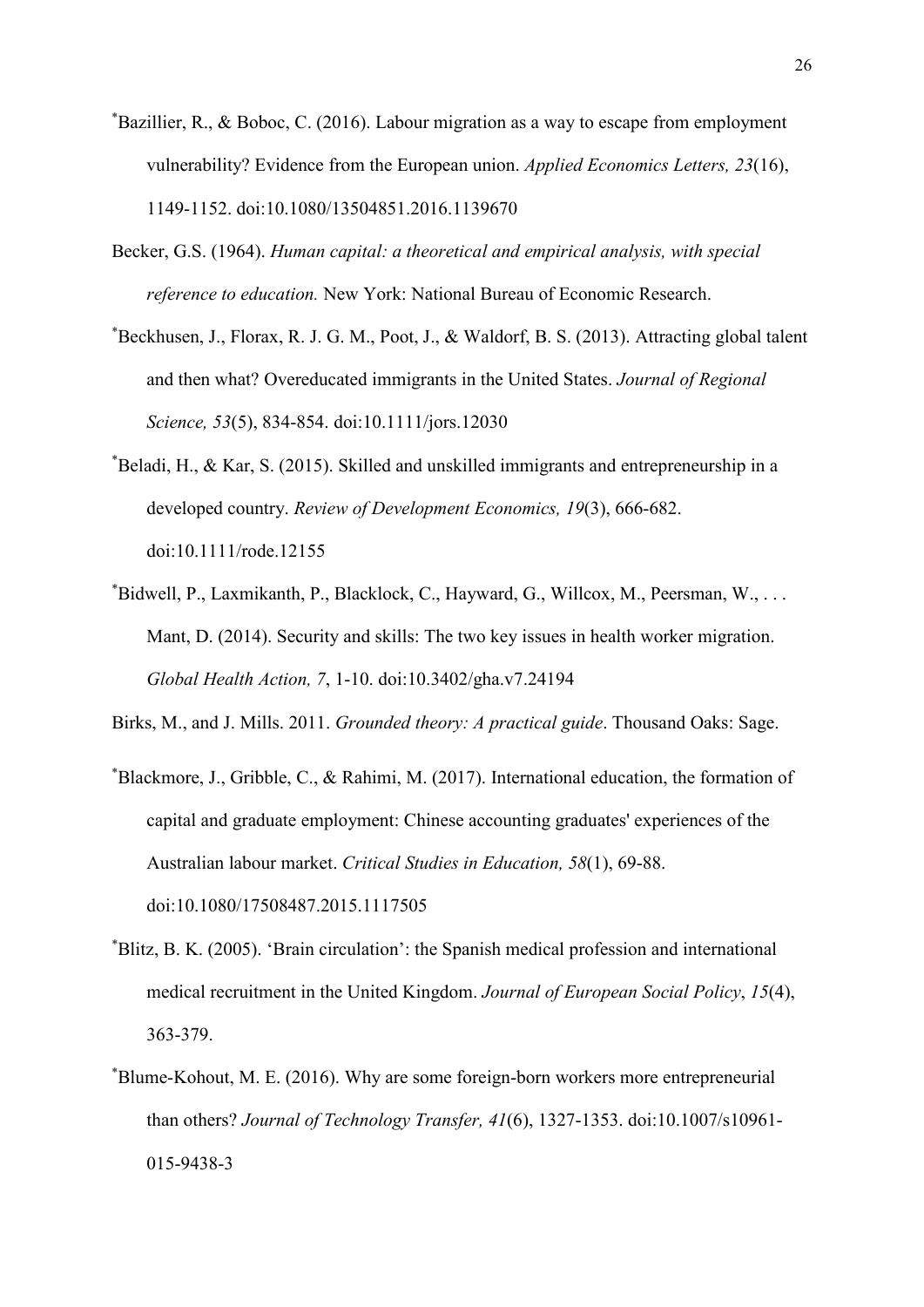- \* Bazillier, R., & Boboc, C. (2016). Labour migration as a way to escape from employment vulnerability? Evidence from the European union. *Applied Economics Letters, 23*(16), 1149-1152. doi:10.1080/13504851.2016.1139670
- Becker, G.S. (1964). *Human capital: a theoretical and empirical analysis, with special reference to education.* New York: National Bureau of Economic Research.
- \* Beckhusen, J., Florax, R. J. G. M., Poot, J., & Waldorf, B. S. (2013). Attracting global talent and then what? Overeducated immigrants in the United States. *Journal of Regional Science, 53*(5), 834-854. doi:10.1111/jors.12030
- \* Beladi, H., & Kar, S. (2015). Skilled and unskilled immigrants and entrepreneurship in a developed country. *Review of Development Economics, 19*(3), 666-682. doi:10.1111/rode.12155
- \* Bidwell, P., Laxmikanth, P., Blacklock, C., Hayward, G., Willcox, M., Peersman, W., . . . Mant, D. (2014). Security and skills: The two key issues in health worker migration. *Global Health Action, 7*, 1-10. doi:10.3402/gha.v7.24194

Birks, M., and J. Mills. 2011. *Grounded theory: A practical guide*. Thousand Oaks: Sage.

- \* Blackmore, J., Gribble, C., & Rahimi, M. (2017). International education, the formation of capital and graduate employment: Chinese accounting graduates' experiences of the Australian labour market. *Critical Studies in Education, 58*(1), 69-88. doi:10.1080/17508487.2015.1117505
- \* Blitz, B. K. (2005). 'Brain circulation': the Spanish medical profession and international medical recruitment in the United Kingdom. *Journal of European Social Policy*, *15*(4), 363-379.
- \* Blume-Kohout, M. E. (2016). Why are some foreign-born workers more entrepreneurial than others? *Journal of Technology Transfer, 41*(6), 1327-1353. doi:10.1007/s10961- 015-9438-3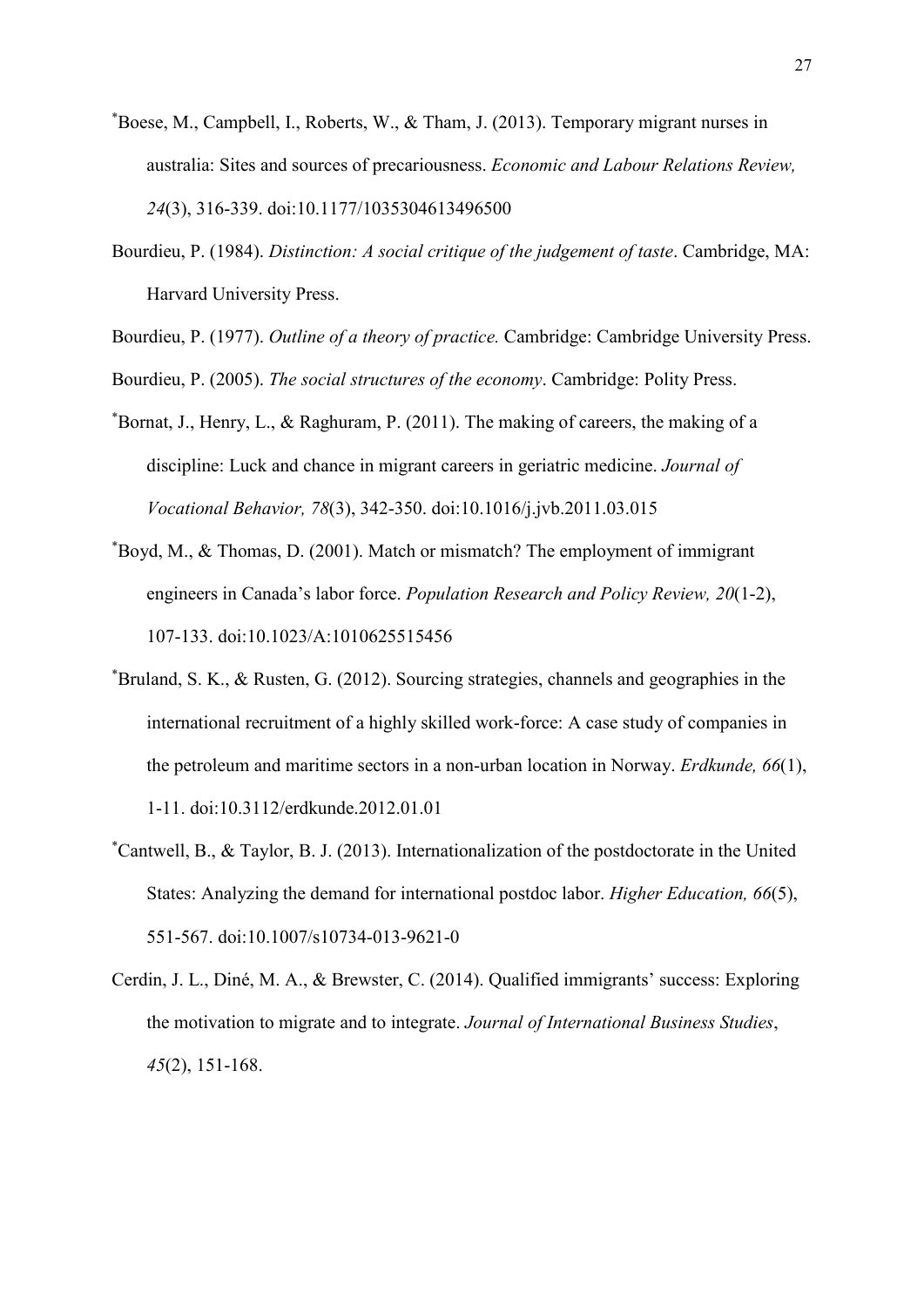- \* Boese, M., Campbell, I., Roberts, W., & Tham, J. (2013). Temporary migrant nurses in australia: Sites and sources of precariousness. *Economic and Labour Relations Review, 24*(3), 316-339. doi:10.1177/1035304613496500
- Bourdieu, P. (1984). *Distinction: A social critique of the judgement of taste*. Cambridge, MA: Harvard University Press.

Bourdieu, P. (1977). *Outline of a theory of practice.* Cambridge: Cambridge University Press.

Bourdieu, P. (2005). *The social structures of the economy*. Cambridge: Polity Press.

- \* Bornat, J., Henry, L., & Raghuram, P. (2011). The making of careers, the making of a discipline: Luck and chance in migrant careers in geriatric medicine. *Journal of Vocational Behavior, 78*(3), 342-350. doi:10.1016/j.jvb.2011.03.015
- \* Boyd, M., & Thomas, D. (2001). Match or mismatch? The employment of immigrant engineers in Canada's labor force. *Population Research and Policy Review, 20*(1-2), 107-133. doi:10.1023/A:1010625515456
- \* Bruland, S. K., & Rusten, G. (2012). Sourcing strategies, channels and geographies in the international recruitment of a highly skilled work-force: A case study of companies in the petroleum and maritime sectors in a non-urban location in Norway. *Erdkunde, 66*(1), 1-11. doi:10.3112/erdkunde.2012.01.01
- \* Cantwell, B., & Taylor, B. J. (2013). Internationalization of the postdoctorate in the United States: Analyzing the demand for international postdoc labor. *Higher Education, 66*(5), 551-567. doi:10.1007/s10734-013-9621-0
- Cerdin, J. L., Diné, M. A., & Brewster, C. (2014). Qualified immigrants' success: Exploring the motivation to migrate and to integrate. *Journal of International Business Studies*, *45*(2), 151-168.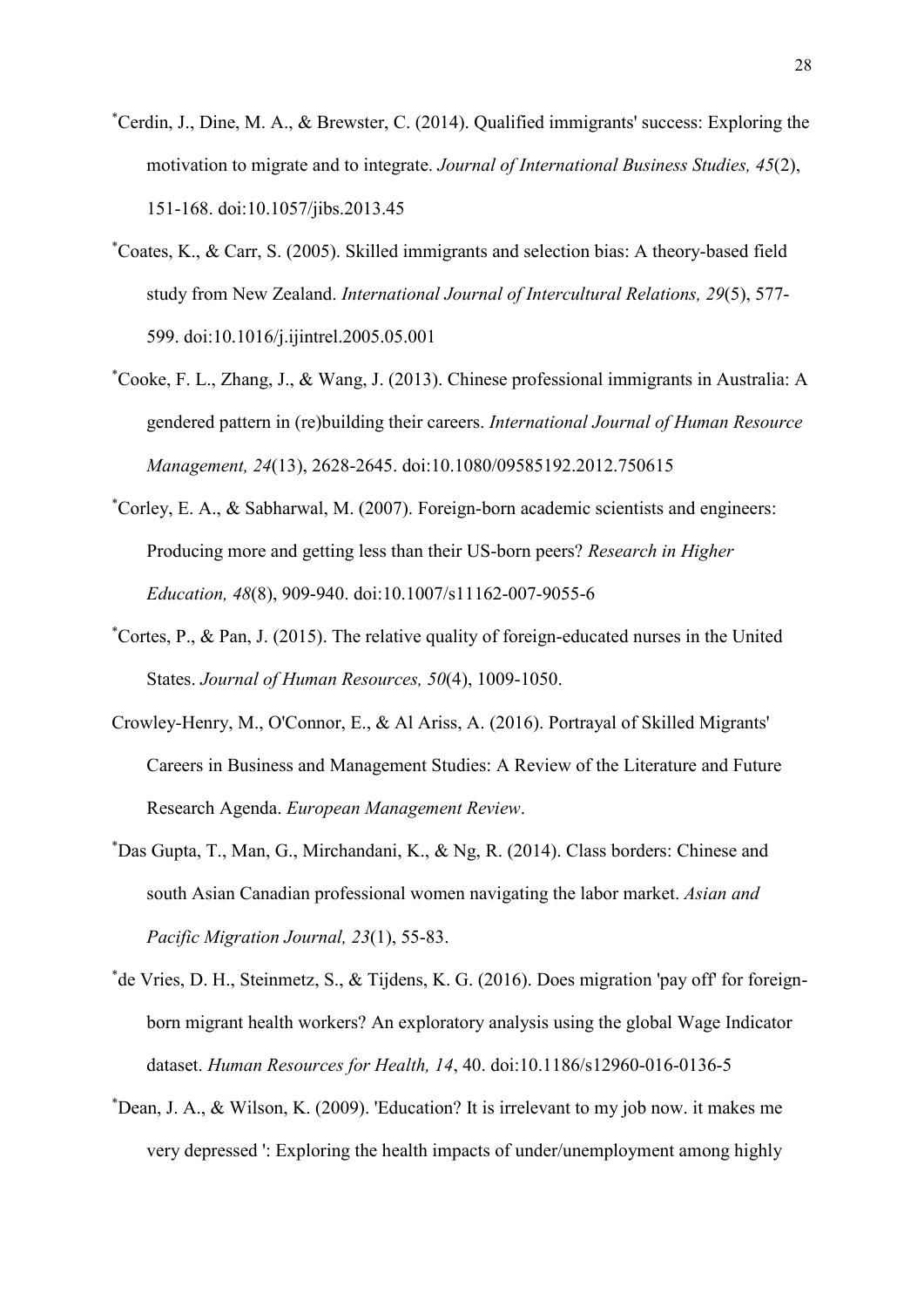- \* Cerdin, J., Dine, M. A., & Brewster, C. (2014). Qualified immigrants' success: Exploring the motivation to migrate and to integrate. *Journal of International Business Studies, 45*(2), 151-168. doi:10.1057/jibs.2013.45
- \* Coates, K., & Carr, S. (2005). Skilled immigrants and selection bias: A theory-based field study from New Zealand. *International Journal of Intercultural Relations, 29*(5), 577- 599. doi:10.1016/j.ijintrel.2005.05.001
- \* Cooke, F. L., Zhang, J., & Wang, J. (2013). Chinese professional immigrants in Australia: A gendered pattern in (re)building their careers. *International Journal of Human Resource Management, 24*(13), 2628-2645. doi:10.1080/09585192.2012.750615
- \* Corley, E. A., & Sabharwal, M. (2007). Foreign-born academic scientists and engineers: Producing more and getting less than their US-born peers? *Research in Higher Education, 48*(8), 909-940. doi:10.1007/s11162-007-9055-6
- \* Cortes, P., & Pan, J. (2015). The relative quality of foreign-educated nurses in the United States. *Journal of Human Resources, 50*(4), 1009-1050.
- Crowley‐Henry, M., O'Connor, E., & Al Ariss, A. (2016). Portrayal of Skilled Migrants' Careers in Business and Management Studies: A Review of the Literature and Future Research Agenda. *European Management Review*.
- \* Das Gupta, T., Man, G., Mirchandani, K., & Ng, R. (2014). Class borders: Chinese and south Asian Canadian professional women navigating the labor market. *Asian and Pacific Migration Journal, 23*(1), 55-83.
- \* de Vries, D. H., Steinmetz, S., & Tijdens, K. G. (2016). Does migration 'pay off' for foreignborn migrant health workers? An exploratory analysis using the global Wage Indicator dataset. *Human Resources for Health, 14*, 40. doi:10.1186/s12960-016-0136-5
- \* Dean, J. A., & Wilson, K. (2009). 'Education? It is irrelevant to my job now. it makes me very depressed ': Exploring the health impacts of under/unemployment among highly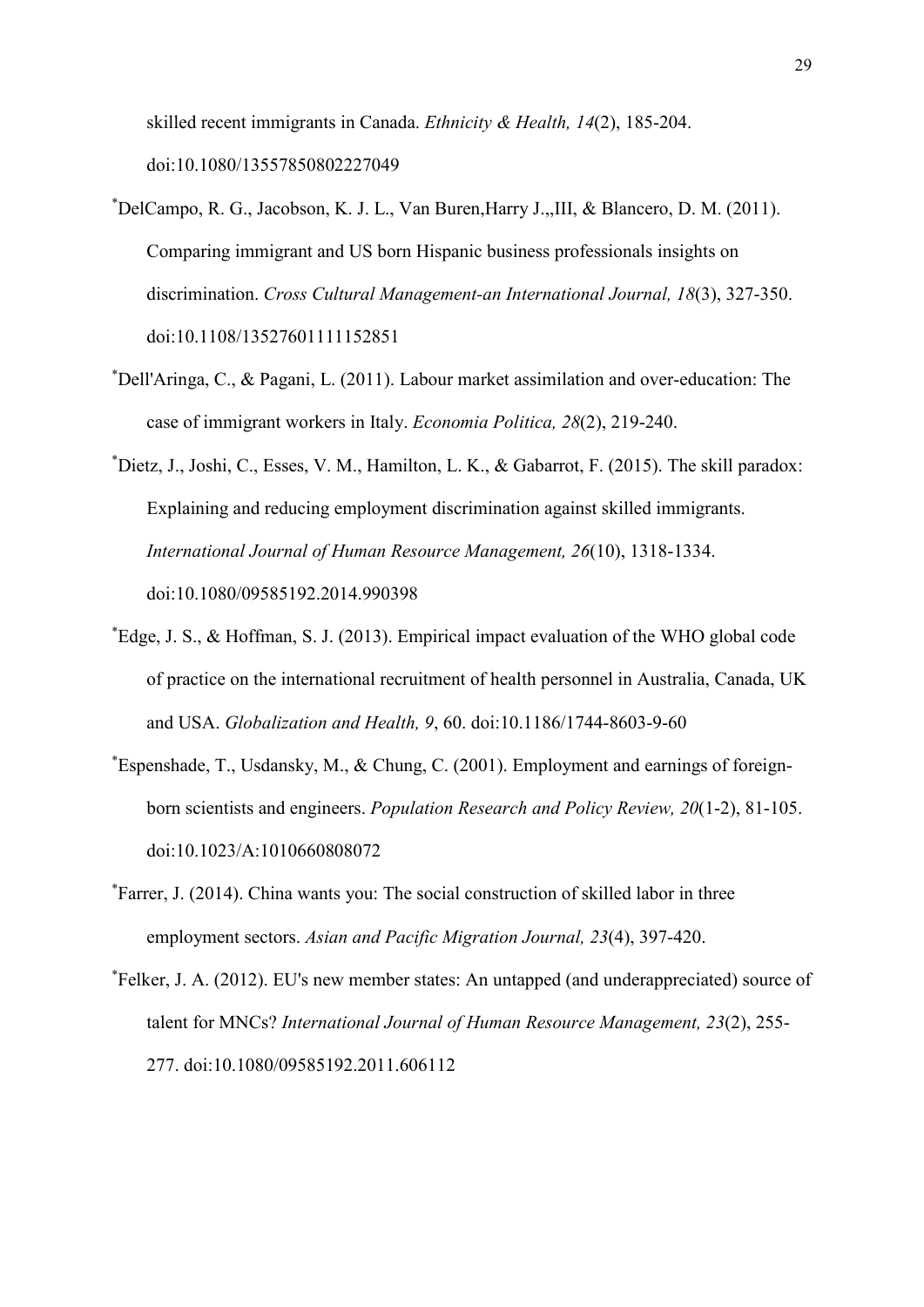skilled recent immigrants in Canada. *Ethnicity & Health, 14*(2), 185-204. doi:10.1080/13557850802227049

- \* DelCampo, R. G., Jacobson, K. J. L., Van Buren,Harry J.,,III, & Blancero, D. M. (2011). Comparing immigrant and US born Hispanic business professionals insights on discrimination. *Cross Cultural Management-an International Journal, 18*(3), 327-350. doi:10.1108/13527601111152851
- \* Dell'Aringa, C., & Pagani, L. (2011). Labour market assimilation and over-education: The case of immigrant workers in Italy. *Economia Politica, 28*(2), 219-240.
- \* Dietz, J., Joshi, C., Esses, V. M., Hamilton, L. K., & Gabarrot, F. (2015). The skill paradox: Explaining and reducing employment discrimination against skilled immigrants. *International Journal of Human Resource Management, 26*(10), 1318-1334. doi:10.1080/09585192.2014.990398
- \* Edge, J. S., & Hoffman, S. J. (2013). Empirical impact evaluation of the WHO global code of practice on the international recruitment of health personnel in Australia, Canada, UK and USA. *Globalization and Health, 9*, 60. doi:10.1186/1744-8603-9-60
- \* Espenshade, T., Usdansky, M., & Chung, C. (2001). Employment and earnings of foreignborn scientists and engineers. *Population Research and Policy Review, 20*(1-2), 81-105. doi:10.1023/A:1010660808072
- \* Farrer, J. (2014). China wants you: The social construction of skilled labor in three employment sectors. *Asian and Pacific Migration Journal, 23*(4), 397-420.
- \* Felker, J. A. (2012). EU's new member states: An untapped (and underappreciated) source of talent for MNCs? *International Journal of Human Resource Management, 23*(2), 255- 277. doi:10.1080/09585192.2011.606112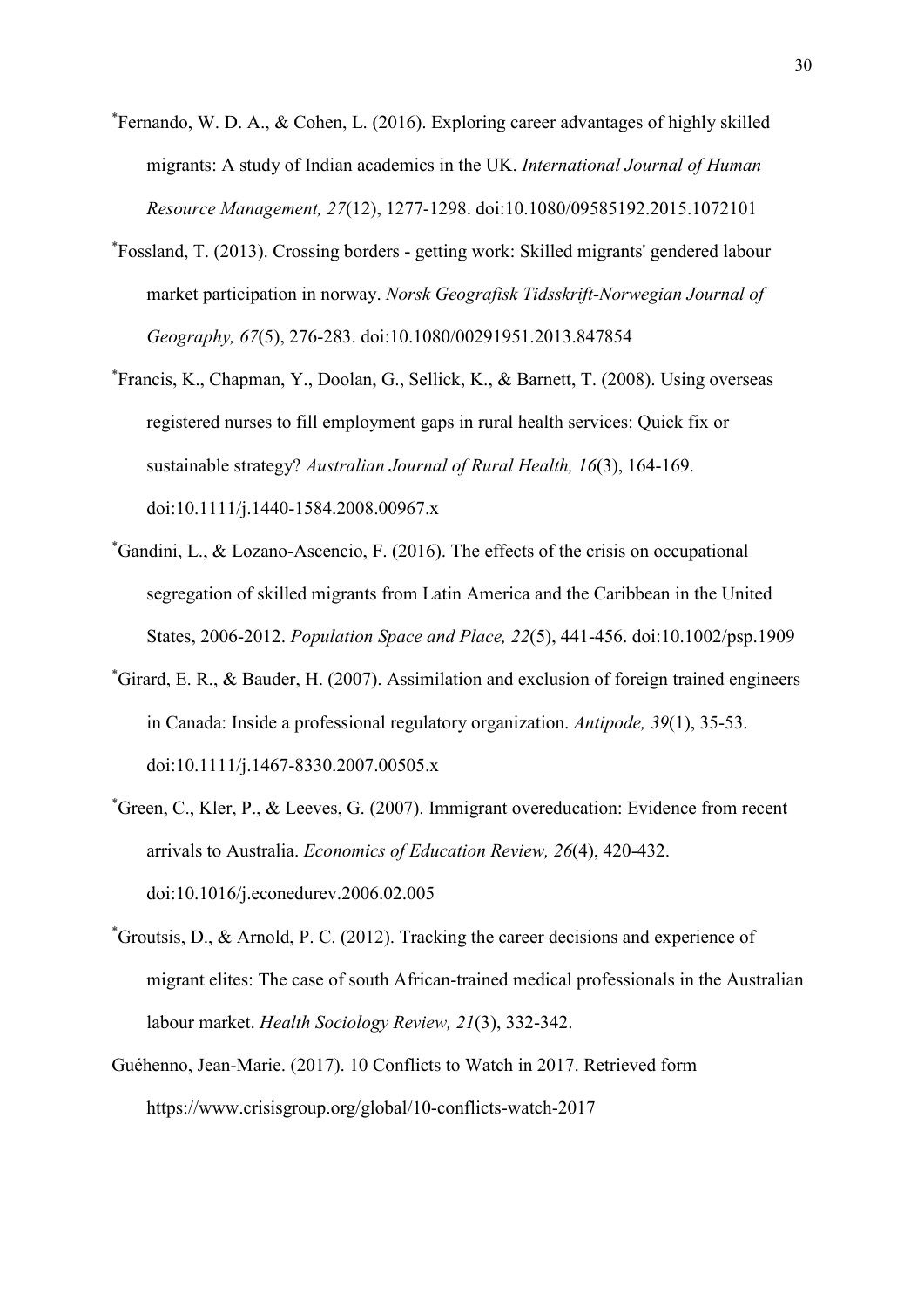- \* Fernando, W. D. A., & Cohen, L. (2016). Exploring career advantages of highly skilled migrants: A study of Indian academics in the UK. *International Journal of Human Resource Management, 27*(12), 1277-1298. doi:10.1080/09585192.2015.1072101
- \* Fossland, T. (2013). Crossing borders getting work: Skilled migrants' gendered labour market participation in norway. *Norsk Geografisk Tidsskrift-Norwegian Journal of Geography, 67*(5), 276-283. doi:10.1080/00291951.2013.847854
- \* Francis, K., Chapman, Y., Doolan, G., Sellick, K., & Barnett, T. (2008). Using overseas registered nurses to fill employment gaps in rural health services: Quick fix or sustainable strategy? *Australian Journal of Rural Health, 16*(3), 164-169. doi:10.1111/j.1440-1584.2008.00967.x
- \* Gandini, L., & Lozano-Ascencio, F. (2016). The effects of the crisis on occupational segregation of skilled migrants from Latin America and the Caribbean in the United States, 2006-2012. *Population Space and Place, 22*(5), 441-456. doi:10.1002/psp.1909
- \* Girard, E. R., & Bauder, H. (2007). Assimilation and exclusion of foreign trained engineers in Canada: Inside a professional regulatory organization. *Antipode, 39*(1), 35-53. doi:10.1111/j.1467-8330.2007.00505.x
- \* Green, C., Kler, P., & Leeves, G. (2007). Immigrant overeducation: Evidence from recent arrivals to Australia. *Economics of Education Review, 26*(4), 420-432. doi:10.1016/j.econedurev.2006.02.005
- \* Groutsis, D., & Arnold, P. C. (2012). Tracking the career decisions and experience of migrant elites: The case of south African-trained medical professionals in the Australian labour market. *Health Sociology Review, 21*(3), 332-342.
- Guéhenno, [Jean-Marie.](https://www.crisisgroup.org/who-we-are/people/jean-marie-guehenno) (2017). 10 Conflicts to Watch in 2017. Retrieved form https://www.crisisgroup.org/global/10-conflicts-watch-2017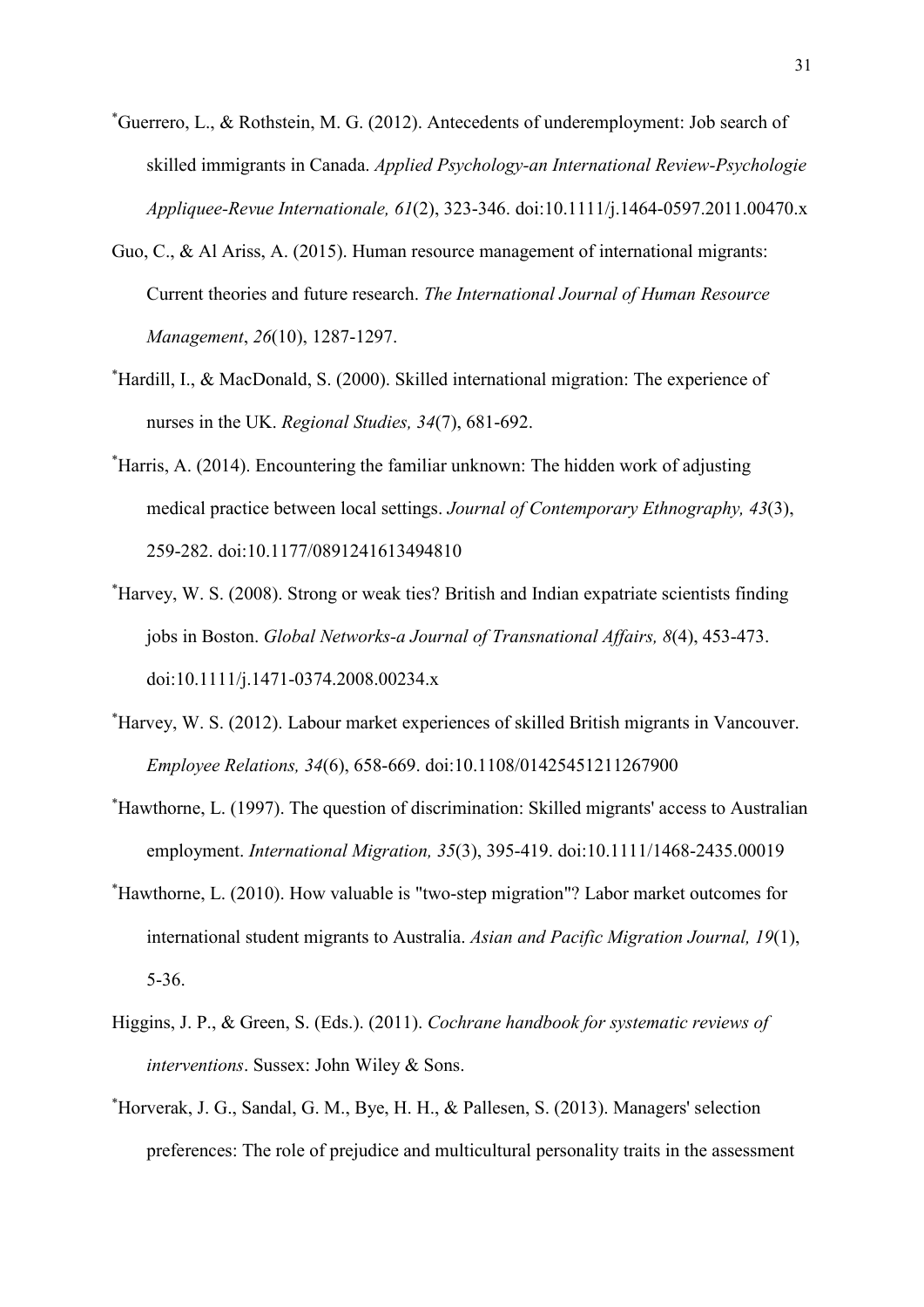- \* Guerrero, L., & Rothstein, M. G. (2012). Antecedents of underemployment: Job search of skilled immigrants in Canada. *Applied Psychology-an International Review-Psychologie Appliquee-Revue Internationale, 61*(2), 323-346. doi:10.1111/j.1464-0597.2011.00470.x
- Guo, C., & Al Ariss, A. (2015). Human resource management of international migrants: Current theories and future research. *The International Journal of Human Resource Management*, *26*(10), 1287-1297.
- \* Hardill, I., & MacDonald, S. (2000). Skilled international migration: The experience of nurses in the UK. *Regional Studies, 34*(7), 681-692.
- \* Harris, A. (2014). Encountering the familiar unknown: The hidden work of adjusting medical practice between local settings. *Journal of Contemporary Ethnography, 43*(3), 259-282. doi:10.1177/0891241613494810
- \* Harvey, W. S. (2008). Strong or weak ties? British and Indian expatriate scientists finding jobs in Boston. *Global Networks-a Journal of Transnational Affairs, 8*(4), 453-473. doi:10.1111/j.1471-0374.2008.00234.x
- \* Harvey, W. S. (2012). Labour market experiences of skilled British migrants in Vancouver. *Employee Relations, 34*(6), 658-669. doi:10.1108/01425451211267900
- \* Hawthorne, L. (1997). The question of discrimination: Skilled migrants' access to Australian employment. *International Migration, 35*(3), 395-419. doi:10.1111/1468-2435.00019
- \* Hawthorne, L. (2010). How valuable is "two-step migration"? Labor market outcomes for international student migrants to Australia. *Asian and Pacific Migration Journal, 19*(1), 5-36.
- Higgins, J. P., & Green, S. (Eds.). (2011). *Cochrane handbook for systematic reviews of interventions*. Sussex: John Wiley & Sons.
- \* Horverak, J. G., Sandal, G. M., Bye, H. H., & Pallesen, S. (2013). Managers' selection preferences: The role of prejudice and multicultural personality traits in the assessment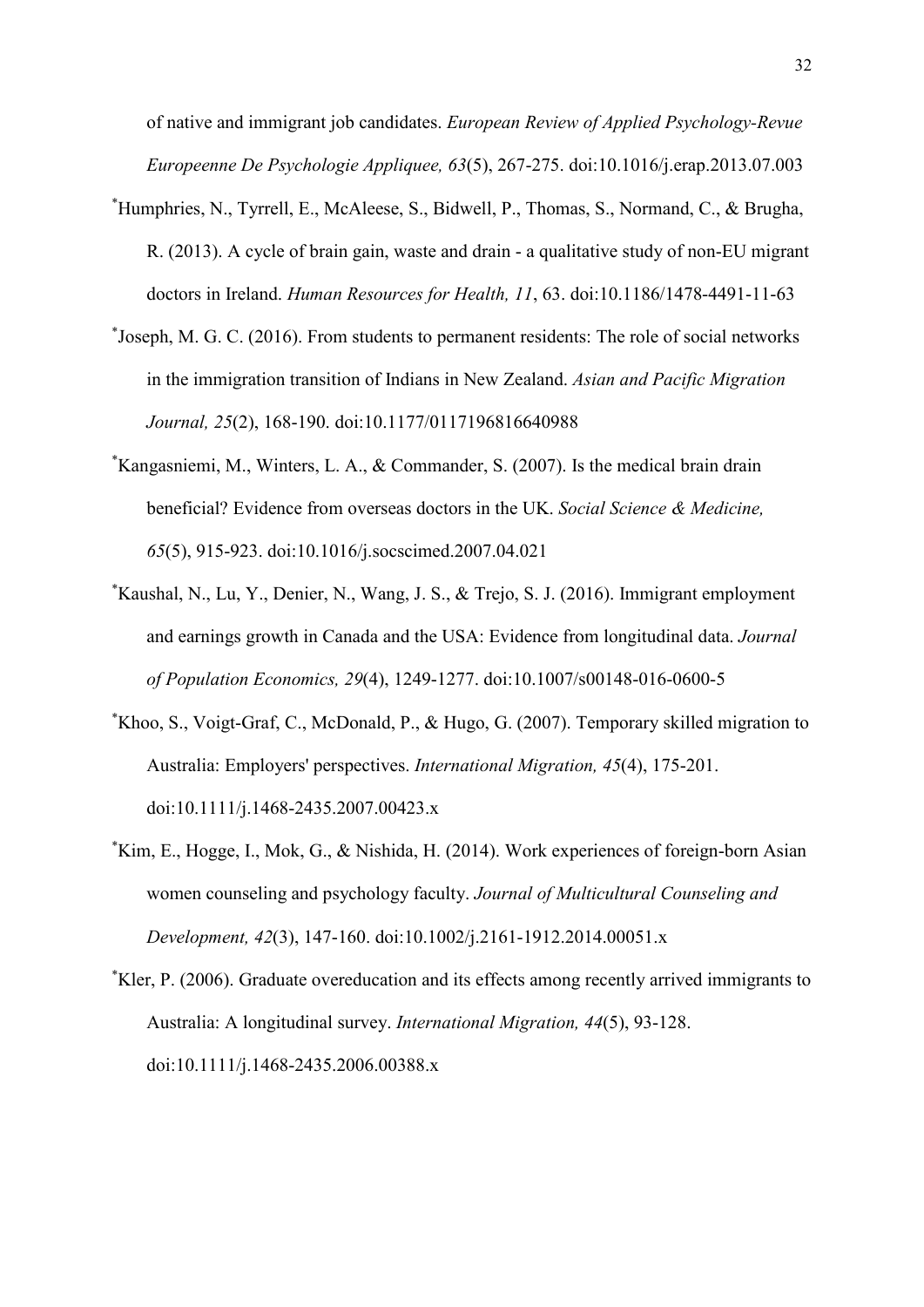of native and immigrant job candidates. *European Review of Applied Psychology-Revue Europeenne De Psychologie Appliquee, 63*(5), 267-275. doi:10.1016/j.erap.2013.07.003

- \* Humphries, N., Tyrrell, E., McAleese, S., Bidwell, P., Thomas, S., Normand, C., & Brugha, R. (2013). A cycle of brain gain, waste and drain - a qualitative study of non-EU migrant doctors in Ireland. *Human Resources for Health, 11*, 63. doi:10.1186/1478-4491-11-63
- \* Joseph, M. G. C. (2016). From students to permanent residents: The role of social networks in the immigration transition of Indians in New Zealand. *Asian and Pacific Migration Journal, 25*(2), 168-190. doi:10.1177/0117196816640988
- \* Kangasniemi, M., Winters, L. A., & Commander, S. (2007). Is the medical brain drain beneficial? Evidence from overseas doctors in the UK. *Social Science & Medicine, 65*(5), 915-923. doi:10.1016/j.socscimed.2007.04.021
- \* Kaushal, N., Lu, Y., Denier, N., Wang, J. S., & Trejo, S. J. (2016). Immigrant employment and earnings growth in Canada and the USA: Evidence from longitudinal data. *Journal of Population Economics, 29*(4), 1249-1277. doi:10.1007/s00148-016-0600-5
- \* Khoo, S., Voigt-Graf, C., McDonald, P., & Hugo, G. (2007). Temporary skilled migration to Australia: Employers' perspectives. *International Migration, 45*(4), 175-201. doi:10.1111/j.1468-2435.2007.00423.x
- \* Kim, E., Hogge, I., Mok, G., & Nishida, H. (2014). Work experiences of foreign-born Asian women counseling and psychology faculty. *Journal of Multicultural Counseling and Development, 42*(3), 147-160. doi:10.1002/j.2161-1912.2014.00051.x
- \* Kler, P. (2006). Graduate overeducation and its effects among recently arrived immigrants to Australia: A longitudinal survey. *International Migration, 44*(5), 93-128. doi:10.1111/j.1468-2435.2006.00388.x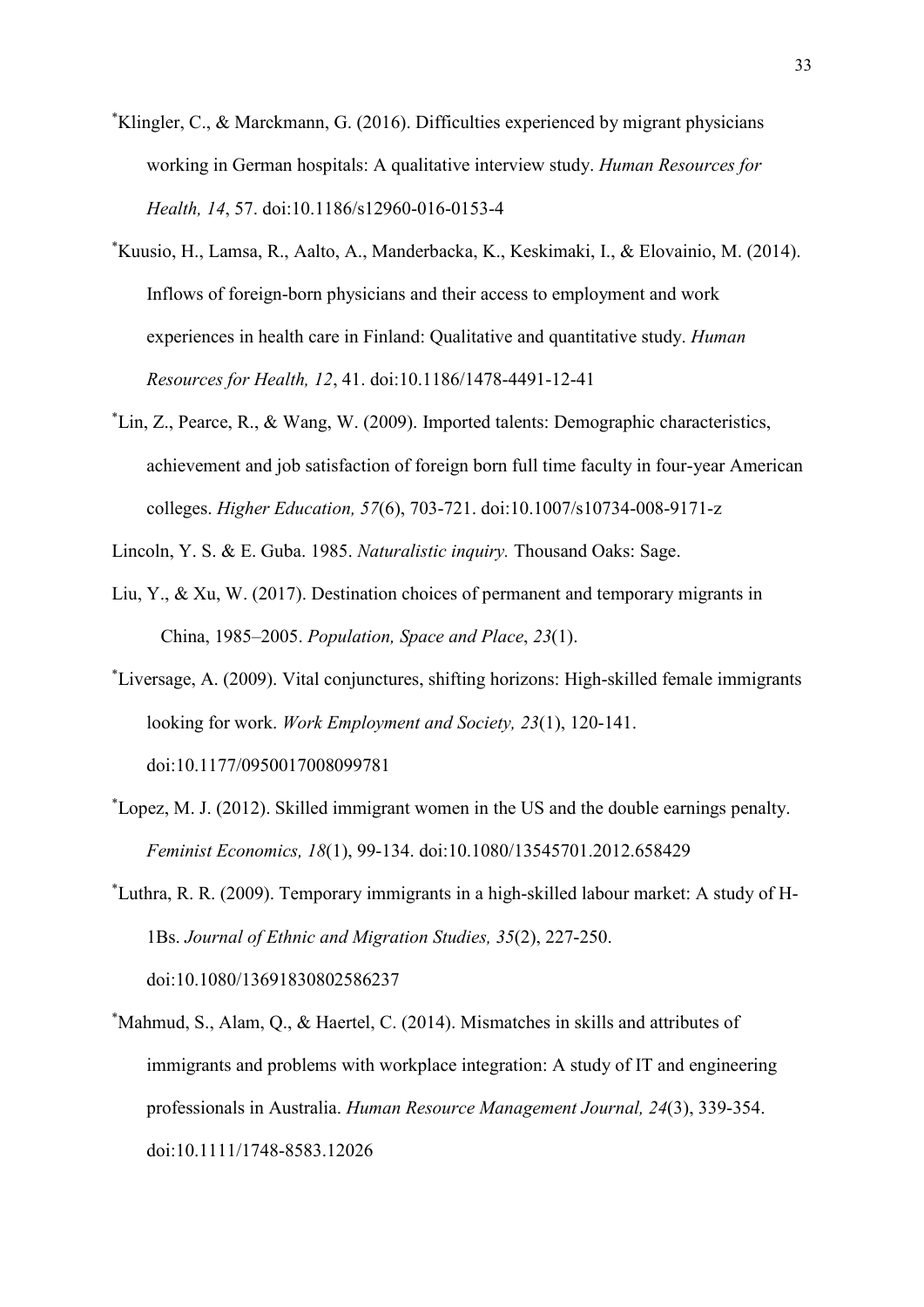- \* Klingler, C., & Marckmann, G. (2016). Difficulties experienced by migrant physicians working in German hospitals: A qualitative interview study. *Human Resources for Health, 14*, 57. doi:10.1186/s12960-016-0153-4
- \* Kuusio, H., Lamsa, R., Aalto, A., Manderbacka, K., Keskimaki, I., & Elovainio, M. (2014). Inflows of foreign-born physicians and their access to employment and work experiences in health care in Finland: Qualitative and quantitative study. *Human Resources for Health, 12*, 41. doi:10.1186/1478-4491-12-41
- \* Lin, Z., Pearce, R., & Wang, W. (2009). Imported talents: Demographic characteristics, achievement and job satisfaction of foreign born full time faculty in four-year American colleges. *Higher Education, 57*(6), 703-721. doi:10.1007/s10734-008-9171-z

Lincoln, Y. S. & E. Guba. 1985. *Naturalistic inquiry.* Thousand Oaks: Sage.

- Liu, Y., & Xu, W. (2017). Destination choices of permanent and temporary migrants in China, 1985–2005. *Population, Space and Place*, *23*(1).
- \* Liversage, A. (2009). Vital conjunctures, shifting horizons: High-skilled female immigrants looking for work. *Work Employment and Society, 23*(1), 120-141. doi:10.1177/0950017008099781
- \* Lopez, M. J. (2012). Skilled immigrant women in the US and the double earnings penalty. *Feminist Economics, 18*(1), 99-134. doi:10.1080/13545701.2012.658429
- \* Luthra, R. R. (2009). Temporary immigrants in a high-skilled labour market: A study of H-1Bs. *Journal of Ethnic and Migration Studies, 35*(2), 227-250. doi:10.1080/13691830802586237
- \* Mahmud, S., Alam, Q., & Haertel, C. (2014). Mismatches in skills and attributes of immigrants and problems with workplace integration: A study of IT and engineering professionals in Australia. *Human Resource Management Journal, 24*(3), 339-354. doi:10.1111/1748-8583.12026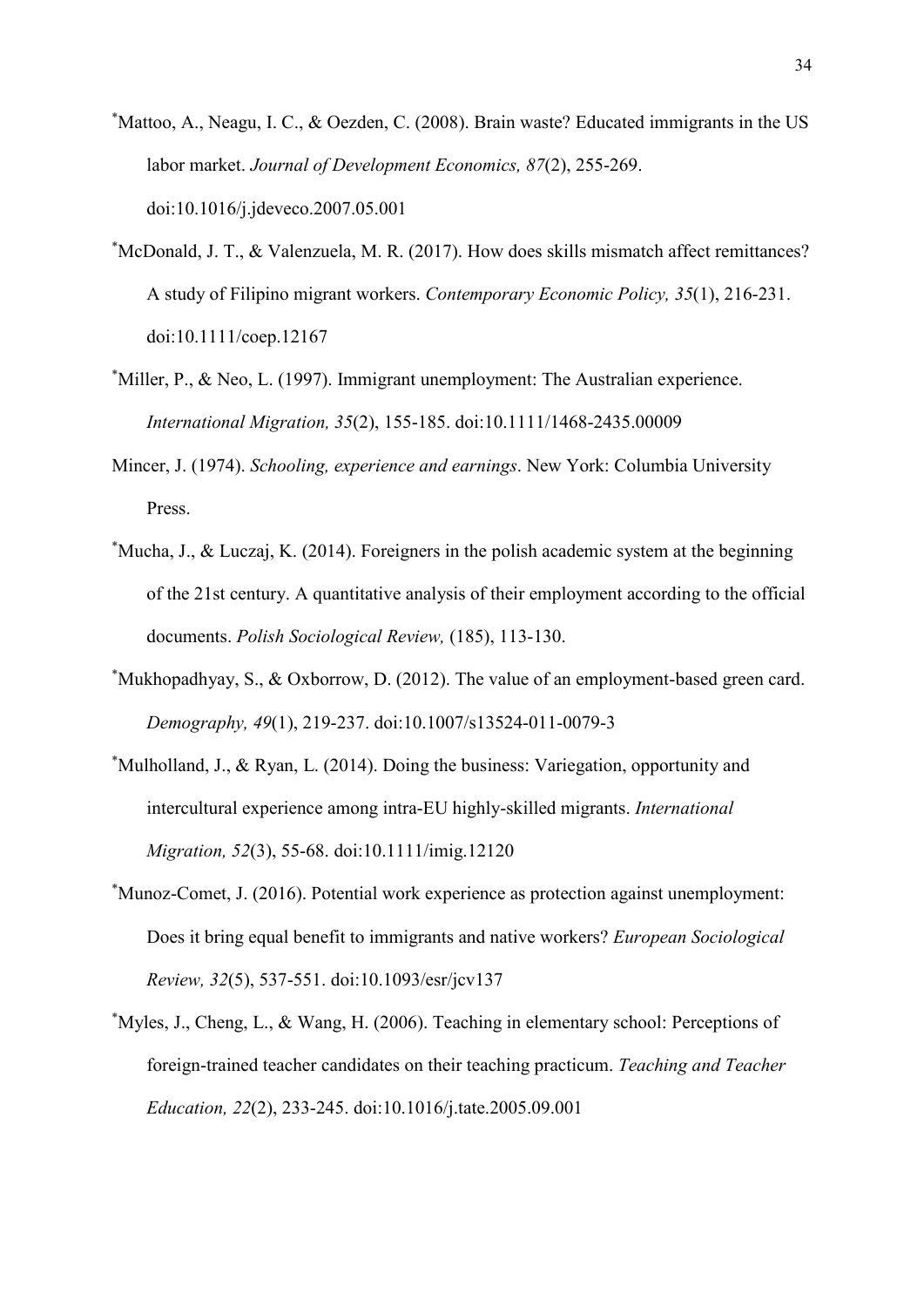- \* Mattoo, A., Neagu, I. C., & Oezden, C. (2008). Brain waste? Educated immigrants in the US labor market. *Journal of Development Economics, 87*(2), 255-269. doi:10.1016/j.jdeveco.2007.05.001
- \* McDonald, J. T., & Valenzuela, M. R. (2017). How does skills mismatch affect remittances? A study of Filipino migrant workers. *Contemporary Economic Policy, 35*(1), 216-231. doi:10.1111/coep.12167
- \* Miller, P., & Neo, L. (1997). Immigrant unemployment: The Australian experience. *International Migration, 35*(2), 155-185. doi:10.1111/1468-2435.00009
- Mincer, J. (1974). *Schooling, experience and earnings*. New York: Columbia University Press.
- \* Mucha, J., & Luczaj, K. (2014). Foreigners in the polish academic system at the beginning of the 21st century. A quantitative analysis of their employment according to the official documents. *Polish Sociological Review,* (185), 113-130.
- \* Mukhopadhyay, S., & Oxborrow, D. (2012). The value of an employment-based green card. *Demography, 49*(1), 219-237. doi:10.1007/s13524-011-0079-3
- \* Mulholland, J., & Ryan, L. (2014). Doing the business: Variegation, opportunity and intercultural experience among intra-EU highly-skilled migrants. *International Migration, 52*(3), 55-68. doi:10.1111/imig.12120
- \* Munoz-Comet, J. (2016). Potential work experience as protection against unemployment: Does it bring equal benefit to immigrants and native workers? *European Sociological Review, 32*(5), 537-551. doi:10.1093/esr/jcv137
- \* Myles, J., Cheng, L., & Wang, H. (2006). Teaching in elementary school: Perceptions of foreign-trained teacher candidates on their teaching practicum. *Teaching and Teacher Education, 22*(2), 233-245. doi:10.1016/j.tate.2005.09.001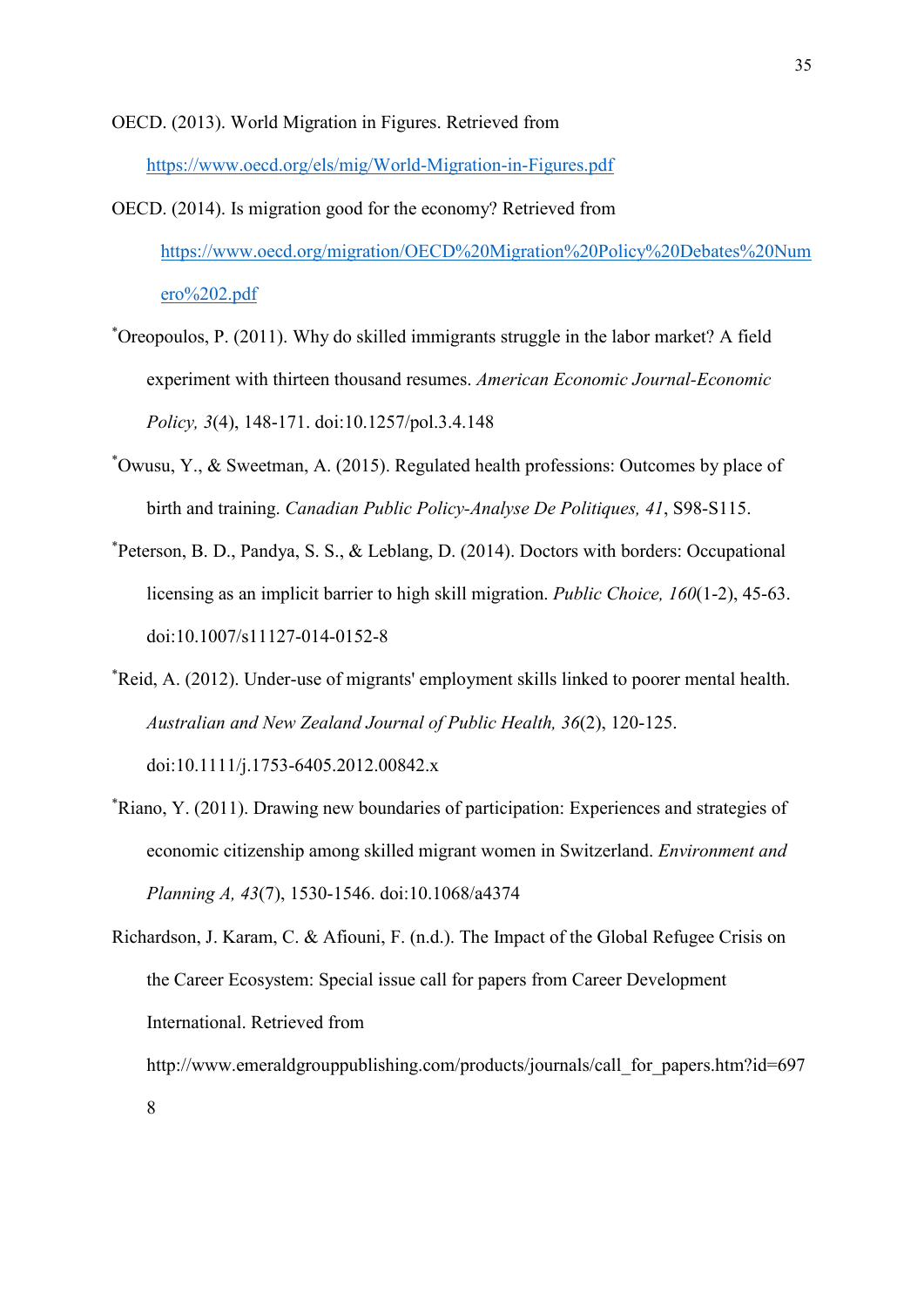#### OECD. (2013). World Migration in Figures. Retrieved from

<https://www.oecd.org/els/mig/World-Migration-in-Figures.pdf>

- OECD. (2014). Is migration good for the economy? Retrieved from [https://www.oecd.org/migration/OECD%20Migration%20Policy%20Debates%20Num](https://www.oecd.org/migration/OECD%20Migration%20Policy%20Debates%20Numero%202.pdf) [ero%202.pdf](https://www.oecd.org/migration/OECD%20Migration%20Policy%20Debates%20Numero%202.pdf)
- \* Oreopoulos, P. (2011). Why do skilled immigrants struggle in the labor market? A field experiment with thirteen thousand resumes. *American Economic Journal-Economic Policy, 3*(4), 148-171. doi:10.1257/pol.3.4.148
- \* Owusu, Y., & Sweetman, A. (2015). Regulated health professions: Outcomes by place of birth and training. *Canadian Public Policy-Analyse De Politiques, 41*, S98-S115.
- \* Peterson, B. D., Pandya, S. S., & Leblang, D. (2014). Doctors with borders: Occupational licensing as an implicit barrier to high skill migration. *Public Choice, 160*(1-2), 45-63. doi:10.1007/s11127-014-0152-8
- \* Reid, A. (2012). Under-use of migrants' employment skills linked to poorer mental health. *Australian and New Zealand Journal of Public Health, 36*(2), 120-125. doi:10.1111/j.1753-6405.2012.00842.x
- \* Riano, Y. (2011). Drawing new boundaries of participation: Experiences and strategies of economic citizenship among skilled migrant women in Switzerland. *Environment and Planning A, 43*(7), 1530-1546. doi:10.1068/a4374

Richardson, J. Karam, C. & Afiouni, F. (n.d.). The Impact of the Global Refugee Crisis on the Career Ecosystem: Special issue call for papers from Career Development International. Retrieved from http://www.emeraldgrouppublishing.com/products/journals/call\_for\_papers.htm?id=697 8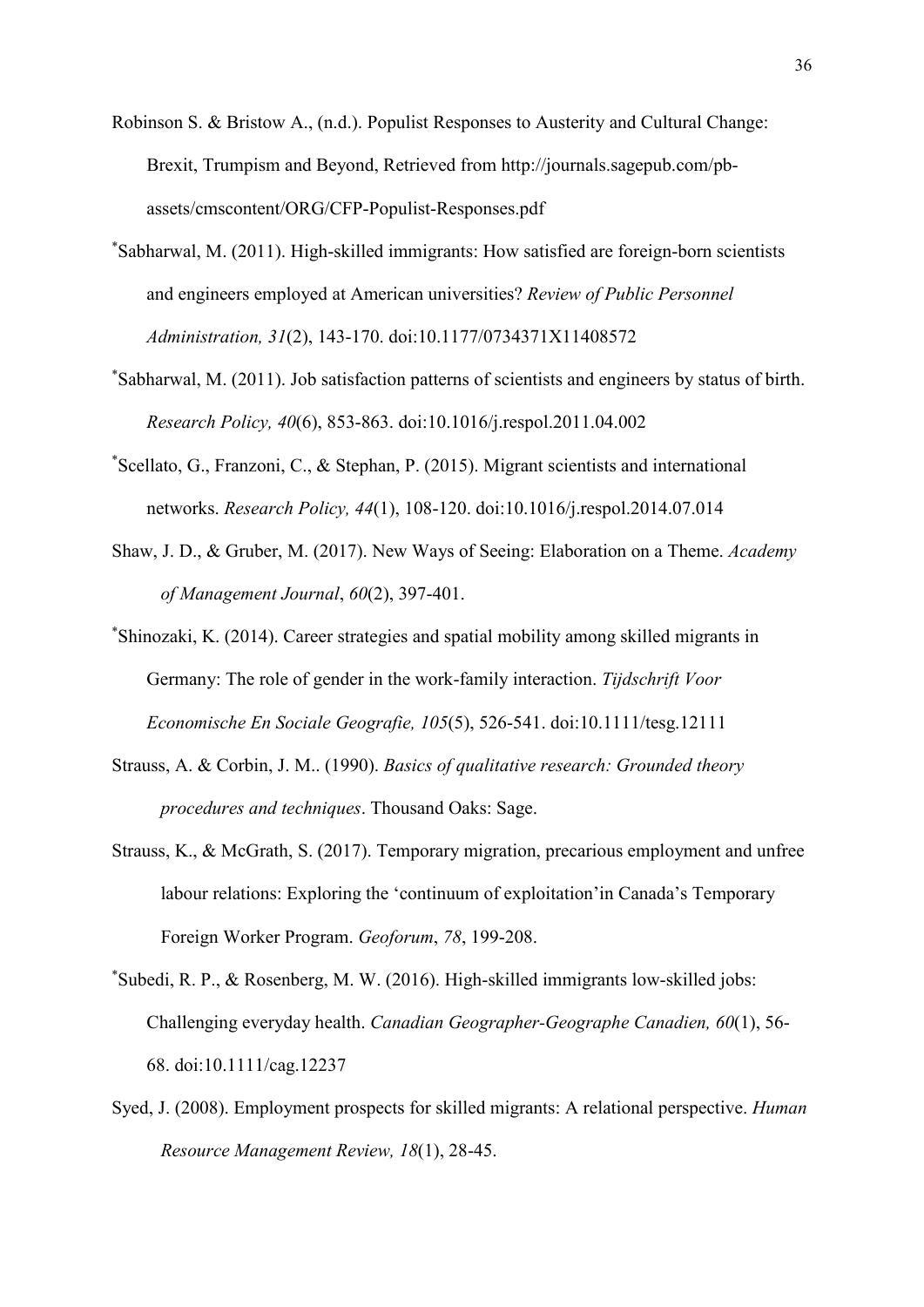- Robinson S. & Bristow A., (n.d.). Populist Responses to Austerity and Cultural Change: Brexit, Trumpism and Beyond, Retrieved from http://journals.sagepub.com/pbassets/cmscontent/ORG/CFP-Populist-Responses.pdf
- \* Sabharwal, M. (2011). High-skilled immigrants: How satisfied are foreign-born scientists and engineers employed at American universities? *Review of Public Personnel Administration, 31*(2), 143-170. doi:10.1177/0734371X11408572
- \* Sabharwal, M. (2011). Job satisfaction patterns of scientists and engineers by status of birth. *Research Policy, 40*(6), 853-863. doi:10.1016/j.respol.2011.04.002
- \* Scellato, G., Franzoni, C., & Stephan, P. (2015). Migrant scientists and international networks. *Research Policy, 44*(1), 108-120. doi:10.1016/j.respol.2014.07.014
- Shaw, J. D., & Gruber, M. (2017). New Ways of Seeing: Elaboration on a Theme. *Academy of Management Journal*, *60*(2), 397-401.
- \* Shinozaki, K. (2014). Career strategies and spatial mobility among skilled migrants in Germany: The role of gender in the work-family interaction. *Tijdschrift Voor Economische En Sociale Geografie, 105*(5), 526-541. doi:10.1111/tesg.12111
- Strauss, A. & Corbin, J. M.. (1990). *Basics of qualitative research: Grounded theory procedures and techniques*. Thousand Oaks: Sage.
- Strauss, K., & McGrath, S. (2017). Temporary migration, precarious employment and unfree labour relations: Exploring the 'continuum of exploitation'in Canada's Temporary Foreign Worker Program. *Geoforum*, *78*, 199-208.
- \* Subedi, R. P., & Rosenberg, M. W. (2016). High-skilled immigrants low-skilled jobs: Challenging everyday health. *Canadian Geographer-Geographe Canadien, 60*(1), 56- 68. doi:10.1111/cag.12237
- Syed, J. (2008). Employment prospects for skilled migrants: A relational perspective. *Human Resource Management Review, 18*(1), 28-45.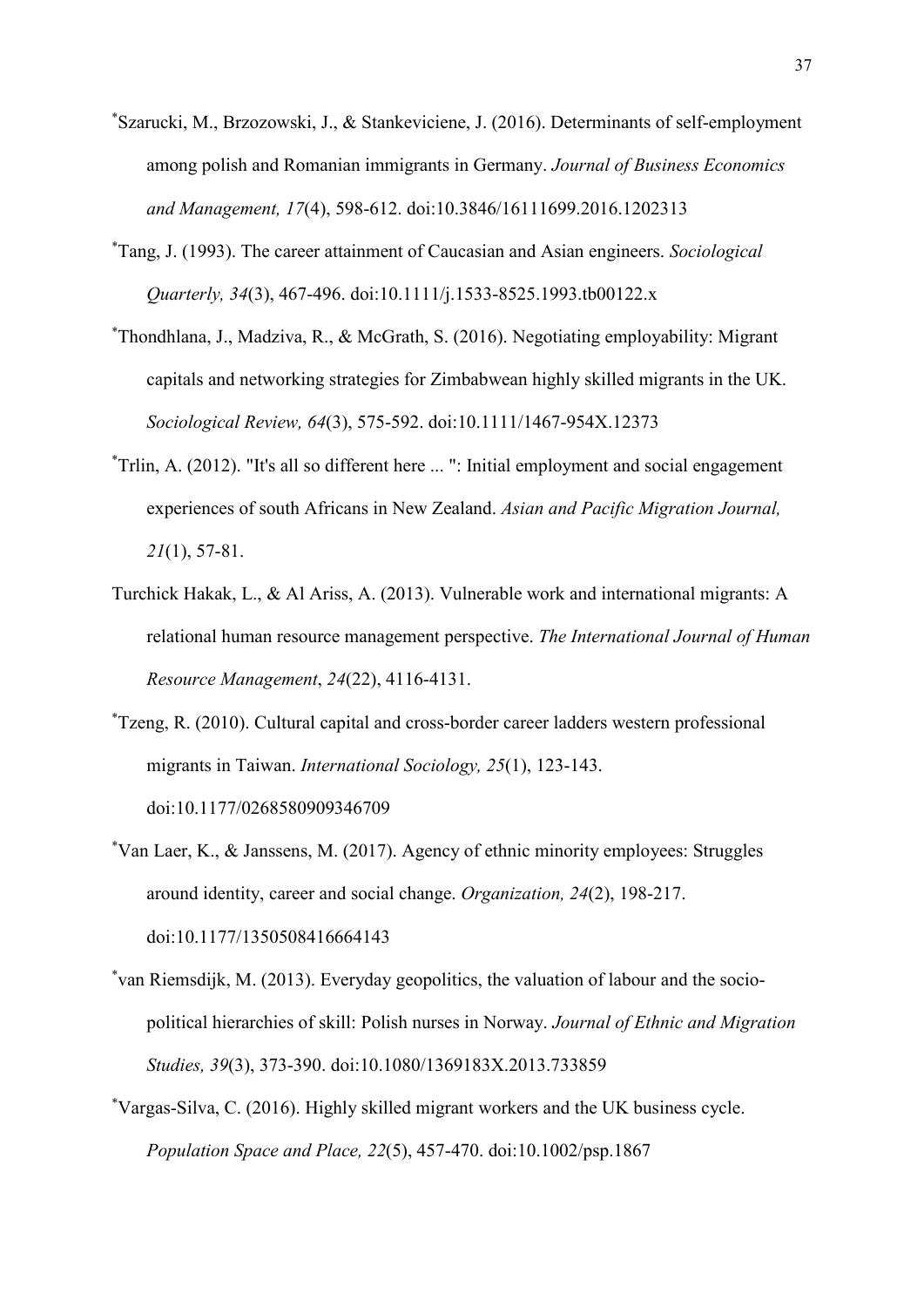- \* Szarucki, M., Brzozowski, J., & Stankeviciene, J. (2016). Determinants of self-employment among polish and Romanian immigrants in Germany. *Journal of Business Economics and Management, 17*(4), 598-612. doi:10.3846/16111699.2016.1202313
- \* Tang, J. (1993). The career attainment of Caucasian and Asian engineers. *Sociological Quarterly, 34*(3), 467-496. doi:10.1111/j.1533-8525.1993.tb00122.x
- \* Thondhlana, J., Madziva, R., & McGrath, S. (2016). Negotiating employability: Migrant capitals and networking strategies for Zimbabwean highly skilled migrants in the UK. *Sociological Review, 64*(3), 575-592. doi:10.1111/1467-954X.12373
- \* Trlin, A. (2012). "It's all so different here ... ": Initial employment and social engagement experiences of south Africans in New Zealand. *Asian and Pacific Migration Journal, 21*(1), 57-81.
- Turchick Hakak, L., & Al Ariss, A. (2013). Vulnerable work and international migrants: A relational human resource management perspective. *The International Journal of Human Resource Management*, *24*(22), 4116-4131.
- \* Tzeng, R. (2010). Cultural capital and cross-border career ladders western professional migrants in Taiwan. *International Sociology, 25*(1), 123-143. doi:10.1177/0268580909346709
- \* Van Laer, K., & Janssens, M. (2017). Agency of ethnic minority employees: Struggles around identity, career and social change. *Organization, 24*(2), 198-217. doi:10.1177/1350508416664143
- \* van Riemsdijk, M. (2013). Everyday geopolitics, the valuation of labour and the sociopolitical hierarchies of skill: Polish nurses in Norway. *Journal of Ethnic and Migration Studies, 39*(3), 373-390. doi:10.1080/1369183X.2013.733859
- \* Vargas-Silva, C. (2016). Highly skilled migrant workers and the UK business cycle. *Population Space and Place, 22*(5), 457-470. doi:10.1002/psp.1867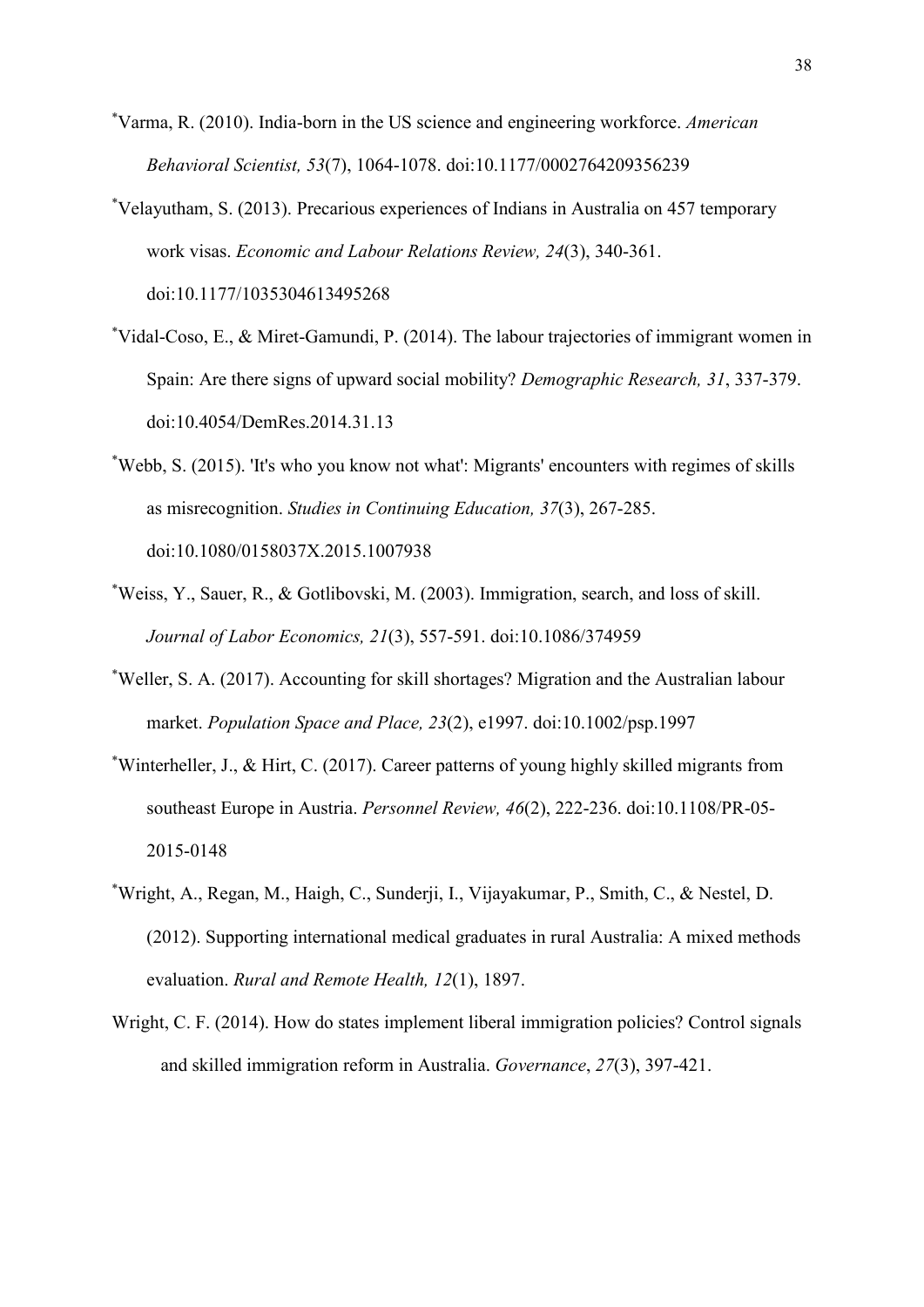- \* Varma, R. (2010). India-born in the US science and engineering workforce. *American Behavioral Scientist, 53*(7), 1064-1078. doi:10.1177/0002764209356239
- \* Velayutham, S. (2013). Precarious experiences of Indians in Australia on 457 temporary work visas. *Economic and Labour Relations Review, 24*(3), 340-361. doi:10.1177/1035304613495268
- \* Vidal-Coso, E., & Miret-Gamundi, P. (2014). The labour trajectories of immigrant women in Spain: Are there signs of upward social mobility? *Demographic Research, 31*, 337-379. doi:10.4054/DemRes.2014.31.13
- \* Webb, S. (2015). 'It's who you know not what': Migrants' encounters with regimes of skills as misrecognition. *Studies in Continuing Education, 37*(3), 267-285. doi:10.1080/0158037X.2015.1007938
- \* Weiss, Y., Sauer, R., & Gotlibovski, M. (2003). Immigration, search, and loss of skill. *Journal of Labor Economics, 21*(3), 557-591. doi:10.1086/374959
- \* Weller, S. A. (2017). Accounting for skill shortages? Migration and the Australian labour market. *Population Space and Place, 23*(2), e1997. doi:10.1002/psp.1997
- \* Winterheller, J., & Hirt, C. (2017). Career patterns of young highly skilled migrants from southeast Europe in Austria. *Personnel Review, 46*(2), 222-236. doi:10.1108/PR-05- 2015-0148
- \* Wright, A., Regan, M., Haigh, C., Sunderji, I., Vijayakumar, P., Smith, C., & Nestel, D. (2012). Supporting international medical graduates in rural Australia: A mixed methods evaluation. *Rural and Remote Health, 12*(1), 1897.
- Wright, C. F. (2014). How do states implement liberal immigration policies? Control signals and skilled immigration reform in Australia. *Governance*, *27*(3), 397-421.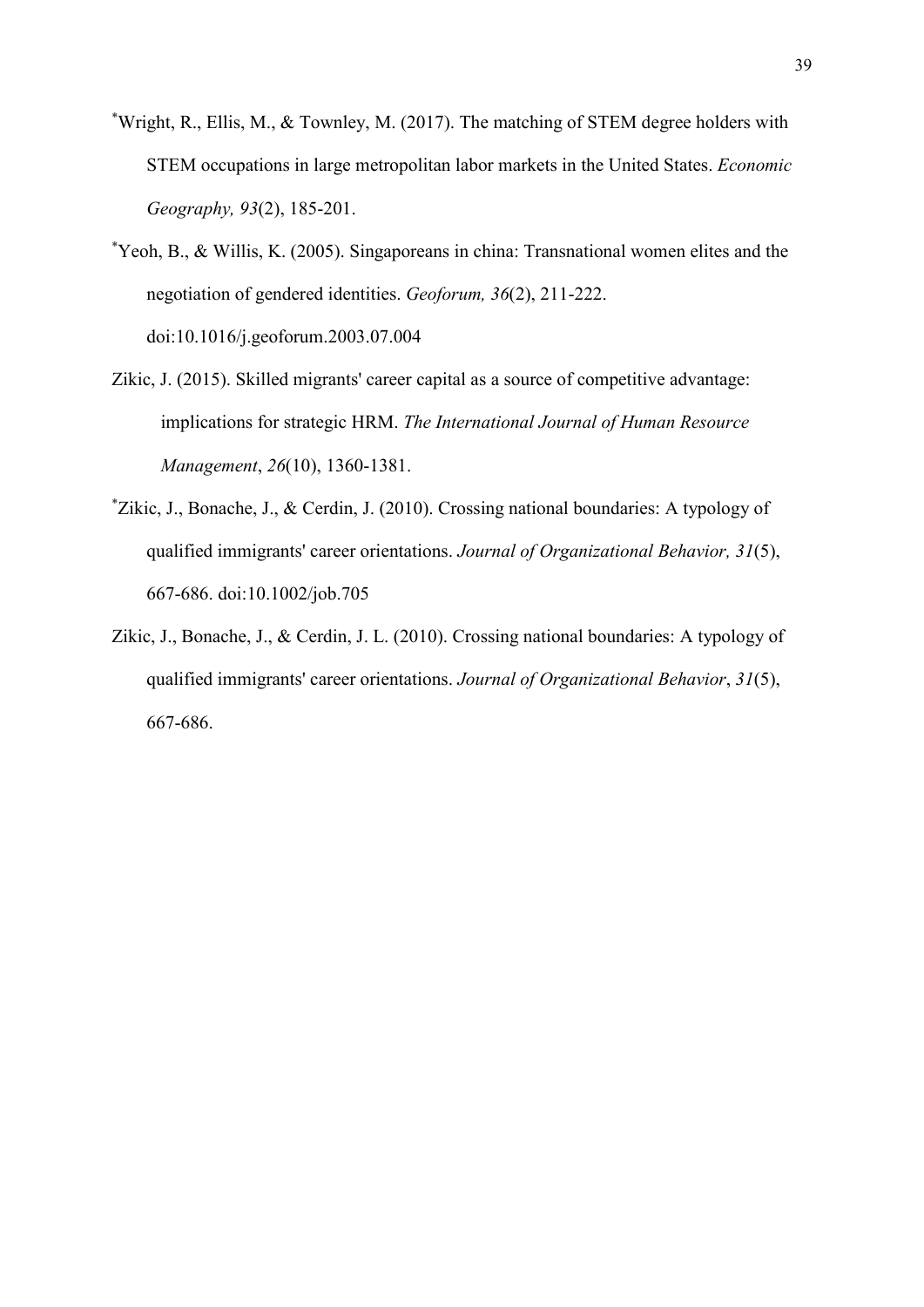- \* Wright, R., Ellis, M., & Townley, M. (2017). The matching of STEM degree holders with STEM occupations in large metropolitan labor markets in the United States. *Economic Geography, 93*(2), 185-201.
- \* Yeoh, B., & Willis, K. (2005). Singaporeans in china: Transnational women elites and the negotiation of gendered identities. *Geoforum, 36*(2), 211-222. doi:10.1016/j.geoforum.2003.07.004
- Zikic, J. (2015). Skilled migrants' career capital as a source of competitive advantage: implications for strategic HRM. *The International Journal of Human Resource Management*, *26*(10), 1360-1381.
- \* Zikic, J., Bonache, J., & Cerdin, J. (2010). Crossing national boundaries: A typology of qualified immigrants' career orientations. *Journal of Organizational Behavior, 31*(5), 667-686. doi:10.1002/job.705
- Zikic, J., Bonache, J., & Cerdin, J. L. (2010). Crossing national boundaries: A typology of qualified immigrants' career orientations. *Journal of Organizational Behavior*, *31*(5), 667-686.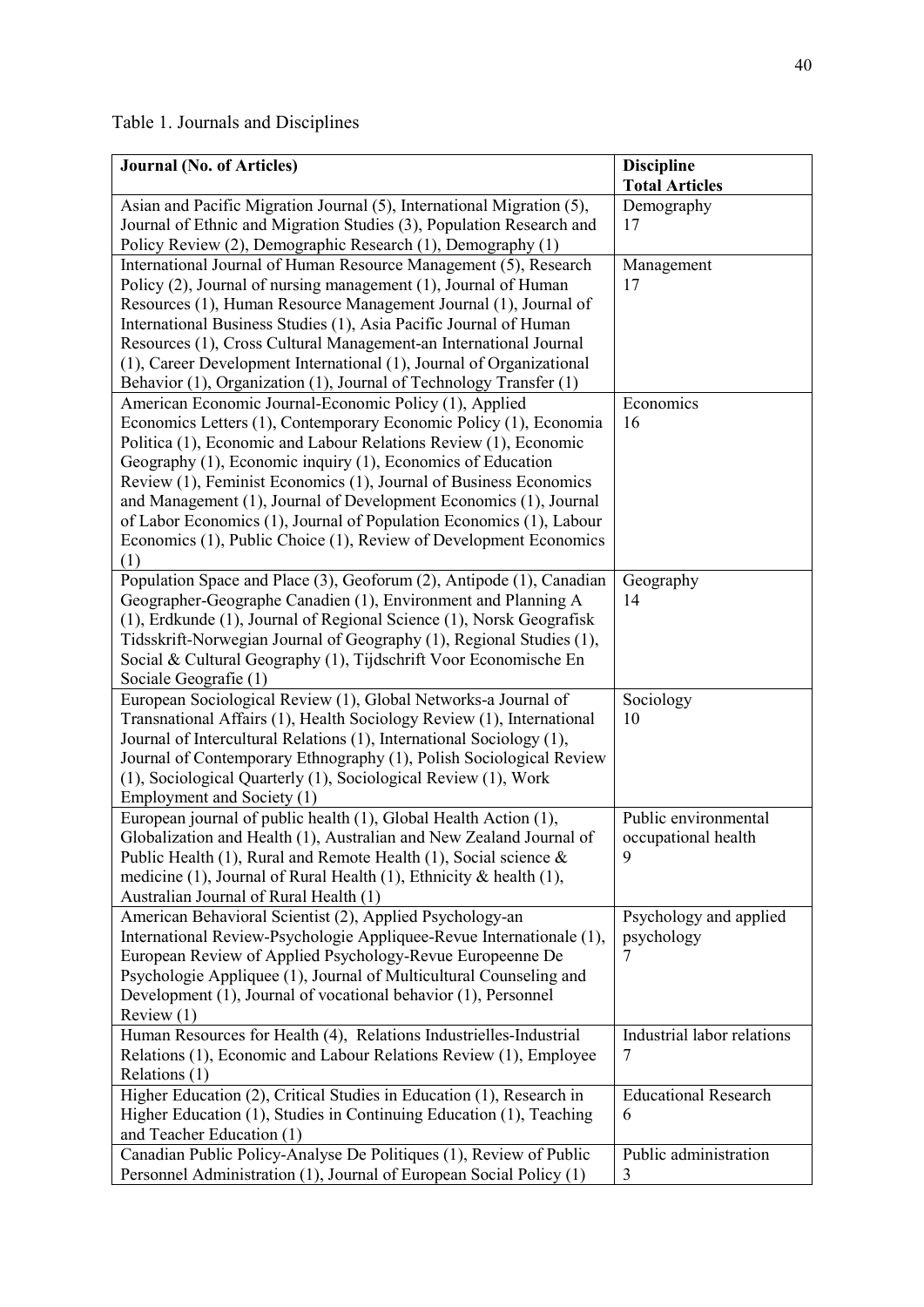| Table 1. Journals and Disciplines |  |
|-----------------------------------|--|
|-----------------------------------|--|

| <b>Journal (No. of Articles)</b>                                                          | <b>Discipline</b>           |
|-------------------------------------------------------------------------------------------|-----------------------------|
|                                                                                           | <b>Total Articles</b>       |
| Asian and Pacific Migration Journal (5), International Migration (5),                     | Demography                  |
| Journal of Ethnic and Migration Studies (3), Population Research and                      | 17                          |
| Policy Review (2), Demographic Research (1), Demography (1)                               |                             |
| International Journal of Human Resource Management (5), Research                          | Management                  |
| Policy (2), Journal of nursing management (1), Journal of Human                           | 17                          |
| Resources (1), Human Resource Management Journal (1), Journal of                          |                             |
| International Business Studies (1), Asia Pacific Journal of Human                         |                             |
| Resources (1), Cross Cultural Management-an International Journal                         |                             |
| (1), Career Development International (1), Journal of Organizational                      |                             |
| Behavior (1), Organization (1), Journal of Technology Transfer (1)                        |                             |
| American Economic Journal-Economic Policy (1), Applied                                    | Economics                   |
| Economics Letters (1), Contemporary Economic Policy (1), Economia                         | 16                          |
| Politica (1), Economic and Labour Relations Review (1), Economic                          |                             |
| Geography (1), Economic inquiry (1), Economics of Education                               |                             |
| Review (1), Feminist Economics (1), Journal of Business Economics                         |                             |
| and Management (1), Journal of Development Economics (1), Journal                         |                             |
| of Labor Economics (1), Journal of Population Economics (1), Labour                       |                             |
| Economics (1), Public Choice (1), Review of Development Economics                         |                             |
| (1)                                                                                       |                             |
| Population Space and Place (3), Geoforum (2), Antipode (1), Canadian                      | Geography                   |
| Geographer-Geographe Canadien (1), Environment and Planning A                             | 14                          |
| (1), Erdkunde (1), Journal of Regional Science (1), Norsk Geografisk                      |                             |
| Tidsskrift-Norwegian Journal of Geography (1), Regional Studies (1),                      |                             |
| Social & Cultural Geography (1), Tijdschrift Voor Economische En<br>Sociale Geografie (1) |                             |
| European Sociological Review (1), Global Networks-a Journal of                            | Sociology                   |
| Transnational Affairs (1), Health Sociology Review (1), International                     | 10                          |
| Journal of Intercultural Relations (1), International Sociology (1),                      |                             |
| Journal of Contemporary Ethnography (1), Polish Sociological Review                       |                             |
| (1), Sociological Quarterly (1), Sociological Review (1), Work                            |                             |
| Employment and Society (1)                                                                |                             |
| European journal of public health (1), Global Health Action (1),                          | Public environmental        |
| Globalization and Health (1), Australian and New Zealand Journal of                       | occupational health         |
| Public Health (1), Rural and Remote Health (1), Social science $\&$                       | 9                           |
| medicine (1), Journal of Rural Health (1), Ethnicity & health (1),                        |                             |
| Australian Journal of Rural Health (1)                                                    |                             |
| American Behavioral Scientist (2), Applied Psychology-an                                  | Psychology and applied      |
| International Review-Psychologie Appliquee-Revue Internationale (1),                      | psychology                  |
| European Review of Applied Psychology-Revue Europeenne De                                 | 7                           |
| Psychologie Appliquee (1), Journal of Multicultural Counseling and                        |                             |
| Development (1), Journal of vocational behavior (1), Personnel                            |                             |
| Review $(1)$                                                                              |                             |
| Human Resources for Health (4), Relations Industrielles-Industrial                        | Industrial labor relations  |
| Relations (1), Economic and Labour Relations Review (1), Employee                         | 7                           |
| Relations (1)                                                                             |                             |
| Higher Education (2), Critical Studies in Education (1), Research in                      | <b>Educational Research</b> |
| Higher Education (1), Studies in Continuing Education (1), Teaching                       | 6                           |
| and Teacher Education (1)                                                                 |                             |
| Canadian Public Policy-Analyse De Politiques (1), Review of Public                        | Public administration       |
| Personnel Administration (1), Journal of European Social Policy (1)                       | 3                           |